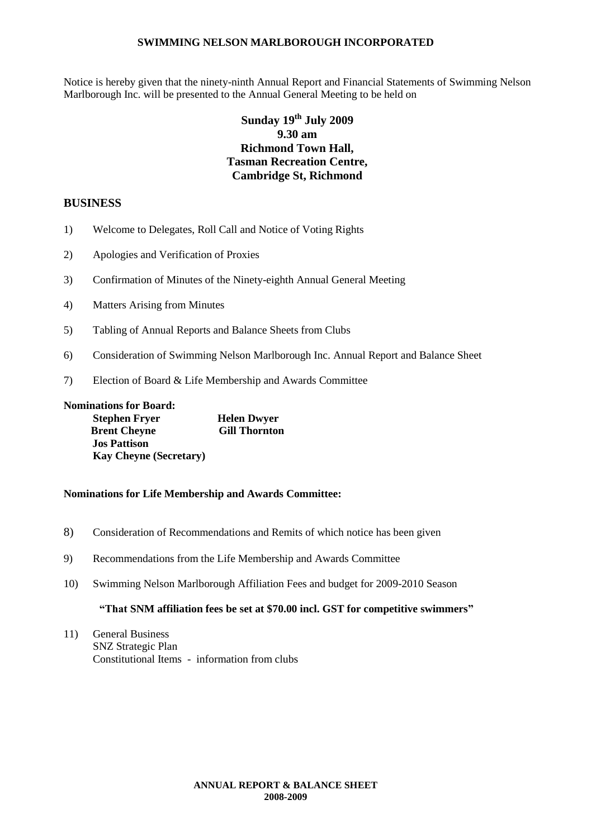Notice is hereby given that the ninety-ninth Annual Report and Financial Statements of Swimming Nelson Marlborough Inc. will be presented to the Annual General Meeting to be held on

# **Sunday 19 th July 2009 9.30 am Richmond Town Hall, Tasman Recreation Centre, Cambridge St, Richmond**

# **BUSINESS**

- 1) Welcome to Delegates, Roll Call and Notice of Voting Rights
- 2) Apologies and Verification of Proxies
- 3) Confirmation of Minutes of the Ninety-eighth Annual General Meeting
- 4) Matters Arising from Minutes
- 5) Tabling of Annual Reports and Balance Sheets from Clubs
- 6) Consideration of Swimming Nelson Marlborough Inc. Annual Report and Balance Sheet
- 7) Election of Board & Life Membership and Awards Committee

**Nominations for Board: Stephen Fryer Helen Dwyer<br>Brent Chevne Gill Thornton Brent Cheyne Jos Pattison Kay Cheyne (Secretary)**

#### **Nominations for Life Membership and Awards Committee:**

- 8) Consideration of Recommendations and Remits of which notice has been given
- 9) Recommendations from the Life Membership and Awards Committee
- 10) Swimming Nelson Marlborough Affiliation Fees and budget for 2009-2010 Season

#### **"That SNM affiliation fees be set at \$70.00 incl. GST for competitive swimmers"**

11) General Business SNZ Strategic Plan Constitutional Items - information from clubs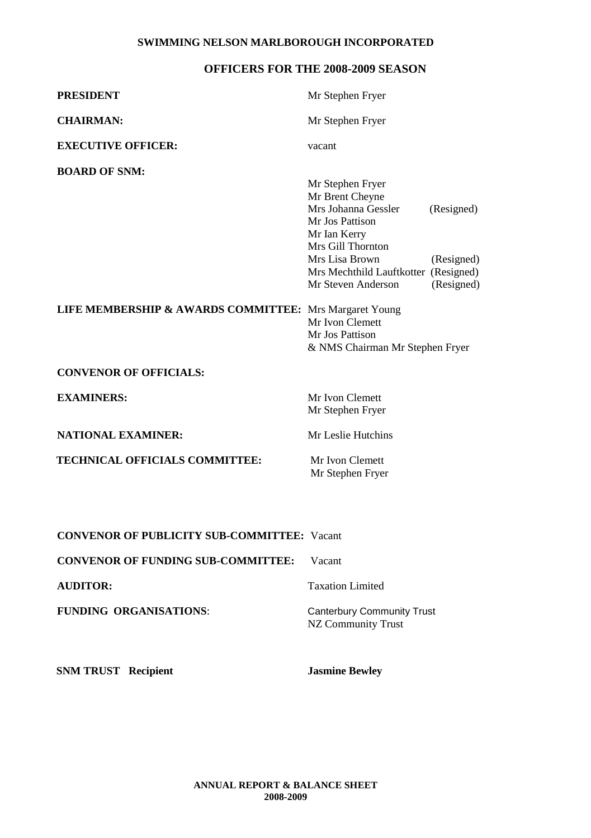# **OFFICERS FOR THE 2008-2009 SEASON**

| <b>PRESIDENT</b>                                       | Mr Stephen Fryer                                                                               |                          |
|--------------------------------------------------------|------------------------------------------------------------------------------------------------|--------------------------|
| <b>CHAIRMAN:</b>                                       | Mr Stephen Fryer                                                                               |                          |
| <b>EXECUTIVE OFFICER:</b>                              | vacant                                                                                         |                          |
| <b>BOARD OF SNM:</b>                                   | Mr Stephen Fryer                                                                               |                          |
|                                                        | Mr Brent Cheyne<br>Mrs Johanna Gessler<br>Mr Jos Pattison<br>Mr Ian Kerry<br>Mrs Gill Thornton | (Resigned)               |
|                                                        | Mrs Lisa Brown<br>Mrs Mechthild Lauftkotter (Resigned)<br>Mr Steven Anderson                   | (Resigned)<br>(Resigned) |
| LIFE MEMBERSHIP & AWARDS COMMITTEE: Mrs Margaret Young | Mr Ivon Clemett<br>Mr Jos Pattison<br>& NMS Chairman Mr Stephen Fryer                          |                          |
| <b>CONVENOR OF OFFICIALS:</b>                          |                                                                                                |                          |
| <b>EXAMINERS:</b>                                      | Mr Ivon Clemett<br>Mr Stephen Fryer                                                            |                          |
| <b>NATIONAL EXAMINER:</b>                              | Mr Leslie Hutchins                                                                             |                          |
| <b>TECHNICAL OFFICIALS COMMITTEE:</b>                  | Mr Ivon Clemett<br>Mr Stephen Fryer                                                            |                          |

**CONVENOR OF PUBLICITY SUB-COMMITTEE:** Vacant

**CONVENOR OF FUNDING SUB-COMMITTEE:** Vacant

FUNDING ORGANISATIONS: Canterbury Community Trust

**AUDITOR:** Taxation Limited

NZ Community Trust

**SNM TRUST Recipient Jasmine Bewley**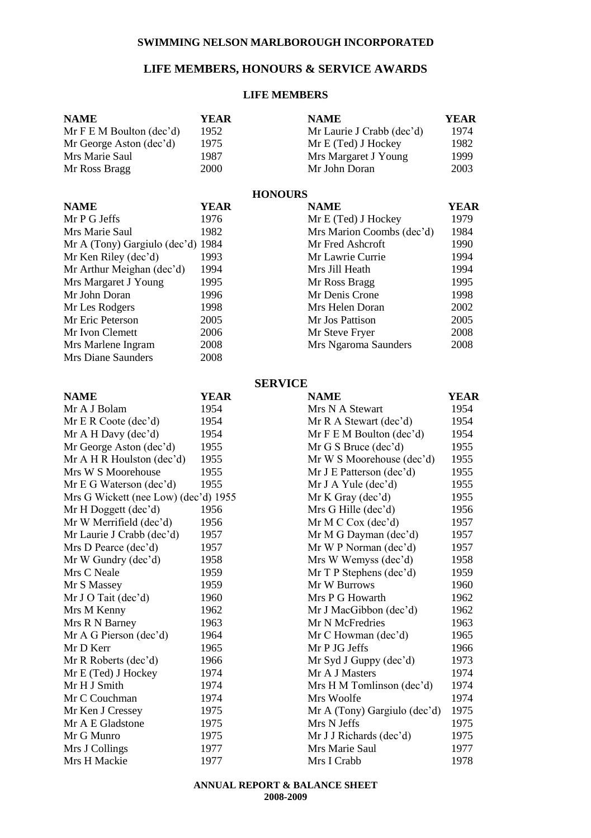# **LIFE MEMBERS, HONOURS & SERVICE AWARDS**

#### **LIFE MEMBERS**

| <b>NAME</b>                          | <b>YEAR</b> | <b>NAME</b>                  | <b>YEAR</b> |
|--------------------------------------|-------------|------------------------------|-------------|
| Mr F E M Boulton (dec'd)             | 1952        | Mr Laurie J Crabb (dec'd)    | 1974        |
| Mr George Aston (dec'd)              | 1975        | Mr E (Ted) J Hockey          | 1982        |
| Mrs Marie Saul                       | 1987        | Mrs Margaret J Young         | 1999        |
| Mr Ross Bragg                        | 2000        | Mr John Doran                | 2003        |
|                                      |             |                              |             |
|                                      |             | <b>HONOURS</b>               |             |
| <b>NAME</b>                          | <b>YEAR</b> | <b>NAME</b>                  | <b>YEAR</b> |
| Mr P G Jeffs                         | 1976        | Mr E (Ted) J Hockey          | 1979        |
| Mrs Marie Saul                       | 1982        | Mrs Marion Coombs (dec'd)    | 1984        |
| Mr A (Tony) Gargiulo (dec'd)         | 1984        | Mr Fred Ashcroft             | 1990        |
| Mr Ken Riley (dec'd)                 | 1993        | Mr Lawrie Currie             | 1994        |
| Mr Arthur Meighan (dec'd)            | 1994        | Mrs Jill Heath               | 1994        |
| Mrs Margaret J Young                 | 1995        | Mr Ross Bragg                | 1995        |
| Mr John Doran                        | 1996        | Mr Denis Crone               | 1998        |
| Mr Les Rodgers                       | 1998        | Mrs Helen Doran              | 2002        |
| Mr Eric Peterson                     | 2005        | Mr Jos Pattison              | 2005        |
| Mr Ivon Clemett                      | 2006        | Mr Steve Fryer               | 2008        |
| Mrs Marlene Ingram                   | 2008        | Mrs Ngaroma Saunders         | 2008        |
| <b>Mrs Diane Saunders</b>            | 2008        |                              |             |
|                                      |             | <b>SERVICE</b>               |             |
| <b>NAME</b>                          | <b>YEAR</b> | <b>NAME</b>                  | YEAR        |
| Mr A J Bolam                         | 1954        | Mrs N A Stewart              | 1954        |
| Mr E R Coote (dec'd)                 | 1954        | Mr R A Stewart (dec'd)       | 1954        |
| Mr A H Day (dec'd)                   | 1954        | Mr F E M Boulton (dec'd)     | 1954        |
| Mr George Aston (dec'd)              | 1955        | Mr G S Bruce (dec'd)         | 1955        |
| Mr $A$ H R Houlston (dec'd)          | 1955        | Mr W S Moorehouse (dec'd)    | 1955        |
| Mrs W S Moorehouse                   | 1955        | Mr J E Patterson (dec'd)     | 1955        |
| Mr E G Waterson (dec'd)              | 1955        | $Mr J A Y = (dec'd)$         | 1955        |
| Mrs G Wickett (nee Low) (dec'd) 1955 |             | Mr K Gray (dec'd)            | 1955        |
| Mr H Doggett (dec'd)                 | 1956        | Mrs G Hille (dec'd)          | 1956        |
| Mr W Merrifield (dec'd)              | 1956        | Mr M C Cox (dec'd)           | 1957        |
| Mr Laurie J Crabb (dec'd)            | 1957        | Mr M G Dayman (dec'd)        | 1957        |
| Mrs D Pearce (dec'd)                 | 1957        | Mr W P Norman (dec'd)        | 1957        |
| Mr W Gundry (dec'd)                  | 1958        | Mrs W Wemyss (dec'd)         | 1958        |
| Mrs C Neale                          | 1959        | Mr T P Stephens (dec'd)      | 1959        |
| Mr S Massey                          | 1959        | Mr W Burrows                 | 1960        |
| Mr J O Tait (dec'd)                  | 1960        | Mrs P G Howarth              | 1962        |
| Mrs M Kenny                          | 1962        | Mr J MacGibbon (dec'd)       | 1962        |
| Mrs R N Barney                       | 1963        | Mr N McFredries              | 1963        |
| Mr A G Pierson (dec'd)               | 1964        | Mr C Howman (dec'd)          | 1965        |
| Mr D Kerr                            | 1965        | Mr P JG Jeffs                | 1966        |
| Mr R Roberts (dec'd)                 | 1966        | Mr Syd J Guppy (dec'd)       | 1973        |
| Mr E (Ted) J Hockey                  | 1974        | Mr A J Masters               | 1974        |
| Mr H J Smith                         | 1974        | Mrs H M Tomlinson (dec'd)    | 1974        |
| Mr C Couchman                        | 1974        | Mrs Woolfe                   | 1974        |
| Mr Ken J Cressey                     | 1975        | Mr A (Tony) Gargiulo (dec'd) | 1975        |
| Mr A E Gladstone                     | 1975        | Mrs N Jeffs                  | 1975        |
| Mr G Munro                           | 1975        | Mr J J Richards (dec'd)      | 1975        |
| Mrs J Collings                       | 1977        | Mrs Marie Saul               | 1977        |
| Mrs H Mackie                         | 1977        | Mrs I Crabb                  | 1978        |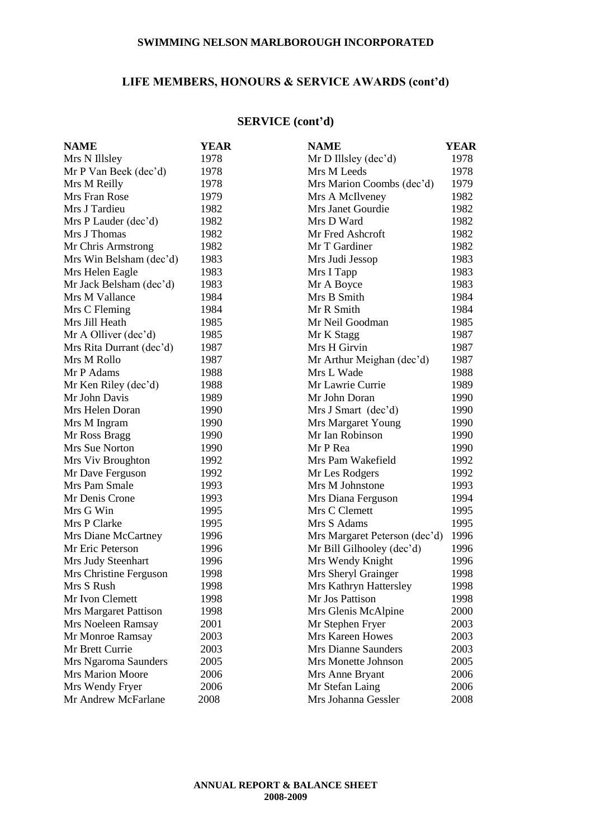# **LIFE MEMBERS, HONOURS & SERVICE AWARDS (cont'd)**

# **SERVICE (cont'd)**

| <b>NAME</b>              | YEAR | <b>NAME</b>                   | YEAR |
|--------------------------|------|-------------------------------|------|
| Mrs N Illsley            | 1978 | Mr D Illsley (dec'd)          | 1978 |
| Mr P Van Beek (dec'd)    | 1978 | Mrs M Leeds                   | 1978 |
| Mrs M Reilly             | 1978 | Mrs Marion Coombs (dec'd)     | 1979 |
| Mrs Fran Rose            | 1979 | Mrs A McIlveney               | 1982 |
| Mrs J Tardieu            | 1982 | Mrs Janet Gourdie             | 1982 |
| Mrs P Lauder (dec'd)     | 1982 | Mrs D Ward                    | 1982 |
| Mrs J Thomas             | 1982 | Mr Fred Ashcroft              | 1982 |
| Mr Chris Armstrong       | 1982 | Mr T Gardiner                 | 1982 |
| Mrs Win Belsham (dec'd)  | 1983 | Mrs Judi Jessop               | 1983 |
| Mrs Helen Eagle          | 1983 | Mrs I Tapp                    | 1983 |
| Mr Jack Belsham (dec'd)  | 1983 | Mr A Boyce                    | 1983 |
| Mrs M Vallance           | 1984 | Mrs B Smith                   | 1984 |
| Mrs C Fleming            | 1984 | Mr R Smith                    | 1984 |
| Mrs Jill Heath           | 1985 | Mr Neil Goodman               | 1985 |
| Mr A Olliver (dec'd)     | 1985 | Mr K Stagg                    | 1987 |
| Mrs Rita Durrant (dec'd) | 1987 | Mrs H Girvin                  | 1987 |
| Mrs M Rollo              | 1987 | Mr Arthur Meighan (dec'd)     | 1987 |
| Mr P Adams               | 1988 | Mrs L Wade                    | 1988 |
| Mr Ken Riley (dec'd)     | 1988 | Mr Lawrie Currie              | 1989 |
| Mr John Davis            | 1989 | Mr John Doran                 | 1990 |
| Mrs Helen Doran          | 1990 | Mrs J Smart (dec'd)           | 1990 |
| Mrs M Ingram             | 1990 | Mrs Margaret Young            | 1990 |
| Mr Ross Bragg            | 1990 | Mr Ian Robinson               | 1990 |
| Mrs Sue Norton           | 1990 | Mr P Rea                      | 1990 |
| Mrs Viv Broughton        | 1992 | Mrs Pam Wakefield             | 1992 |
| Mr Dave Ferguson         | 1992 | Mr Les Rodgers                | 1992 |
| Mrs Pam Smale            | 1993 | Mrs M Johnstone               | 1993 |
| Mr Denis Crone           | 1993 | Mrs Diana Ferguson            | 1994 |
| Mrs G Win                | 1995 | Mrs C Clemett                 | 1995 |
| Mrs P Clarke             | 1995 | Mrs S Adams                   | 1995 |
| Mrs Diane McCartney      | 1996 | Mrs Margaret Peterson (dec'd) | 1996 |
| Mr Eric Peterson         | 1996 | Mr Bill Gilhooley (dec'd)     | 1996 |
| Mrs Judy Steenhart       | 1996 | Mrs Wendy Knight              | 1996 |
| Mrs Christine Ferguson   | 1998 | Mrs Sheryl Grainger           | 1998 |
| Mrs S Rush               | 1998 | Mrs Kathryn Hattersley        | 1998 |
| Mr Ivon Clemett          | 1998 | Mr Jos Pattison               | 1998 |
| Mrs Margaret Pattison    | 1998 | Mrs Glenis McAlpine           | 2000 |
| Mrs Noeleen Ramsay       | 2001 | Mr Stephen Fryer              | 2003 |
| Mr Monroe Ramsay         | 2003 | Mrs Kareen Howes              | 2003 |
| Mr Brett Currie          | 2003 | Mrs Dianne Saunders           | 2003 |
| Mrs Ngaroma Saunders     | 2005 | Mrs Monette Johnson           | 2005 |
| <b>Mrs Marion Moore</b>  | 2006 | Mrs Anne Bryant               | 2006 |
| Mrs Wendy Fryer          | 2006 | Mr Stefan Laing               | 2006 |
| Mr Andrew McFarlane      | 2008 | Mrs Johanna Gessler           | 2008 |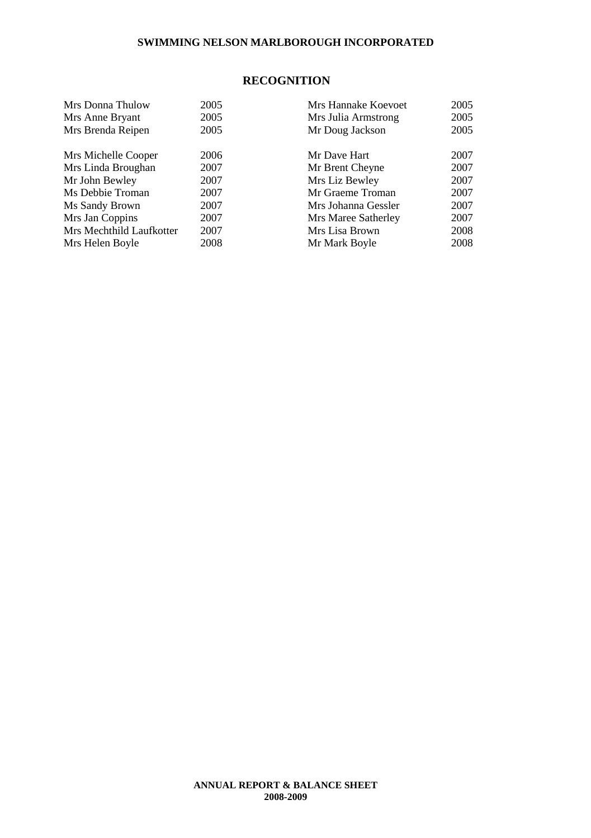### **RECOGNITION**

| Mrs Donna Thulow         | 2005 | Mrs Hannake Koevoet | 2005 |
|--------------------------|------|---------------------|------|
| Mrs Anne Bryant          | 2005 | Mrs Julia Armstrong | 2005 |
| Mrs Brenda Reipen        | 2005 | Mr Doug Jackson     | 2005 |
| Mrs Michelle Cooper      | 2006 | Mr Dave Hart        | 2007 |
| Mrs Linda Broughan       | 2007 | Mr Brent Cheyne     | 2007 |
| Mr John Bewley           | 2007 | Mrs Liz Bewley      | 2007 |
| Ms Debbie Troman         | 2007 | Mr Graeme Troman    | 2007 |
| Ms Sandy Brown           | 2007 | Mrs Johanna Gessler | 2007 |
| Mrs Jan Coppins          | 2007 | Mrs Maree Satherley | 2007 |
| Mrs Mechthild Laufkotter | 2007 | Mrs Lisa Brown      | 2008 |
| Mrs Helen Boyle          | 2008 | Mr Mark Boyle       | 2008 |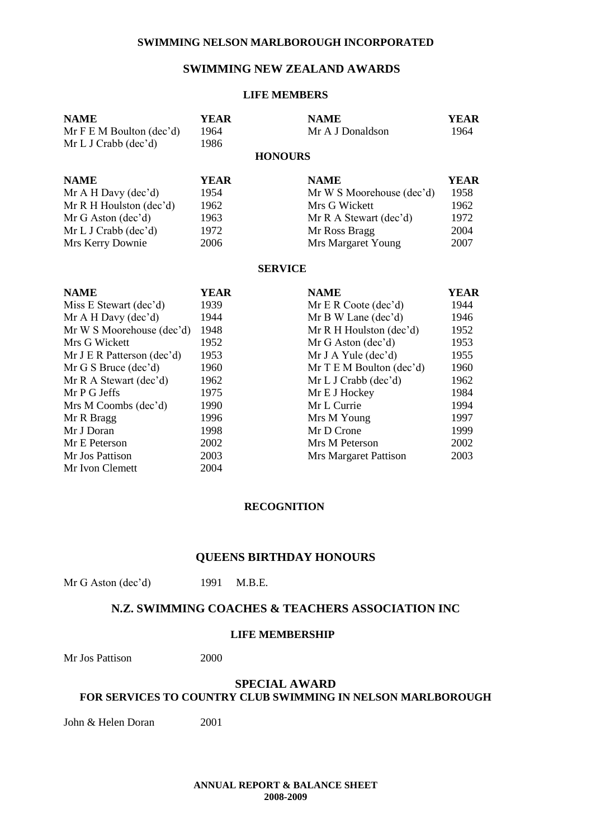# **SWIMMING NEW ZEALAND AWARDS**

#### **LIFE MEMBERS**

| <b>NAME</b><br>Mr F E M Boulton (dec'd) | <b>YEAR</b><br>1964 | <b>NAME</b><br>Mr A J Donaldson | <b>YEAR</b><br>1964 |
|-----------------------------------------|---------------------|---------------------------------|---------------------|
| Mr L J Crabb (dec'd)                    | 1986                |                                 |                     |
|                                         |                     | <b>HONOURS</b>                  |                     |
| <b>NAME</b>                             | YEAR                | <b>NAME</b>                     | <b>YEAR</b>         |
| Mr A H Day (dec'd)                      | 1954                | Mr W S Moorehouse (dec'd)       | 1958                |
| Mr R H Houlston $(dec'd)$               | 1962                | Mrs G Wickett                   | 1962                |
| Mr G Aston (dec'd)                      | 1963                | Mr R A Stewart (dec'd)          | 1972                |
| Mr L J Crabb (dec'd)                    | 1972                | Mr Ross Bragg                   | 2004                |
| Mrs Kerry Downie                        | 2006                | Mrs Margaret Young              | 2007                |
|                                         |                     | <b>SERVICE</b>                  |                     |
| <b>NAME</b>                             | YEAR                | <b>NAME</b>                     | <b>YEAR</b>         |
| Miss E Stewart (dec'd)                  | 1939                | Mr E R Coote (dec'd)            | 1944                |
| Mr A H Day (dec'd)                      | 1944                | Mr B W Lane (dec'd)             | 1946                |
| Mr W S Moorehouse (dec'd)               | 1948                | Mr R H Houlston (dec'd)         | 1952                |
| Mrs G Wickett                           | 1952                | Mr G Aston (dec'd)              | 1953                |
| Mr J E R Patterson (dec'd)              | 1953                | Mr J A Yule $(dec'd)$           | 1955                |
| Mr G S Bruce (dec'd)                    | 1960                | Mr T E M Boulton (dec'd)        | 1960                |
| Mr R A Stewart (dec'd)                  | 1962                | Mr L J Crabb (dec'd)            | 1962                |
| Mr P G Jeffs                            | 1975                | Mr E J Hockey                   | 1984                |
| Mrs M Coombs (dec'd)                    | 1990                | Mr L Currie                     | 1994                |
| Mr R Bragg                              | 1996                | Mrs M Young                     | 1997                |
| Mr J Doran                              | 1998                | Mr D Crone                      | 1999                |
| Mr E Peterson                           | 2002                | Mrs M Peterson                  | 2002                |
| Mr Jos Pattison                         | 2003                | Mrs Margaret Pattison           | 2003                |
| Mr Ivon Clemett                         | 2004                |                                 |                     |

#### **RECOGNITION**

#### **QUEENS BIRTHDAY HONOURS**

Mr G Aston (dec'd) 1991 M.B.E.

### **N.Z. SWIMMING COACHES & TEACHERS ASSOCIATION INC**

#### **LIFE MEMBERSHIP**

Mr Jos Pattison 2000

#### **SPECIAL AWARD FOR SERVICES TO COUNTRY CLUB SWIMMING IN NELSON MARLBOROUGH**

John & Helen Doran 2001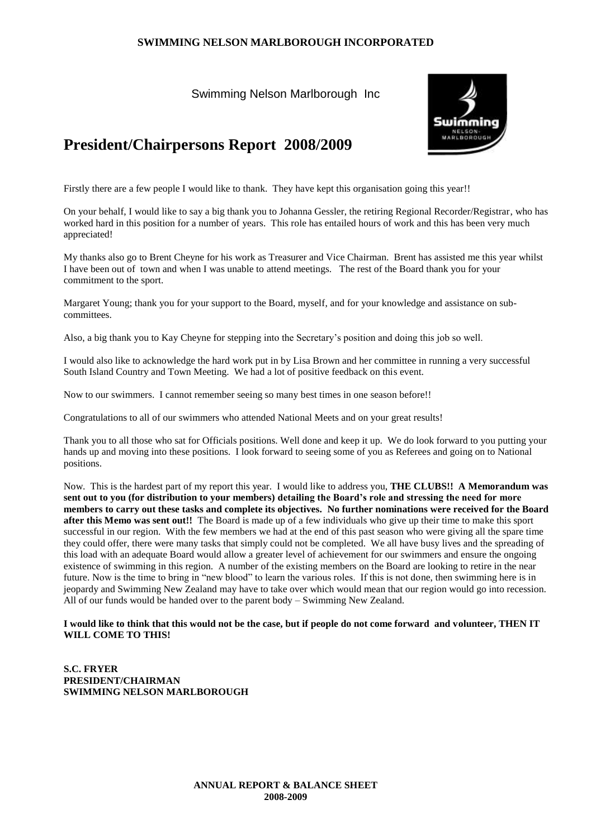Swimming Nelson Marlborough Inc



# **President/Chairpersons Report 2008/2009**

Firstly there are a few people I would like to thank. They have kept this organisation going this year!!

On your behalf, I would like to say a big thank you to Johanna Gessler, the retiring Regional Recorder/Registrar, who has worked hard in this position for a number of years. This role has entailed hours of work and this has been very much appreciated!

My thanks also go to Brent Cheyne for his work as Treasurer and Vice Chairman. Brent has assisted me this year whilst I have been out of town and when I was unable to attend meetings. The rest of the Board thank you for your commitment to the sport.

Margaret Young; thank you for your support to the Board, myself, and for your knowledge and assistance on subcommittees.

Also, a big thank you to Kay Cheyne for stepping into the Secretary's position and doing this job so well.

I would also like to acknowledge the hard work put in by Lisa Brown and her committee in running a very successful South Island Country and Town Meeting. We had a lot of positive feedback on this event.

Now to our swimmers. I cannot remember seeing so many best times in one season before!!

Congratulations to all of our swimmers who attended National Meets and on your great results!

Thank you to all those who sat for Officials positions. Well done and keep it up. We do look forward to you putting your hands up and moving into these positions. I look forward to seeing some of you as Referees and going on to National positions.

Now. This is the hardest part of my report this year. I would like to address you, **THE CLUBS!! A Memorandum was sent out to you (for distribution to your members) detailing the Board's role and stressing the need for more members to carry out these tasks and complete its objectives. No further nominations were received for the Board after this Memo was sent out!!** The Board is made up of a few individuals who give up their time to make this sport successful in our region. With the few members we had at the end of this past season who were giving all the spare time they could offer, there were many tasks that simply could not be completed. We all have busy lives and the spreading of this load with an adequate Board would allow a greater level of achievement for our swimmers and ensure the ongoing existence of swimming in this region. A number of the existing members on the Board are looking to retire in the near future. Now is the time to bring in "new blood" to learn the various roles. If this is not done, then swimming here is in jeopardy and Swimming New Zealand may have to take over which would mean that our region would go into recession. All of our funds would be handed over to the parent body – Swimming New Zealand.

#### **I would like to think that this would not be the case, but if people do not come forward and volunteer, THEN IT WILL COME TO THIS!**

**S.C. FRYER PRESIDENT/CHAIRMAN SWIMMING NELSON MARLBOROUGH**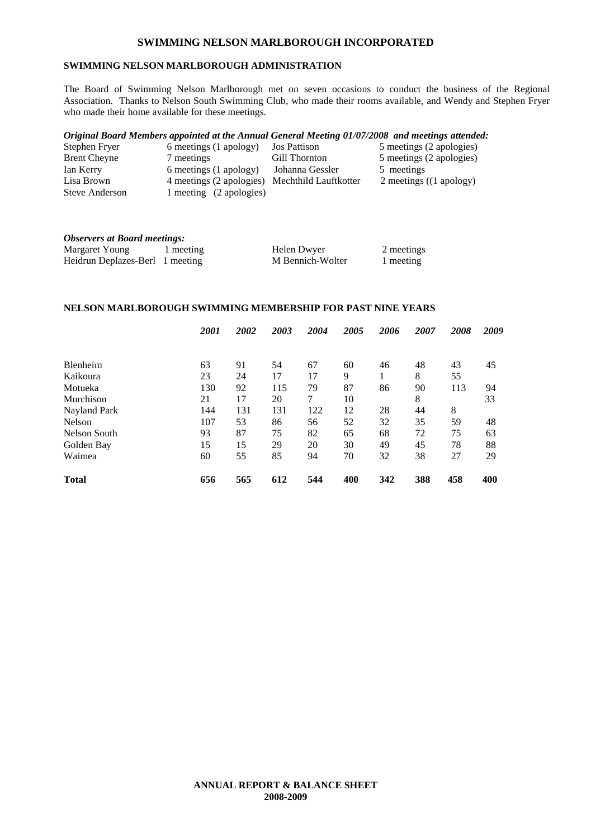### **SWIMMING NELSON MARLBOROUGH ADMINISTRATION**

The Board of Swimming Nelson Marlborough met on seven occasions to conduct the business of the Regional Association. Thanks to Nelson South Swimming Club, who made their rooms available, and Wendy and Stephen Fryer who made their home available for these meetings.

#### *Original Board Members appointed at the Annual General Meeting 01/07/2008 and meetings attended:*

| Stephen Fryer       | 6 meetings (1 apology)   | <b>Jos Pattison</b>   | 5 meetings (2 apologies)          |
|---------------------|--------------------------|-----------------------|-----------------------------------|
| <b>Brent Cheyne</b> | 7 meetings               | Gill Thornton         | 5 meetings (2 apologies)          |
| Ian Kerry           | 6 meetings (1 apology)   | Johanna Gessler       | 5 meetings                        |
| Lisa Brown          | 4 meetings (2 apologies) | Mechthild Lauftkotter | 2 meetings $((1 \text{ apology})$ |
| Steve Anderson      | 1 meeting (2 apologies)  |                       |                                   |
|                     |                          |                       |                                   |

| <b>Observers at Board meetings:</b> |           |                  |            |
|-------------------------------------|-----------|------------------|------------|
| Margaret Young                      | 1 meeting | Helen Dwyer      | 2 meetings |
| Heidrun Deplazes-Berl 1 meeting     |           | M Bennich-Wolter | 1 meeting  |

#### **NELSON MARLBOROUGH SWIMMING MEMBERSHIP FOR PAST NINE YEARS**

|                 | 2001 | 2002 | 2003 | 2004 | 2005 | 2006 | 2007 | 2008 | 2009 |
|-----------------|------|------|------|------|------|------|------|------|------|
|                 |      |      |      |      |      |      |      |      |      |
| <b>Blenheim</b> | 63   | 91   | 54   | 67   | 60   | 46   | 48   | 43   | 45   |
| Kaikoura        | 23   | 24   | 17   | 17   | 9    | 1    | 8    | 55   |      |
| Motueka         | 130  | 92   | 115  | 79   | 87   | 86   | 90   | 113  | 94   |
| Murchison       | 21   | 17   | 20   | 7    | 10   |      | 8    |      | 33   |
| Nayland Park    | 144  | 131  | 131  | 122  | 12   | 28   | 44   | 8    |      |
| Nelson          | 107  | 53   | 86   | 56   | 52   | 32   | 35   | 59   | 48   |
| Nelson South    | 93   | 87   | 75   | 82   | 65   | 68   | 72   | 75   | 63   |
| Golden Bay      | 15   | 15   | 29   | 20   | 30   | 49   | 45   | 78   | 88   |
| Waimea          | 60   | 55   | 85   | 94   | 70   | 32   | 38   | 27   | 29   |
| <b>Total</b>    | 656  | 565  | 612  | 544  | 400  | 342  | 388  | 458  | 400  |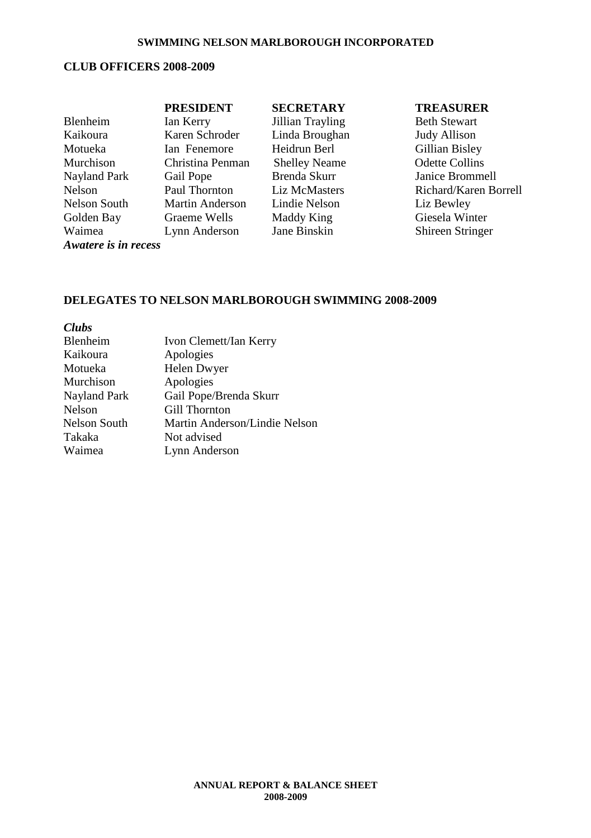# **CLUB OFFICERS 2008-2009**

|                      | <b>PRESIDENT</b>       | <b>SECRETARY</b>     | <b>TREASURER</b>        |
|----------------------|------------------------|----------------------|-------------------------|
| Blenheim             | Ian Kerry              | Jillian Trayling     | <b>Beth Stewart</b>     |
| Kaikoura             | Karen Schroder         | Linda Broughan       | <b>Judy Allison</b>     |
| Motueka              | Ian Fenemore           | Heidrun Berl         | Gillian Bisley          |
| Murchison            | Christina Penman       | <b>Shelley Neame</b> | <b>Odette Collins</b>   |
| Nayland Park         | Gail Pope              | Brenda Skurr         | Janice Brommell         |
| Nelson               | Paul Thornton          | Liz McMasters        | Richard/Karen Borrell   |
| Nelson South         | <b>Martin Anderson</b> | Lindie Nelson        | Liz Bewley              |
| Golden Bay           | Graeme Wells           | Maddy King           | Giesela Winter          |
| Waimea               | Lynn Anderson          | Jane Binskin         | <b>Shireen Stringer</b> |
| Awatere is in recess |                        |                      |                         |

# **DELEGATES TO NELSON MARLBOROUGH SWIMMING 2008-2009**

| <b>Clubs</b>        |                               |
|---------------------|-------------------------------|
| Blenheim            | Ivon Clemett/Ian Kerry        |
| Kaikoura            | Apologies                     |
| Motueka             | Helen Dwyer                   |
| Murchison           | Apologies                     |
| Nayland Park        | Gail Pope/Brenda Skurr        |
| <b>Nelson</b>       | Gill Thornton                 |
| <b>Nelson South</b> | Martin Anderson/Lindie Nelson |
| Takaka              | Not advised                   |
| Waimea              | Lynn Anderson                 |
|                     |                               |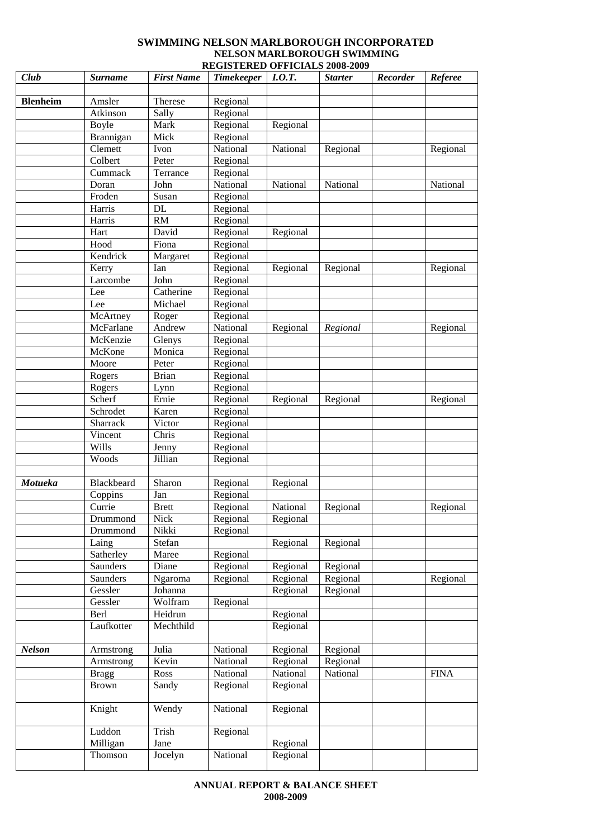#### **SWIMMING NELSON MARLBOROUGH INCORPORATED NELSON MARLBOROUGH SWIMMING REGISTERED OFFICIALS 2008-2009**

| Club            | <b>Surname</b>      | <b>First Name</b> | <b>Timekeeper</b> | I.0.T.   | <b>Starter</b> | Recorder | <b>Referee</b> |
|-----------------|---------------------|-------------------|-------------------|----------|----------------|----------|----------------|
|                 |                     |                   |                   |          |                |          |                |
| <b>Blenheim</b> | Amsler              | Therese           | Regional          |          |                |          |                |
|                 | Atkinson            | Sally             | Regional          |          |                |          |                |
|                 | Boyle               | Mark              | Regional          | Regional |                |          |                |
|                 | Brannigan           | Mick              | Regional          |          |                |          |                |
|                 | Clemett             | Ivon              | National          | National | Regional       |          | Regional       |
|                 | Colbert             | Peter             | Regional          |          |                |          |                |
|                 | Cummack             | Terrance          | Regional          |          |                |          |                |
|                 | Doran               | John              | National          | National | National       |          | National       |
|                 | Froden              | Susan             | Regional          |          |                |          |                |
|                 | Harris              | <b>DL</b>         | Regional          |          |                |          |                |
|                 | Harris              | RM                | Regional          |          |                |          |                |
|                 | Hart                | David             | Regional          | Regional |                |          |                |
|                 | Hood                | Fiona             | Regional          |          |                |          |                |
|                 | Kendrick            | Margaret          | Regional          |          |                |          |                |
|                 | Kerry               | Ian               | Regional          | Regional | Regional       |          | Regional       |
|                 | Larcombe            | John              | Regional          |          |                |          |                |
|                 | Lee                 | Catherine         | Regional          |          |                |          |                |
|                 | Lee                 | Michael           | Regional          |          |                |          |                |
|                 | McArtney            | Roger             | Regional          |          |                |          |                |
|                 | McFarlane           | Andrew            | National          | Regional | Regional       |          | Regional       |
|                 | McKenzie            | Glenys            | Regional          |          |                |          |                |
|                 | McKone              | Monica            | Regional          |          |                |          |                |
|                 | Moore               | Peter             | Regional          |          |                |          |                |
|                 | Rogers              | <b>Brian</b>      | Regional          |          |                |          |                |
|                 | Rogers              | Lynn              | Regional          |          |                |          |                |
|                 | Scherf              | Ernie             | Regional          | Regional | Regional       |          | Regional       |
|                 | Schrodet            | Karen             | Regional          |          |                |          |                |
|                 | Sharrack            | Victor            | Regional          |          |                |          |                |
|                 | Vincent             | Chris             | Regional          |          |                |          |                |
|                 | Wills               | Jenny             | Regional          |          |                |          |                |
|                 | Woods               | Jillian           | Regional          |          |                |          |                |
| <b>Motueka</b>  | Blackbeard          | Sharon            | Regional          | Regional |                |          |                |
|                 | Coppins             | Jan               | Regional          |          |                |          |                |
|                 | Currie              | <b>Brett</b>      | Regional          | National | Regional       |          | Regional       |
|                 | Drummond            | <b>Nick</b>       | Regional          | Regional |                |          |                |
|                 | Drummond            | Nikki             | Regional          |          |                |          |                |
|                 | Laing               | Stefan            |                   | Regional | Regional       |          |                |
|                 | Satherley           | Maree             | Regional          |          |                |          |                |
|                 | Saunders            | Diane             | Regional          | Regional | Regional       |          |                |
|                 | Saunders            | Ngaroma           | Regional          | Regional | Regional       |          | Regional       |
|                 | Gessler             | Johanna           |                   | Regional | Regional       |          |                |
|                 | Gessler             | Wolfram           | Regional          |          |                |          |                |
|                 | Berl                | Heidrun           |                   | Regional |                |          |                |
|                 | Laufkotter          | Mechthild         |                   | Regional |                |          |                |
|                 |                     |                   |                   |          |                |          |                |
| <b>Nelson</b>   | Armstrong           | Julia             | National          | Regional | Regional       |          |                |
|                 | Armstrong           | Kevin             | National          | Regional | Regional       |          |                |
|                 | <b>Bragg</b>        | Ross              | National          | National | National       |          | <b>FINA</b>    |
|                 | <b>Brown</b>        | Sandy             | Regional          | Regional |                |          |                |
|                 |                     |                   |                   |          |                |          |                |
|                 | Knight              | Wendy             | National          | Regional |                |          |                |
|                 |                     |                   |                   |          |                |          |                |
|                 | Luddon              | Trish<br>Jane     | Regional          | Regional |                |          |                |
|                 | Milligan<br>Thomson | Jocelyn           | National          | Regional |                |          |                |
|                 |                     |                   |                   |          |                |          |                |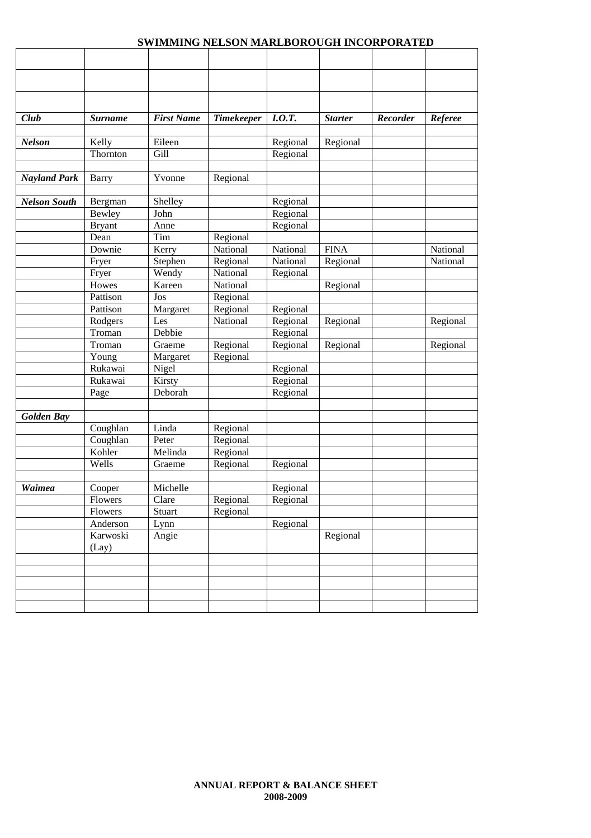| Club                | <b>Surname</b>    | <b>First Name</b> | <b>Timekeeper</b> | I.0.T.   | <b>Starter</b> | Recorder | Referee  |
|---------------------|-------------------|-------------------|-------------------|----------|----------------|----------|----------|
|                     |                   |                   |                   |          |                |          |          |
| <b>Nelson</b>       | Kelly             | Eileen            |                   | Regional | Regional       |          |          |
|                     | Thornton          | Gill              |                   | Regional |                |          |          |
| <b>Nayland Park</b> | <b>Barry</b>      | Yvonne            | Regional          |          |                |          |          |
| <b>Nelson South</b> | Bergman           | Shelley           |                   | Regional |                |          |          |
|                     | Bewley            | John              |                   | Regional |                |          |          |
|                     | <b>Bryant</b>     | Anne              |                   | Regional |                |          |          |
|                     | Dean              | Tim               | Regional          |          |                |          |          |
|                     | Downie            | Kerry             | National          | National | <b>FINA</b>    |          | National |
|                     | Fryer             | Stephen           | Regional          | National | Regional       |          | National |
|                     | Fryer             | Wendy             | National          | Regional |                |          |          |
|                     | Howes             | Kareen            | National          |          | Regional       |          |          |
|                     | Pattison          | Jos               | Regional          |          |                |          |          |
|                     | Pattison          | Margaret          | Regional          | Regional |                |          |          |
|                     | Rodgers           | Les               | National          | Regional | Regional       |          | Regional |
|                     | Troman            | Debbie            |                   | Regional |                |          |          |
|                     | Troman            | Graeme            | Regional          | Regional | Regional       |          | Regional |
|                     | Young             | Margaret          | Regional          |          |                |          |          |
|                     | Rukawai           | Nigel             |                   | Regional |                |          |          |
|                     | Rukawai           | Kirsty            |                   | Regional |                |          |          |
|                     | Page              | Deborah           |                   | Regional |                |          |          |
| <b>Golden Bay</b>   |                   |                   |                   |          |                |          |          |
|                     | Coughlan          | Linda             | Regional          |          |                |          |          |
|                     | Coughlan          | Peter             | Regional          |          |                |          |          |
|                     | Kohler            | Melinda           | Regional          |          |                |          |          |
|                     | Wells             | Graeme            | Regional          | Regional |                |          |          |
| <b>Waimea</b>       | Cooper            | Michelle          |                   | Regional |                |          |          |
|                     | Flowers           | Clare             | Regional          | Regional |                |          |          |
|                     | Flowers           | Stuart            | Regional          |          |                |          |          |
|                     | Anderson          | Lynn              |                   | Regional |                |          |          |
|                     | Karwoski<br>(Lay) | Angie             |                   |          | Regional       |          |          |
|                     |                   |                   |                   |          |                |          |          |
|                     |                   |                   |                   |          |                |          |          |
|                     |                   |                   |                   |          |                |          |          |
|                     |                   |                   |                   |          |                |          |          |
|                     |                   |                   |                   |          |                |          |          |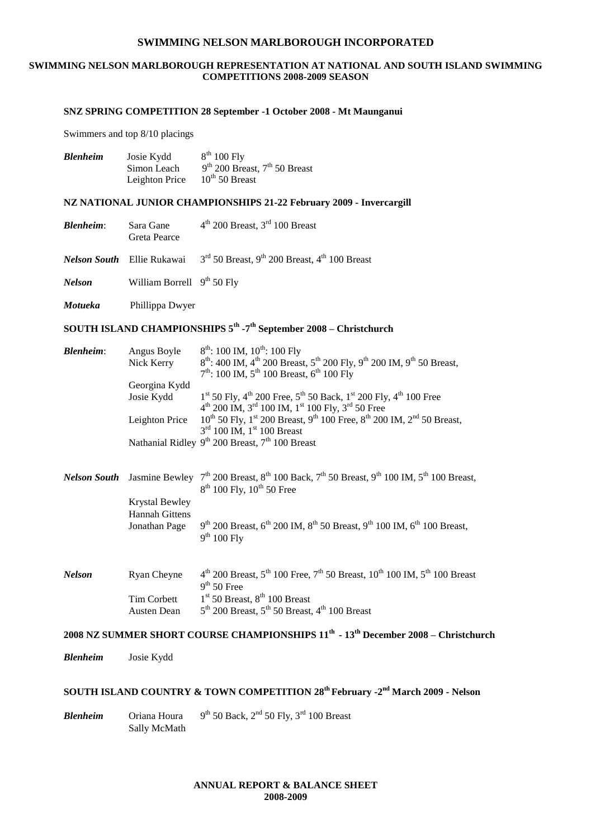#### **SWIMMING NELSON MARLBOROUGH REPRESENTATION AT NATIONAL AND SOUTH ISLAND SWIMMING COMPETITIONS 2008-2009 SEASON**

#### **SNZ SPRING COMPETITION 28 September -1 October 2008 - Mt Maunganui**

Swimmers and top 8/10 placings

| <b>Blenheim</b> | Josie Kydd     | $8th 100$ Fly                     |
|-----------------|----------------|-----------------------------------|
|                 | Simon Leach    | $9th$ 200 Breast, $7th$ 50 Breast |
|                 | Leighton Price | $10^{th}$ 50 Breast               |

#### **NZ NATIONAL JUNIOR CHAMPIONSHIPS 21-22 February 2009 - Invercargill**

| Sara Gane<br>Greta Pearce    | $4th$ 200 Breast, $3rd$ 100 Breast                                                                           |
|------------------------------|--------------------------------------------------------------------------------------------------------------|
|                              | <b>Nelson South</b> Ellie Rukawai $3^{rd}$ 50 Breast, 9 <sup>th</sup> 200 Breast, 4 <sup>th</sup> 100 Breast |
| William Borrell $9th 50$ Fly |                                                                                                              |
|                              |                                                                                                              |

*Motueka* Phillippa Dwyer

#### **SOUTH ISLAND CHAMPIONSHIPS 5th -7 th September 2008 – Christchurch**

| <b>Blenheim:</b>    | Angus Boyle<br>Nick Kerry               | $8^{th}$ : 100 IM, 10 <sup>th</sup> : 100 Fly<br>$8^{th}$ : 400 IM, 4 <sup>th</sup> 200 Breast, 5 <sup>th</sup> 200 Fly, 9 <sup>th</sup> 200 IM, 9 <sup>th</sup> 50 Breast,<br>$7th$ : 100 IM, $5th$ 100 Breast, $6th$ 100 Fly |
|---------------------|-----------------------------------------|--------------------------------------------------------------------------------------------------------------------------------------------------------------------------------------------------------------------------------|
|                     | Georgina Kydd                           |                                                                                                                                                                                                                                |
|                     | Josie Kydd                              | $1st$ 50 Fly, 4 <sup>th</sup> 200 Free, 5 <sup>th</sup> 50 Back, 1 <sup>st</sup> 200 Fly, 4 <sup>th</sup> 100 Free<br>$4^{th}$ 200 IM, $3^{rd}$ 100 IM, $1^{st}$ 100 Fly, $3^{rd}$ 50 Free                                     |
|                     | Leighton Price                          | $10^{th}$ 50 Fly, 1 <sup>st</sup> 200 Breast, 9 <sup>th</sup> 100 Free, 8 <sup>th</sup> 200 IM, 2 <sup>nd</sup> 50 Breast,<br>$3rd$ 100 IM, $1st$ 100 Breast                                                                   |
|                     |                                         | Nathanial Ridley $9^{th}$ 200 Breast, $7^{th}$ 100 Breast                                                                                                                                                                      |
|                     |                                         |                                                                                                                                                                                                                                |
| <b>Nelson South</b> |                                         | Jasmine Bewley $7^{th}$ 200 Breast, $8^{th}$ 100 Back, $7^{th}$ 50 Breast, $9^{th}$ 100 IM, $5^{th}$ 100 Breast,<br>8 <sup>th</sup> 100 Fly, 10 <sup>th</sup> 50 Free                                                          |
|                     | Krystal Bewley<br><b>Hannah Gittens</b> |                                                                                                                                                                                                                                |
|                     | Jonathan Page                           | $9^{th}$ 200 Breast, 6 <sup>th</sup> 200 IM, 8 <sup>th</sup> 50 Breast, 9 <sup>th</sup> 100 IM, 6 <sup>th</sup> 100 Breast,<br>$9th 100$ Fly                                                                                   |
|                     |                                         |                                                                                                                                                                                                                                |
| <b>Nelson</b>       | Ryan Cheyne                             | $4^{th}$ 200 Breast, $5^{th}$ 100 Free, $7^{th}$ 50 Breast, $10^{th}$ 100 IM, $5^{th}$ 100 Breast<br>$9th 50$ Free                                                                                                             |
|                     | Tim Corbett                             | $1st$ 50 Breast, $8th$ 100 Breast                                                                                                                                                                                              |
|                     | Austen Dean                             | $5th$ 200 Breast, $5th$ 50 Breast, 4 <sup>th</sup> 100 Breast                                                                                                                                                                  |

#### **2008 NZ SUMMER SHORT COURSE CHAMPIONSHIPS 11th - 13th December 2008 – Christchurch**

*Blenheim* Josie Kydd

#### **SOUTH ISLAND COUNTRY & TOWN COMPETITION 28th February -2 nd March 2009 - Nelson**

*Blenheim* Oriana Houra  $9<sup>th</sup> 50$  Back,  $2<sup>nd</sup> 50$  Fly,  $3<sup>rd</sup> 100$  Breast Sally McMath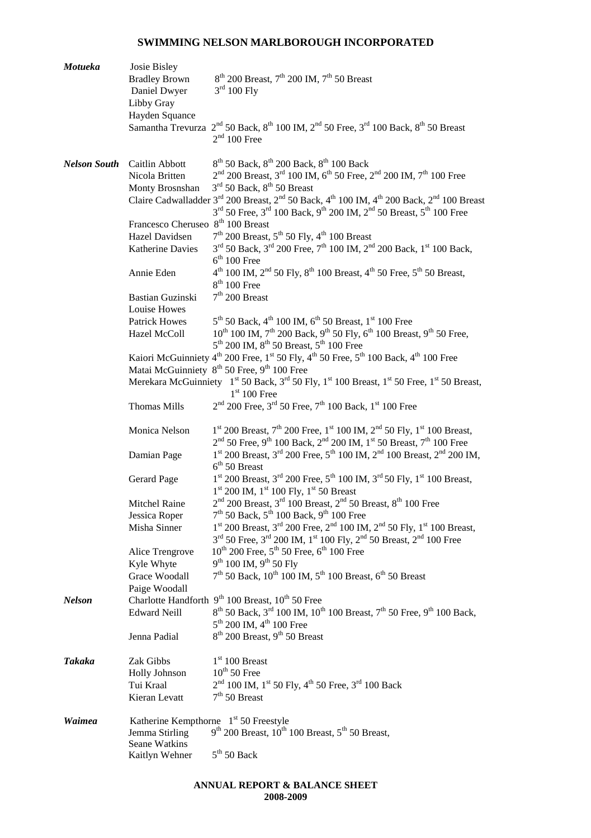| Motueka             | Josie Bisley                                      |                                                                                                                                                                                                                                                                                         |
|---------------------|---------------------------------------------------|-----------------------------------------------------------------------------------------------------------------------------------------------------------------------------------------------------------------------------------------------------------------------------------------|
|                     | <b>Bradley Brown</b><br>Daniel Dwyer              | $8th$ 200 Breast, 7 <sup>th</sup> 200 IM, 7 <sup>th</sup> 50 Breast<br>$3rd 100$ Fly                                                                                                                                                                                                    |
|                     | Libby Gray                                        |                                                                                                                                                                                                                                                                                         |
|                     | Hayden Squance                                    |                                                                                                                                                                                                                                                                                         |
|                     |                                                   | Samantha Trevurza $2^{nd}$ 50 Back, $8^{th}$ 100 IM, $2^{nd}$ 50 Free, $3^{rd}$ 100 Back, $8^{th}$ 50 Breast<br>$2nd 100$ Free                                                                                                                                                          |
| <b>Nelson South</b> | Caitlin Abbott                                    | $8^{th}$ 50 Back, $8^{th}$ 200 Back, $8^{th}$ 100 Back                                                                                                                                                                                                                                  |
|                     | Nicola Britten                                    | $2nd$ 200 Breast, 3 <sup>rd</sup> 100 IM, 6 <sup>th</sup> 50 Free, 2 <sup>nd</sup> 200 IM, 7 <sup>th</sup> 100 Free                                                                                                                                                                     |
|                     | Monty Brosnshan                                   | $3rd$ 50 Back, $8th$ 50 Breast                                                                                                                                                                                                                                                          |
|                     |                                                   | Claire Cadwalladder 3 <sup>rd</sup> 200 Breast, 2 <sup>nd</sup> 50 Back, 4 <sup>th</sup> 100 IM, 4 <sup>th</sup> 200 Back, 2 <sup>nd</sup> 100 Breast<br>$3^{\text{rd}}$ 50 Free, $3^{\text{rd}}$ 100 Back, $9^{\text{th}}$ 200 IM, $2^{\text{nd}}$ 50 Breast, $5^{\text{th}}$ 100 Free |
|                     | Francesco Cheruseo 8 <sup>th</sup> 100 Breast     |                                                                                                                                                                                                                                                                                         |
|                     | Hazel Davidsen                                    | $7th$ 200 Breast, $5th$ 50 Fly, 4 <sup>th</sup> 100 Breast                                                                                                                                                                                                                              |
|                     | Katherine Davies                                  | $3^{rd}$ 50 Back, $3^{rd}$ 200 Free, $7^{th}$ 100 IM, $2^{nd}$ 200 Back, $1^{st}$ 100 Back,<br>$6th 100$ Free                                                                                                                                                                           |
|                     | Annie Eden                                        | $4^{th}$ 100 IM, $2^{nd}$ 50 Fly, $8^{th}$ 100 Breast, $4^{th}$ 50 Free, $5^{th}$ 50 Breast,<br>$8th 100$ Free                                                                                                                                                                          |
|                     | <b>Bastian Guzinski</b><br>Louise Howes           | $7th$ 200 Breast                                                                                                                                                                                                                                                                        |
|                     | <b>Patrick Howes</b>                              | $5^{th}$ 50 Back, 4 <sup>th</sup> 100 IM, 6 <sup>th</sup> 50 Breast, 1 <sup>st</sup> 100 Free                                                                                                                                                                                           |
|                     | Hazel McColl                                      | $10^{th}$ 100 IM, $7^{th}$ 200 Back, $9^{th}$ 50 Fly, $6^{th}$ 100 Breast, $9^{th}$ 50 Free,<br>$5th$ 200 IM, $8th$ 50 Breast, $5th$ 100 Free                                                                                                                                           |
|                     |                                                   | Kaiori McGuinniety 4 <sup>th</sup> 200 Free, 1 <sup>st</sup> 50 Fly, 4 <sup>th</sup> 50 Free, 5 <sup>th</sup> 100 Back, 4 <sup>th</sup> 100 Free                                                                                                                                        |
|                     |                                                   | Matai McGuinniety 8 <sup>th</sup> 50 Free, 9 <sup>th</sup> 100 Free                                                                                                                                                                                                                     |
|                     |                                                   | Merekara McGuinniety 1 <sup>st</sup> 50 Back, 3 <sup>rd</sup> 50 Fly, 1 <sup>st</sup> 100 Breast, 1 <sup>st</sup> 50 Free, 1 <sup>st</sup> 50 Breast,<br>$1st 100$ Free                                                                                                                 |
|                     | <b>Thomas Mills</b>                               | $2nd$ 200 Free, 3 <sup>rd</sup> 50 Free, 7 <sup>th</sup> 100 Back, 1 <sup>st</sup> 100 Free                                                                                                                                                                                             |
|                     | Monica Nelson                                     | $1^{\text{st}}$ 200 Breast, $7^{\text{th}}$ 200 Free, $1^{\text{st}}$ 100 IM, $2^{\text{nd}}$ 50 Fly, $1^{\text{st}}$ 100 Breast,<br>$2nd$ 50 Free, 9 <sup>th</sup> 100 Back, 2 <sup>nd</sup> 200 IM, 1 <sup>st</sup> 50 Breast, 7 <sup>th</sup> 100 Free                               |
|                     | Damian Page                                       | $1st$ 200 Breast, $3rd$ 200 Free, $5th$ 100 IM, $2nd$ 100 Breast, $2nd$ 200 IM,<br>$6th 50$ Breast                                                                                                                                                                                      |
|                     | Gerard Page                                       | $1st$ 200 Breast, $3rd$ 200 Free, $5th$ 100 IM, $3rd$ 50 Fly, $1st$ 100 Breast,<br>$1st$ 200 IM, $1st$ 100 Fly, $1st$ 50 Breast                                                                                                                                                         |
|                     | Mitchel Raine                                     | $2nd$ 200 Breast, $3rd$ 100 Breast, $2nd$ 50 Breast, $8th$ 100 Free                                                                                                                                                                                                                     |
|                     | Jessica Roper                                     | $7th$ 50 Back, $5th$ 100 Back, $9th$ 100 Free<br>$1^{\text{st}}$ 200 Breast, $3^{\text{rd}}$ 200 Free, $2^{\text{nd}}$ 100 IM, $2^{\text{nd}}$ 50 Fly, $1^{\text{st}}$ 100 Breast,                                                                                                      |
|                     | Misha Sinner                                      | 3 <sup>rd</sup> 50 Free, 3 <sup>rd</sup> 200 IM, 1 <sup>st</sup> 100 Fly, 2 <sup>nd</sup> 50 Breast, 2 <sup>nd</sup> 100 Free                                                                                                                                                           |
|                     | Alice Trengrove                                   | $10^{th}$ 200 Free, $5^{th}$ 50 Free, $6^{th}$ 100 Free                                                                                                                                                                                                                                 |
|                     | Kyle Whyte                                        | $9^{th}$ 100 IM, $9^{th}$ 50 Fly                                                                                                                                                                                                                                                        |
|                     | Grace Woodall                                     | $7th$ 50 Back, 10 <sup>th</sup> 100 IM, 5 <sup>th</sup> 100 Breast, 6 <sup>th</sup> 50 Breast                                                                                                                                                                                           |
|                     | Paige Woodall                                     |                                                                                                                                                                                                                                                                                         |
| <b>Nelson</b>       | <b>Charlotte Handforth</b>                        | $9th 100$ Breast, $10th 50$ Free                                                                                                                                                                                                                                                        |
|                     | <b>Edward Neill</b>                               | 8 <sup>th</sup> 50 Back, 3 <sup>rd</sup> 100 IM, 10 <sup>th</sup> 100 Breast, 7 <sup>th</sup> 50 Free, 9 <sup>th</sup> 100 Back,<br>$5^{th}$ 200 IM, 4 <sup>th</sup> 100 Free                                                                                                           |
|                     | Jenna Padial                                      | $8th$ 200 Breast, 9 <sup>th</sup> 50 Breast                                                                                                                                                                                                                                             |
| <b>Takaka</b>       | Zak Gibbs                                         | $1st 100$ Breast                                                                                                                                                                                                                                                                        |
|                     | Holly Johnson                                     | $10^{th}$ 50 Free                                                                                                                                                                                                                                                                       |
|                     | Tui Kraal                                         | $2nd 100$ IM, $1st 50$ Fly, $4th 50$ Free, $3rd 100$ Back                                                                                                                                                                                                                               |
|                     | Kieran Levatt                                     | $7th$ 50 Breast                                                                                                                                                                                                                                                                         |
| Waimea              | Katherine Kempthorne 1 <sup>st</sup> 50 Freestyle |                                                                                                                                                                                                                                                                                         |
|                     | Jemma Stirling                                    | $9^{th}$ 200 Breast, $10^{th}$ 100 Breast, $5^{th}$ 50 Breast,                                                                                                                                                                                                                          |
|                     | Seane Watkins<br>Kaitlyn Wehner                   | $5th 50$ Back                                                                                                                                                                                                                                                                           |
|                     |                                                   |                                                                                                                                                                                                                                                                                         |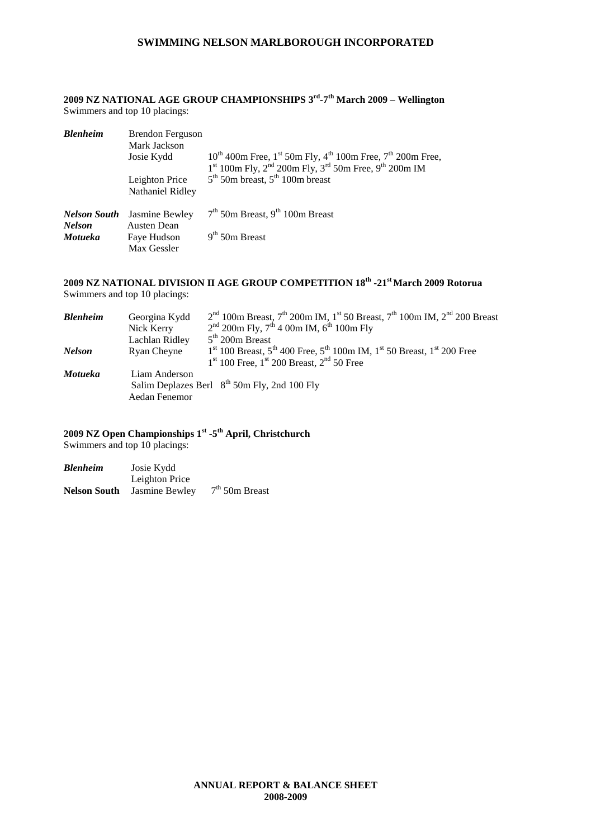**2009 NZ NATIONAL AGE GROUP CHAMPIONSHIPS 3 rd -7 th March 2009 – Wellington** Swimmers and top 10 placings:

| <b>Blenheim</b>                      | Brendon Ferguson<br>Mark Jackson<br>Josie Kydd | $10^{th}$ 400m Free, 1st 50m Fly, 4 <sup>th</sup> 100m Free, 7 <sup>th</sup> 200m Free,<br>$1st 100m$ Fly, $2nd 200m$ Fly, $3rd 50m$ Free, $9th 200m$ IM |
|--------------------------------------|------------------------------------------------|----------------------------------------------------------------------------------------------------------------------------------------------------------|
|                                      | Leighton Price<br>Nathaniel Ridley             | $5th$ 50m breast, $5th$ 100m breast                                                                                                                      |
| <b>Nelson South</b><br><b>Nelson</b> | Jasmine Bewley<br><b>Austen Dean</b>           | $7th$ 50m Breast, 9 <sup>th</sup> 100m Breast                                                                                                            |
| Motueka                              | Fave Hudson<br>Max Gessler                     | $9th$ 50m Breast                                                                                                                                         |

#### **2009 NZ NATIONAL DIVISION II AGE GROUP COMPETITION 18th -21st March 2009 Rotorua** Swimmers and top 10 placings:

| Blenheim | Georgina Kydd  | $2nd$ 100m Breast, $7th$ 200m IM, 1 <sup>st</sup> 50 Breast, $7th$ 100m IM, $2nd$ 200 Breast |
|----------|----------------|----------------------------------------------------------------------------------------------|
|          | Nick Kerry     | $2nd$ 200m Fly, 7 <sup>th</sup> 4 00m IM, 6 <sup>th</sup> 100m Fly                           |
|          | Lachlan Ridley | $5th$ 200m Breast                                                                            |
| Nelson   | Ryan Cheyne    | $1st$ 100 Breast, $5th$ 400 Free, $5th$ 100m IM, $1st$ 50 Breast, $1st$ 200 Free             |
|          |                | $1st 100$ Free, $1st 200$ Breast, $2nd 50$ Free                                              |
| Motueka  | Liam Anderson  |                                                                                              |
|          |                | Salim Deplazes Berl $8^{th}$ 50m Fly, 2nd 100 Fly                                            |
|          | Aedan Fenemor  |                                                                                              |
|          |                |                                                                                              |

### **2009 NZ Open Championships 1st -5 th April, Christchurch**

Swimmers and top 10 placings:

| Blenheim     | Josie Kydd     |                  |
|--------------|----------------|------------------|
|              | Leighton Price |                  |
| Nelson South | Jasmine Bewley | $7th$ 50m Breast |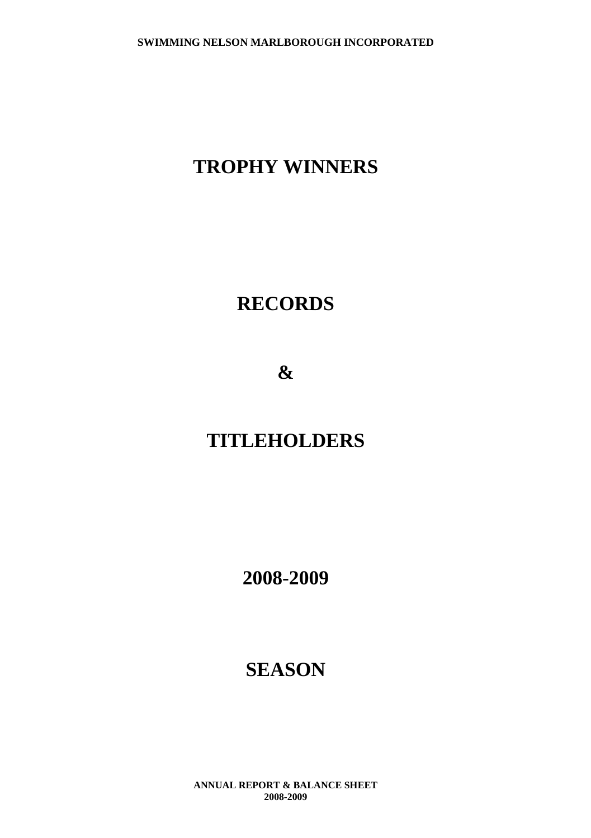# **TROPHY WINNERS**

# **RECORDS**

**&**

# **TITLEHOLDERS**

**2008-2009**

# **SEASON**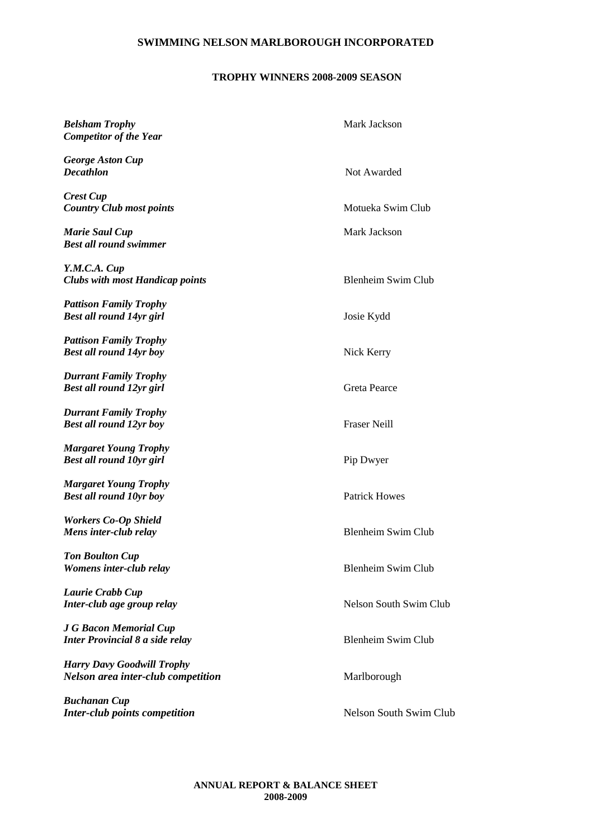# **TROPHY WINNERS 2008-2009 SEASON**

| <b>Belsham Trophy</b><br><b>Competitor of the Year</b>                  | Mark Jackson              |
|-------------------------------------------------------------------------|---------------------------|
| <b>George Aston Cup</b><br>Decathlon                                    | Not Awarded               |
| <b>Crest Cup</b><br><b>Country Club most points</b>                     | Motueka Swim Club         |
| Marie Saul Cup<br>Best all round swimmer                                | Mark Jackson              |
| Y.M.C.A. Cup<br><b>Clubs with most Handicap points</b>                  | <b>Blenheim Swim Club</b> |
| <b>Pattison Family Trophy</b><br>Best all round 14yr girl               | Josie Kydd                |
| <b>Pattison Family Trophy</b><br>Best all round 14yr boy                | Nick Kerry                |
| <b>Durrant Family Trophy</b><br><b>Best all round 12yr girl</b>         | <b>Greta Pearce</b>       |
| <b>Durrant Family Trophy</b><br>Best all round 12yr boy                 | <b>Fraser Neill</b>       |
| <b>Margaret Young Trophy</b><br><b>Best all round 10yr girl</b>         | Pip Dwyer                 |
| <b>Margaret Young Trophy</b><br><b>Best all round 10yr boy</b>          | <b>Patrick Howes</b>      |
| <b>Workers Co-Op Shield</b><br>Mens inter-club relay                    | <b>Blenheim Swim Club</b> |
| Ton Boulton Cup<br>Womens inter-club relay                              | <b>Blenheim Swim Club</b> |
| Laurie Crabb Cup<br>Inter-club age group relay                          | Nelson South Swim Club    |
| J G Bacon Memorial Cup<br><b>Inter Provincial 8 a side relay</b>        | <b>Blenheim Swim Club</b> |
| <b>Harry Davy Goodwill Trophy</b><br>Nelson area inter-club competition | Marlborough               |
| Buchanan Cup<br><b>Inter-club points competition</b>                    | Nelson South Swim Club    |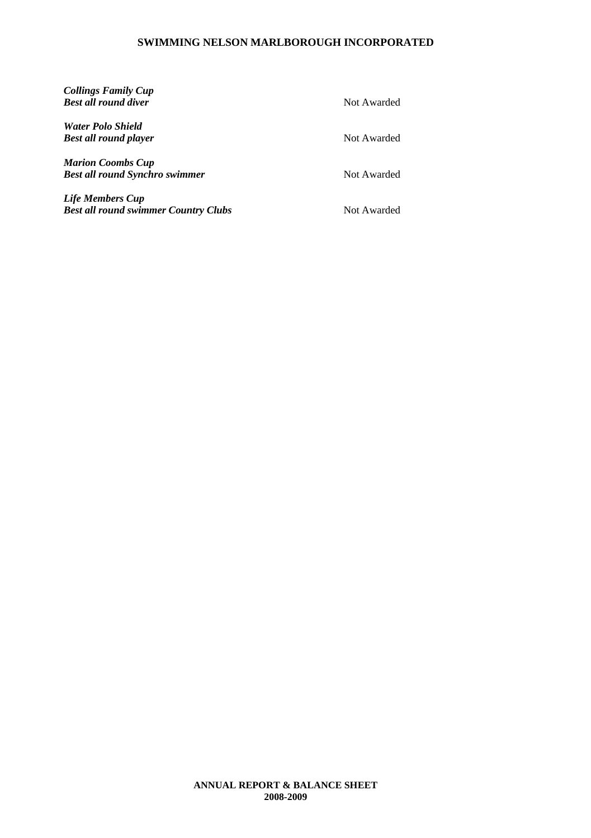| <b>Collings Family Cup</b><br><b>Best all round diver</b> | Not Awarded |
|-----------------------------------------------------------|-------------|
| <b>Water Polo Shield</b>                                  |             |
| <b>Best all round player</b>                              | Not Awarded |
| <b>Marion Coombs Cup</b>                                  |             |
| <b>Best all round Synchro swimmer</b>                     | Not Awarded |
| <b>Life Members Cup</b>                                   |             |
| <b>Best all round swimmer Country Clubs</b>               | Not Awarded |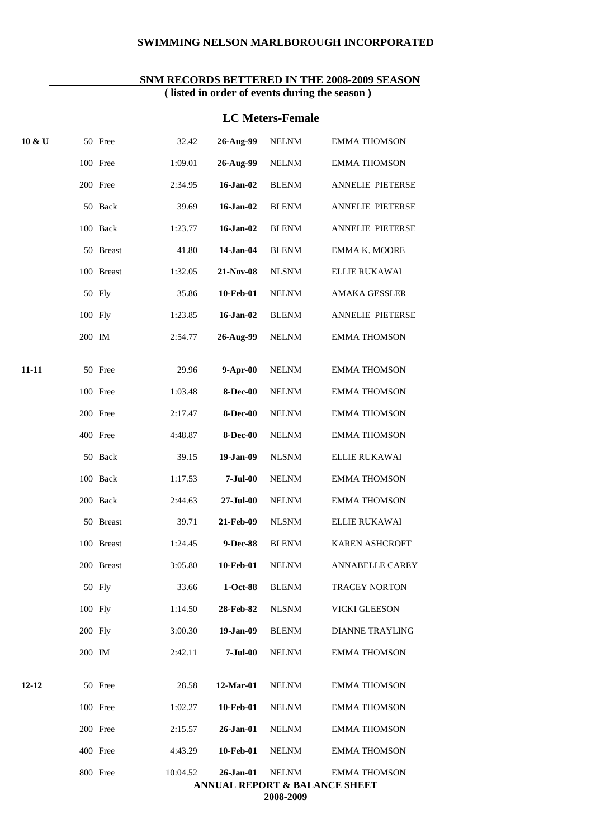#### **SNM RECORDS BETTERED IN THE 2008-2009 SEASON ( listed in order of events during the season )**

#### **LC Meters-Female**

| 10 & U | 50 Free    | 32.42    | 26-Aug-99       | <b>NELNM</b> | <b>EMMA THOMSON</b>                      |
|--------|------------|----------|-----------------|--------------|------------------------------------------|
|        | 100 Free   | 1:09.01  | 26-Aug-99       | <b>NELNM</b> | <b>EMMA THOMSON</b>                      |
|        | 200 Free   | 2:34.95  | 16-Jan-02       | <b>BLENM</b> | ANNELIE PIETERSE                         |
|        | 50 Back    | 39.69    | 16-Jan-02       | <b>BLENM</b> | ANNELIE PIETERSE                         |
|        | 100 Back   | 1:23.77  | 16-Jan-02       | <b>BLENM</b> | ANNELIE PIETERSE                         |
|        | 50 Breast  | 41.80    | 14-Jan-04       | <b>BLENM</b> | EMMA K. MOORE                            |
|        | 100 Breast | 1:32.05  | 21-Nov-08       | <b>NLSNM</b> | <b>ELLIE RUKAWAI</b>                     |
|        | 50 Fly     | 35.86    | 10-Feb-01       | <b>NELNM</b> | <b>AMAKA GESSLER</b>                     |
|        | 100 Fly    | 1:23.85  | $16$ -Jan-02    | <b>BLENM</b> | ANNELIE PIETERSE                         |
|        | 200 IM     | 2:54.77  | 26-Aug-99       | <b>NELNM</b> | <b>EMMA THOMSON</b>                      |
| 11-11  | 50 Free    | 29.96    | $9-Apr-00$      | <b>NELNM</b> | <b>EMMA THOMSON</b>                      |
|        | 100 Free   | 1:03.48  | <b>8-Dec-00</b> | <b>NELNM</b> | <b>EMMA THOMSON</b>                      |
|        | 200 Free   | 2:17.47  | <b>8-Dec-00</b> | <b>NELNM</b> | <b>EMMA THOMSON</b>                      |
|        | 400 Free   | 4:48.87  | <b>8-Dec-00</b> | <b>NELNM</b> | <b>EMMA THOMSON</b>                      |
|        | 50 Back    | 39.15    | 19-Jan-09       | <b>NLSNM</b> | ELLIE RUKAWAI                            |
|        | 100 Back   | 1:17.53  | $7-Jul-00$      | <b>NELNM</b> | <b>EMMA THOMSON</b>                      |
|        | 200 Back   | 2:44.63  | 27-Jul-00       | <b>NELNM</b> | <b>EMMA THOMSON</b>                      |
|        | 50 Breast  | 39.71    | 21-Feb-09       | <b>NLSNM</b> | ELLIE RUKAWAI                            |
|        | 100 Breast | 1:24.45  | 9-Dec-88        | <b>BLENM</b> | KAREN ASHCROFT                           |
|        | 200 Breast | 3:05.80  | 10-Feb-01       | <b>NELNM</b> | <b>ANNABELLE CAREY</b>                   |
|        | 50 Fly     | 33.66    | 1-Oct-88        | <b>BLENM</b> | <b>TRACEY NORTON</b>                     |
|        | 100 Fly    | 1:14.50  | 28-Feb-82       | <b>NLSNM</b> | <b>VICKI GLEESON</b>                     |
|        | $200$ Fly  | 3:00.30  | 19-Jan-09       | <b>BLENM</b> | <b>DIANNE TRAYLING</b>                   |
|        | 200 IM     | 2:42.11  | $7-Jul-00$      | <b>NELNM</b> | <b>EMMA THOMSON</b>                      |
| 12-12  | 50 Free    | 28.58    | 12-Mar-01       | <b>NELNM</b> | <b>EMMA THOMSON</b>                      |
|        | 100 Free   | 1:02.27  | 10-Feb-01       | <b>NELNM</b> | <b>EMMA THOMSON</b>                      |
|        | 200 Free   | 2:15.57  | 26-Jan-01       | <b>NELNM</b> | <b>EMMA THOMSON</b>                      |
|        | 400 Free   | 4:43.29  | 10-Feb-01       | <b>NELNM</b> | <b>EMMA THOMSON</b>                      |
|        | 800 Free   | 10:04.52 | 26-Jan-01       | <b>NELNM</b> | <b>EMMA THOMSON</b>                      |
|        |            |          |                 | 2008-2000    | <b>ANNUAL REPORT &amp; BALANCE SHEET</b> |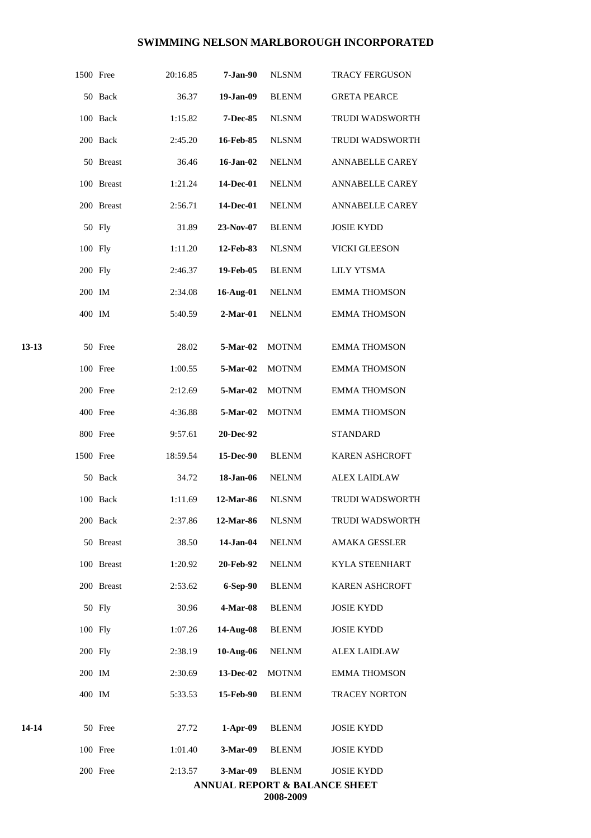|       | 1500 Free |            | 20:16.85 | 7-Jan-90   | <b>NLSNM</b> | <b>TRACY FERGUSON</b>                                         |
|-------|-----------|------------|----------|------------|--------------|---------------------------------------------------------------|
|       |           | 50 Back    | 36.37    | 19-Jan-09  | <b>BLENM</b> | <b>GRETA PEARCE</b>                                           |
|       |           | 100 Back   | 1:15.82  | 7-Dec-85   | <b>NLSNM</b> | <b>TRUDI WADSWORTH</b>                                        |
|       |           | 200 Back   | 2:45.20  | 16-Feb-85  | <b>NLSNM</b> | TRUDI WADSWORTH                                               |
|       |           | 50 Breast  | 36.46    | 16-Jan-02  | <b>NELNM</b> | ANNABELLE CAREY                                               |
|       |           | 100 Breast | 1:21.24  | 14-Dec-01  | <b>NELNM</b> | <b>ANNABELLE CAREY</b>                                        |
|       |           | 200 Breast | 2:56.71  | 14-Dec-01  | <b>NELNM</b> | <b>ANNABELLE CAREY</b>                                        |
|       |           | 50 Fly     | 31.89    | 23-Nov-07  | <b>BLENM</b> | <b>JOSIE KYDD</b>                                             |
|       | 100 Fly   |            | 1:11.20  | 12-Feb-83  | <b>NLSNM</b> | VICKI GLEESON                                                 |
|       | 200 Fly   |            | 2:46.37  | 19-Feb-05  | <b>BLENM</b> | <b>LILY YTSMA</b>                                             |
|       | 200 IM    |            | 2:34.08  | 16-Aug-01  | <b>NELNM</b> | <b>EMMA THOMSON</b>                                           |
|       | 400 IM    |            | 5:40.59  | $2-Mar-01$ | <b>NELNM</b> | <b>EMMA THOMSON</b>                                           |
| 13-13 |           | 50 Free    | 28.02    | 5-Mar-02   | <b>MOTNM</b> | <b>EMMA THOMSON</b>                                           |
|       |           | 100 Free   | 1:00.55  | 5-Mar-02   | <b>MOTNM</b> | <b>EMMA THOMSON</b>                                           |
|       |           | 200 Free   | 2:12.69  | 5-Mar-02   | <b>MOTNM</b> | <b>EMMA THOMSON</b>                                           |
|       |           | 400 Free   | 4:36.88  | 5-Mar-02   | <b>MOTNM</b> | <b>EMMA THOMSON</b>                                           |
|       |           | 800 Free   | 9:57.61  | 20-Dec-92  |              | <b>STANDARD</b>                                               |
|       | 1500 Free |            | 18:59.54 | 15-Dec-90  | <b>BLENM</b> | KAREN ASHCROFT                                                |
|       |           | 50 Back    | 34.72    | 18-Jan-06  | <b>NELNM</b> | <b>ALEX LAIDLAW</b>                                           |
|       |           | 100 Back   | 1:11.69  | 12-Mar-86  | <b>NLSNM</b> | <b>TRUDI WADSWORTH</b>                                        |
|       |           | 200 Back   | 2:37.86  | 12-Mar-86  | <b>NLSNM</b> | TRUDI WADSWORTH                                               |
|       |           | 50 Breast  | 38.50    | 14-Jan-04  | <b>NELNM</b> | <b>AMAKA GESSLER</b>                                          |
|       |           | 100 Breast | 1:20.92  | 20-Feb-92  | <b>NELNM</b> | <b>KYLA STEENHART</b>                                         |
|       |           | 200 Breast | 2:53.62  | 6-Sep-90   | <b>BLENM</b> | KAREN ASHCROFT                                                |
|       |           | 50 Fly     | 30.96    | 4-Mar-08   | <b>BLENM</b> | <b>JOSIE KYDD</b>                                             |
|       | 100 Fly   |            | 1:07.26  | 14-Aug-08  | <b>BLENM</b> | <b>JOSIE KYDD</b>                                             |
|       | 200 Fly   |            | 2:38.19  | 10-Aug-06  | <b>NELNM</b> | <b>ALEX LAIDLAW</b>                                           |
|       | 200 IM    |            | 2:30.69  | 13-Dec-02  | <b>MOTNM</b> | <b>EMMA THOMSON</b>                                           |
|       | 400 IM    |            | 5:33.53  | 15-Feb-90  | <b>BLENM</b> | <b>TRACEY NORTON</b>                                          |
| 14-14 |           | 50 Free    | 27.72    | $1-Apr-09$ | <b>BLENM</b> | <b>JOSIE KYDD</b>                                             |
|       |           | 100 Free   | 1:01.40  | 3-Mar-09   | <b>BLENM</b> | <b>JOSIE KYDD</b>                                             |
|       |           | 200 Free   | 2:13.57  | 3-Mar-09   | <b>BLENM</b> | <b>JOSIE KYDD</b><br><b>ANNUAL REPORT &amp; RALANCE SHEET</b> |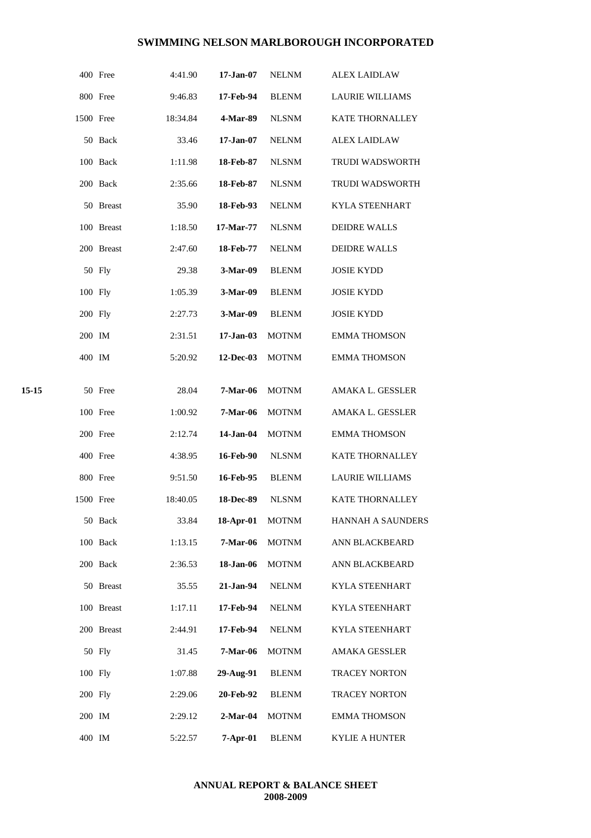|       |           | 400 Free   | 4:41.90  | $17 - Jan-07$    | <b>NELNM</b> | ALEX LAIDLAW           |
|-------|-----------|------------|----------|------------------|--------------|------------------------|
|       |           | 800 Free   | 9:46.83  | 17-Feb-94        | <b>BLENM</b> | <b>LAURIE WILLIAMS</b> |
|       | 1500 Free |            | 18:34.84 | 4-Mar-89         | <b>NLSNM</b> | <b>KATE THORNALLEY</b> |
|       |           | 50 Back    | 33.46    | $17 - Jan-07$    | <b>NELNM</b> | <b>ALEX LAIDLAW</b>    |
|       |           | 100 Back   | 1:11.98  | 18-Feb-87        | <b>NLSNM</b> | <b>TRUDI WADSWORTH</b> |
|       |           | 200 Back   | 2:35.66  | 18-Feb-87        | <b>NLSNM</b> | <b>TRUDI WADSWORTH</b> |
|       |           | 50 Breast  | 35.90    | 18-Feb-93        | <b>NELNM</b> | <b>KYLA STEENHART</b>  |
|       |           | 100 Breast | 1:18.50  | 17-Mar-77        | <b>NLSNM</b> | <b>DEIDRE WALLS</b>    |
|       |           | 200 Breast | 2:47.60  | 18-Feb-77        | <b>NELNM</b> | <b>DEIDRE WALLS</b>    |
|       |           | 50 Fly     | 29.38    | 3-Mar-09         | <b>BLENM</b> | <b>JOSIE KYDD</b>      |
|       | 100 Fly   |            | 1:05.39  | 3-Mar-09         | <b>BLENM</b> | <b>JOSIE KYDD</b>      |
|       | 200 Fly   |            | 2:27.73  | 3-Mar-09         | <b>BLENM</b> | <b>JOSIE KYDD</b>      |
|       | 200 IM    |            | 2:31.51  | $17-Jan-03$      | <b>MOTNM</b> | <b>EMMA THOMSON</b>    |
|       | 400 IM    |            | 5:20.92  | 12-Dec-03        | <b>MOTNM</b> | <b>EMMA THOMSON</b>    |
|       |           |            |          |                  |              |                        |
| 15-15 |           | 50 Free    | 28.04    | <b>7-Mar-06</b>  | <b>MOTNM</b> | AMAKA L. GESSLER       |
|       |           | 100 Free   | 1:00.92  | <b>7-Mar-06</b>  | <b>MOTNM</b> | AMAKA L. GESSLER       |
|       |           | 200 Free   | 2:12.74  | 14-Jan-04        | <b>MOTNM</b> | <b>EMMA THOMSON</b>    |
|       |           | 400 Free   | 4:38.95  | <b>16-Feb-90</b> | <b>NLSNM</b> | KATE THORNALLEY        |
|       |           | 800 Free   | 9:51.50  | 16-Feb-95        | <b>BLENM</b> | LAURIE WILLIAMS        |
|       | 1500 Free |            | 18:40.05 | 18-Dec-89        | <b>NLSNM</b> | <b>KATE THORNALLEY</b> |
|       |           | 50 Back    | 33.84    | 18-Apr-01        | <b>MOTNM</b> | HANNAH A SAUNDERS      |
|       |           | 100 Back   | 1:13.15  | 7-Mar-06         | <b>MOTNM</b> | ANN BLACKBEARD         |
|       |           | 200 Back   | 2:36.53  | 18-Jan-06        | <b>MOTNM</b> | ANN BLACKBEARD         |
|       |           | 50 Breast  | 35.55    | 21-Jan-94        | <b>NELNM</b> | KYLA STEENHART         |
|       |           | 100 Breast | 1:17.11  | 17-Feb-94        | <b>NELNM</b> | <b>KYLA STEENHART</b>  |
|       |           | 200 Breast | 2:44.91  | 17-Feb-94        | <b>NELNM</b> | KYLA STEENHART         |
|       |           | 50 Fly     | 31.45    | 7-Mar-06         | <b>MOTNM</b> | AMAKA GESSLER          |
|       | 100 Fly   |            | 1:07.88  | 29-Aug-91        | <b>BLENM</b> | TRACEY NORTON          |
|       | 200 Fly   |            | 2:29.06  | 20-Feb-92        | <b>BLENM</b> | TRACEY NORTON          |
|       | 200 IM    |            | 2:29.12  | $2-Mar-04$       | <b>MOTNM</b> | <b>EMMA THOMSON</b>    |
|       | 400 IM    |            | 5:22.57  | $7-Apr-01$       | <b>BLENM</b> | KYLIE A HUNTER         |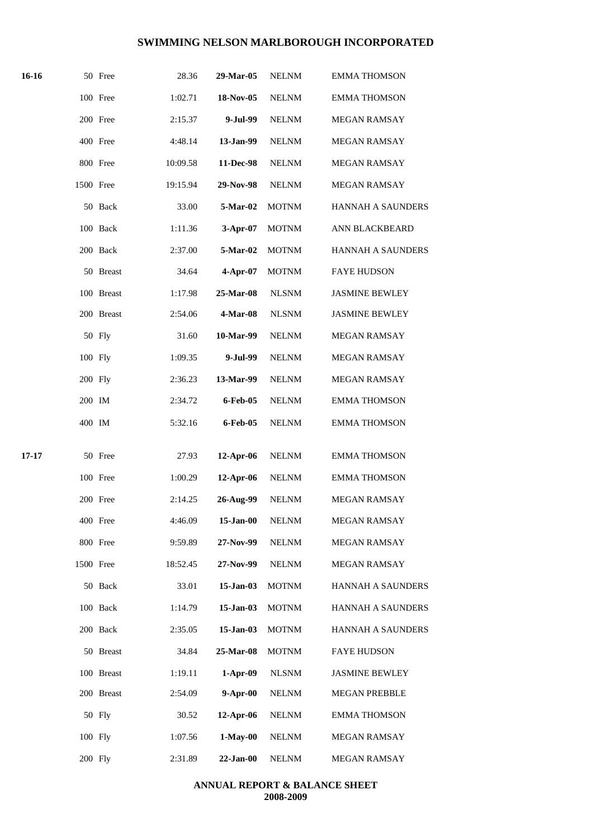| 16-16 |           | 50 Free    | 28.36    | 29-Mar-05   | <b>NELNM</b> | <b>EMMA THOMSON</b>      |
|-------|-----------|------------|----------|-------------|--------------|--------------------------|
|       |           | 100 Free   | 1:02.71  | 18-Nov-05   | <b>NELNM</b> | <b>EMMA THOMSON</b>      |
|       |           | 200 Free   | 2:15.37  | 9-Jul-99    | <b>NELNM</b> | MEGAN RAMSAY             |
|       |           | 400 Free   | 4:48.14  | 13-Jan-99   | <b>NELNM</b> | <b>MEGAN RAMSAY</b>      |
|       |           | 800 Free   | 10:09.58 | 11-Dec-98   | <b>NELNM</b> | MEGAN RAMSAY             |
|       | 1500 Free |            | 19:15.94 | 29-Nov-98   | $\it NELNM$  | <b>MEGAN RAMSAY</b>      |
|       |           | 50 Back    | 33.00    | $5-Mar-02$  | <b>MOTNM</b> | <b>HANNAH A SAUNDERS</b> |
|       |           | 100 Back   | 1:11.36  | 3-Apr-07    | <b>MOTNM</b> | ANN BLACKBEARD           |
|       |           | 200 Back   | 2:37.00  | 5-Mar-02    | <b>MOTNM</b> | <b>HANNAH A SAUNDERS</b> |
|       |           | 50 Breast  | 34.64    | $4-Apr-07$  | <b>MOTNM</b> | <b>FAYE HUDSON</b>       |
|       |           | 100 Breast | 1:17.98  | 25-Mar-08   | <b>NLSNM</b> | <b>JASMINE BEWLEY</b>    |
|       |           | 200 Breast | 2:54.06  | 4-Mar-08    | <b>NLSNM</b> | <b>JASMINE BEWLEY</b>    |
|       |           | 50 Fly     | 31.60    | 10-Mar-99   | <b>NELNM</b> | <b>MEGAN RAMSAY</b>      |
|       | 100 Fly   |            | 1:09.35  | 9-Jul-99    | <b>NELNM</b> | <b>MEGAN RAMSAY</b>      |
|       | 200 Fly   |            | 2:36.23  | 13-Mar-99   | <b>NELNM</b> | MEGAN RAMSAY             |
|       | 200 IM    |            | 2:34.72  | 6-Feb-05    | <b>NELNM</b> | <b>EMMA THOMSON</b>      |
|       | 400 IM    |            | 5:32.16  | 6-Feb-05    | <b>NELNM</b> | <b>EMMA THOMSON</b>      |
| 17-17 |           | 50 Free    | 27.93    | 12-Apr-06   | <b>NELNM</b> | <b>EMMA THOMSON</b>      |
|       |           | 100 Free   | 1:00.29  | 12-Apr-06   | <b>NELNM</b> | <b>EMMA THOMSON</b>      |
|       |           | 200 Free   | 2:14.25  | 26-Aug-99   | <b>NELNM</b> | <b>MEGAN RAMSAY</b>      |
|       |           | 400 Free   | 4:46.09  | 15-Jan-00   | <b>NELNM</b> | <b>MEGAN RAMSAY</b>      |
|       |           | 800 Free   | 9:59.89  | 27-Nov-99   | <b>NELNM</b> | <b>MEGAN RAMSAY</b>      |
|       | 1500 Free |            | 18:52.45 | 27-Nov-99   | <b>NELNM</b> | <b>MEGAN RAMSAY</b>      |
|       |           | 50 Back    | 33.01    | 15-Jan-03   | <b>MOTNM</b> | HANNAH A SAUNDERS        |
|       |           | 100 Back   | 1:14.79  | 15-Jan-03   | <b>MOTNM</b> | HANNAH A SAUNDERS        |
|       |           | 200 Back   | 2:35.05  | 15-Jan-03   | <b>MOTNM</b> | HANNAH A SAUNDERS        |
|       |           | 50 Breast  | 34.84    | 25-Mar-08   | <b>MOTNM</b> | <b>FAYE HUDSON</b>       |
|       |           | 100 Breast | 1:19.11  | $1-Apr-09$  | <b>NLSNM</b> | <b>JASMINE BEWLEY</b>    |
|       |           | 200 Breast | 2:54.09  | $9-Apr-00$  | <b>NELNM</b> | <b>MEGAN PREBBLE</b>     |
|       |           | 50 Fly     | 30.52    | 12-Apr-06   | <b>NELNM</b> | <b>EMMA THOMSON</b>      |
|       | 100 Fly   |            | 1:07.56  | $1-May-00$  | <b>NELNM</b> | MEGAN RAMSAY             |
|       | 200 Fly   |            | 2:31.89  | $22-Jan-00$ | <b>NELNM</b> | MEGAN RAMSAY             |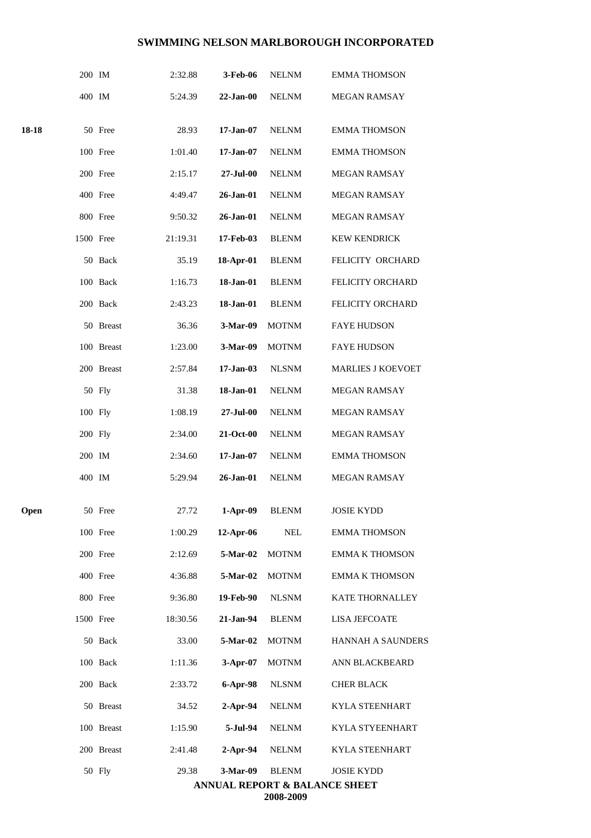|             | 200 IM    |            | 2:32.88  | 3-Feb-06        | <b>NELNM</b> | <b>EMMA THOMSON</b>                                |
|-------------|-----------|------------|----------|-----------------|--------------|----------------------------------------------------|
|             | 400 IM    |            | 5:24.39  | $22-Jan-00$     | <b>NELNM</b> | <b>MEGAN RAMSAY</b>                                |
| 18-18       |           | 50 Free    | 28.93    | $17 - Jan-07$   | <b>NELNM</b> | <b>EMMA THOMSON</b>                                |
|             |           | 100 Free   | 1:01.40  | $17 - Jan-07$   | <b>NELNM</b> | <b>EMMA THOMSON</b>                                |
|             |           | 200 Free   | 2:15.17  | 27-Jul-00       | <b>NELNM</b> | MEGAN RAMSAY                                       |
|             |           | 400 Free   | 4:49.47  | 26-Jan-01       | <b>NELNM</b> | <b>MEGAN RAMSAY</b>                                |
|             |           | 800 Free   | 9:50.32  | 26-Jan-01       | <b>NELNM</b> | <b>MEGAN RAMSAY</b>                                |
|             | 1500 Free |            | 21:19.31 | 17-Feb-03       | <b>BLENM</b> | <b>KEW KENDRICK</b>                                |
|             |           | 50 Back    | 35.19    | 18-Apr-01       | <b>BLENM</b> | FELICITY ORCHARD                                   |
|             |           | 100 Back   | 1:16.73  | 18-Jan-01       | <b>BLENM</b> | FELICITY ORCHARD                                   |
|             |           | 200 Back   | 2:43.23  | 18-Jan-01       | <b>BLENM</b> | FELICITY ORCHARD                                   |
|             |           | 50 Breast  | 36.36    | 3-Mar-09        | <b>MOTNM</b> | <b>FAYE HUDSON</b>                                 |
|             |           | 100 Breast | 1:23.00  | 3-Mar-09        | <b>MOTNM</b> | <b>FAYE HUDSON</b>                                 |
|             |           | 200 Breast | 2:57.84  | $17-Jan-03$     | <b>NLSNM</b> | <b>MARLIES J KOEVOET</b>                           |
|             |           | 50 Fly     | 31.38    | 18-Jan-01       | <b>NELNM</b> | <b>MEGAN RAMSAY</b>                                |
|             | 100 Fly   |            | 1:08.19  | 27-Jul-00       | <b>NELNM</b> | MEGAN RAMSAY                                       |
|             | 200 Fly   |            | 2:34.00  | 21-Oct-00       | <b>NELNM</b> | <b>MEGAN RAMSAY</b>                                |
|             | 200 IM    |            | 2:34.60  | $17 - Jan-07$   | <b>NELNM</b> | <b>EMMA THOMSON</b>                                |
|             | 400 IM    |            | 5:29.94  | $26$ -Jan- $01$ | <b>NELNM</b> | MEGAN RAMSAY                                       |
| <b>Open</b> |           | 50 Free    | 27.72    | 1-Apr-09        | <b>BLENM</b> | <b>JOSIE KYDD</b>                                  |
|             |           | 100 Free   | 1:00.29  | $12$ -Apr-06    | NEL          | <b>EMMA THOMSON</b>                                |
|             |           | 200 Free   | 2:12.69  | 5-Mar-02        | <b>MOTNM</b> | <b>EMMA K THOMSON</b>                              |
|             |           | 400 Free   | 4:36.88  | 5-Mar-02        | <b>MOTNM</b> | <b>EMMA K THOMSON</b>                              |
|             |           | 800 Free   | 9:36.80  | 19-Feb-90       | <b>NLSNM</b> | KATE THORNALLEY                                    |
|             | 1500 Free |            | 18:30.56 | 21-Jan-94       | <b>BLENM</b> | <b>LISA JEFCOATE</b>                               |
|             |           | 50 Back    | 33.00    | 5-Mar-02        | <b>MOTNM</b> | HANNAH A SAUNDERS                                  |
|             |           | 100 Back   | 1:11.36  | $3-Apr-07$      | <b>MOTNM</b> | ANN BLACKBEARD                                     |
|             |           | 200 Back   | 2:33.72  | 6-Apr-98        | <b>NLSNM</b> | <b>CHER BLACK</b>                                  |
|             |           | 50 Breast  | 34.52    | $2$ -Apr-94     | <b>NELNM</b> | KYLA STEENHART                                     |
|             |           | 100 Breast | 1:15.90  | 5-Jul-94        | <b>NELNM</b> | KYLA STYEENHART                                    |
|             |           | 200 Breast | 2:41.48  | $2-Apr-94$      | <b>NELNM</b> | <b>KYLA STEENHART</b>                              |
|             |           | 50 Fly     | 29.38    | 3-Mar-09        | <b>BLENM</b> | <b>JOSIE KYDD</b><br>ANNUAL REPORT & BALANCE SHEET |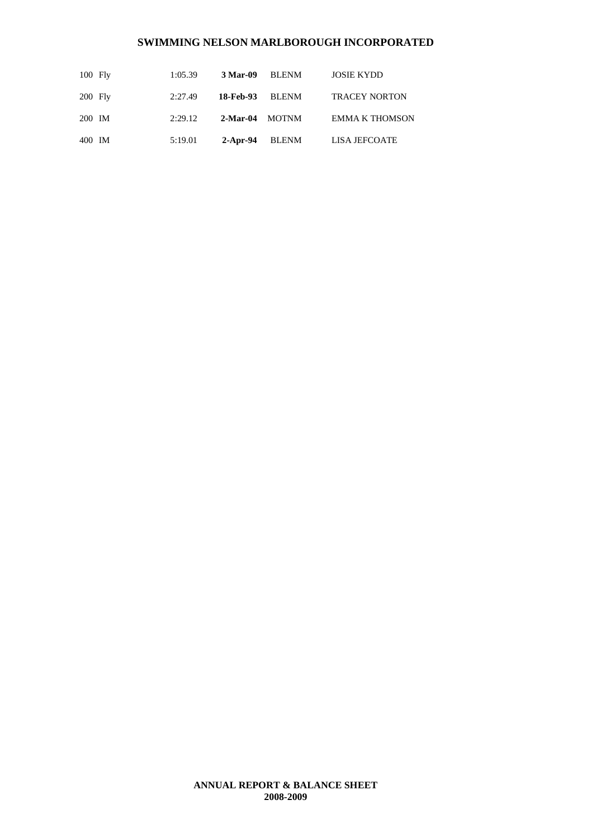| $100$ Fly | 1:05.39 | 3 Mar-09 BLENM |       | <b>JOSIE KYDD</b>     |
|-----------|---------|----------------|-------|-----------------------|
| $200$ Fly | 2:27.49 | 18-Feb-93      | BLENM | <b>TRACEY NORTON</b>  |
| 200 IM    | 2:29.12 | 2-Mar-04 MOTNM |       | <b>EMMA K THOMSON</b> |
| 400 IM    | 5:19.01 | 2-Apr-94       | BLENM | LISA JEFCOATE         |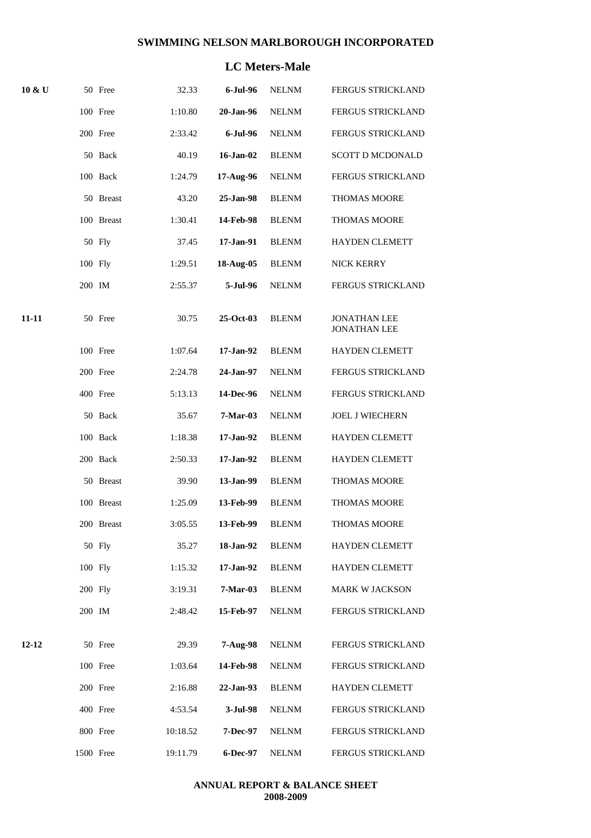# **LC Meters-Male**

| $10 \& U$ |           | 50 Free    | 32.33    | $6$ -Jul- $96$ | <b>NELNM</b> | FERGUS STRICKLAND                          |
|-----------|-----------|------------|----------|----------------|--------------|--------------------------------------------|
|           |           | 100 Free   | 1:10.80  | 20-Jan-96      | <b>NELNM</b> | <b>FERGUS STRICKLAND</b>                   |
|           |           | 200 Free   | 2:33.42  | 6-Jul-96       | <b>NELNM</b> | FERGUS STRICKLAND                          |
|           |           | 50 Back    | 40.19    | 16-Jan-02      | <b>BLENM</b> | <b>SCOTT D MCDONALD</b>                    |
|           |           | 100 Back   | 1:24.79  | 17-Aug-96      | <b>NELNM</b> | <b>FERGUS STRICKLAND</b>                   |
|           |           | 50 Breast  | 43.20    | 25-Jan-98      | <b>BLENM</b> | <b>THOMAS MOORE</b>                        |
|           |           | 100 Breast | 1:30.41  | 14-Feb-98      | <b>BLENM</b> | <b>THOMAS MOORE</b>                        |
|           |           | 50 Fly     | 37.45    | 17-Jan-91      | <b>BLENM</b> | <b>HAYDEN CLEMETT</b>                      |
|           | 100 Fly   |            | 1:29.51  | 18-Aug-05      | <b>BLENM</b> | NICK KERRY                                 |
|           | 200 IM    |            | 2:55.37  | 5-Jul-96       | <b>NELNM</b> | FERGUS STRICKLAND                          |
| 11-11     |           | 50 Free    | 30.75    | 25-Oct-03      | <b>BLENM</b> | <b>JONATHAN LEE</b><br><b>JONATHAN LEE</b> |
|           |           | 100 Free   | 1:07.64  | 17-Jan-92      | <b>BLENM</b> | <b>HAYDEN CLEMETT</b>                      |
|           |           | 200 Free   | 2:24.78  | 24-Jan-97      | <b>NELNM</b> | <b>FERGUS STRICKLAND</b>                   |
|           |           | 400 Free   | 5:13.13  | 14-Dec-96      | <b>NELNM</b> | <b>FERGUS STRICKLAND</b>                   |
|           |           | 50 Back    | 35.67    | $7-Mar-03$     | <b>NELNM</b> | <b>JOEL J WIECHERN</b>                     |
|           |           | 100 Back   | 1:18.38  | 17-Jan-92      | <b>BLENM</b> | HAYDEN CLEMETT                             |
|           |           | 200 Back   | 2:50.33  | 17-Jan-92      | <b>BLENM</b> | <b>HAYDEN CLEMETT</b>                      |
|           |           | 50 Breast  | 39.90    | 13-Jan-99      | <b>BLENM</b> | <b>THOMAS MOORE</b>                        |
|           |           | 100 Breast | 1:25.09  | 13-Feb-99      | <b>BLENM</b> | <b>THOMAS MOORE</b>                        |
|           |           | 200 Breast | 3:05.55  | 13-Feb-99      | <b>BLENM</b> | <b>THOMAS MOORE</b>                        |
|           |           | 50 Fly     | 35.27    | 18-Jan-92      | <b>BLENM</b> | <b>HAYDEN CLEMETT</b>                      |
|           | 100 Fly   |            | 1:15.32  | 17-Jan-92      | BLENM        | <b>HAYDEN CLEMETT</b>                      |
|           | 200 Fly   |            | 3:19.31  | 7-Mar-03       | <b>BLENM</b> | MARK W JACKSON                             |
|           | 200 IM    |            | 2:48.42  | 15-Feb-97      | <b>NELNM</b> | <b>FERGUS STRICKLAND</b>                   |
| $12 - 12$ |           | 50 Free    | 29.39    | $7-Aug-98$     | NELNM        | <b>FERGUS STRICKLAND</b>                   |
|           |           | 100 Free   | 1:03.64  | 14-Feb-98      | NELNM        | FERGUS STRICKLAND                          |
|           |           | 200 Free   | 2:16.88  | 22-Jan-93      | <b>BLENM</b> | HAYDEN CLEMETT                             |
|           |           | 400 Free   | 4:53.54  | 3-Jul-98       | NELNM        | FERGUS STRICKLAND                          |
|           |           | 800 Free   | 10:18.52 | 7-Dec-97       | <b>NELNM</b> | FERGUS STRICKLAND                          |
|           | 1500 Free |            | 19:11.79 | 6-Dec-97       | <b>NELNM</b> | FERGUS STRICKLAND                          |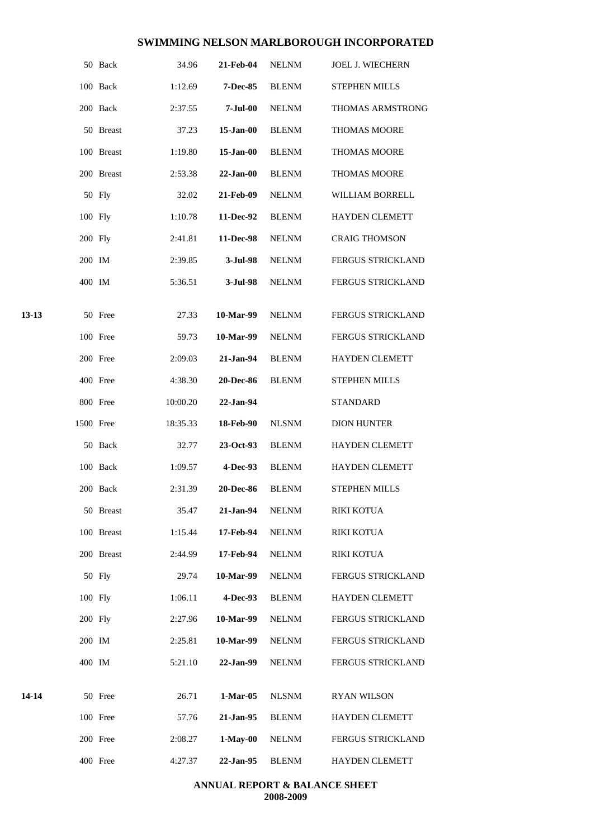|       |           | 50 Back    | 34.96    | 21-Feb-04        | NELNM        | <b>JOEL J. WIECHERN</b>  |
|-------|-----------|------------|----------|------------------|--------------|--------------------------|
|       |           | 100 Back   | 1:12.69  | <b>7-Dec-85</b>  | <b>BLENM</b> | STEPHEN MILLS            |
|       |           | 200 Back   | 2:37.55  | $7 -$ Jul $-00$  | <b>NELNM</b> | THOMAS ARMSTRONG         |
|       |           | 50 Breast  | 37.23    | 15-Jan-00        | <b>BLENM</b> | <b>THOMAS MOORE</b>      |
|       |           | 100 Breast | 1:19.80  | $15$ -Jan- $00$  | <b>BLENM</b> | THOMAS MOORE             |
|       |           | 200 Breast | 2:53.38  | $22-Jan-00$      | <b>BLENM</b> | <b>THOMAS MOORE</b>      |
|       |           | 50 Fly     | 32.02    | 21-Feb-09        | <b>NELNM</b> | WILLIAM BORRELL          |
|       | 100 Fly   |            | 1:10.78  | 11-Dec-92        | <b>BLENM</b> | <b>HAYDEN CLEMETT</b>    |
|       | 200 Fly   |            | 2:41.81  | 11-Dec-98        | <b>NELNM</b> | <b>CRAIG THOMSON</b>     |
|       | 200 IM    |            | 2:39.85  | 3-Jul-98         | <b>NELNM</b> | FERGUS STRICKLAND        |
|       | 400 IM    |            | 5:36.51  | 3-Jul-98         | <b>NELNM</b> | FERGUS STRICKLAND        |
| 13-13 |           | 50 Free    | 27.33    | 10-Mar-99        | <b>NELNM</b> | <b>FERGUS STRICKLAND</b> |
|       |           | 100 Free   | 59.73    | 10-Mar-99        | <b>NELNM</b> | <b>FERGUS STRICKLAND</b> |
|       |           | 200 Free   | 2:09.03  | 21-Jan-94        | <b>BLENM</b> | <b>HAYDEN CLEMETT</b>    |
|       |           | 400 Free   | 4:38.30  | <b>20-Dec-86</b> | <b>BLENM</b> | <b>STEPHEN MILLS</b>     |
|       |           | 800 Free   | 10:00.20 | 22-Jan-94        |              | <b>STANDARD</b>          |
|       | 1500 Free |            | 18:35.33 | 18-Feb-90        | <b>NLSNM</b> | <b>DION HUNTER</b>       |
|       |           | 50 Back    | 32.77    | $23-Oct-93$      | <b>BLENM</b> | <b>HAYDEN CLEMETT</b>    |
|       |           | 100 Back   | 1:09.57  | 4-Dec-93         | <b>BLENM</b> | HAYDEN CLEMETT           |
|       |           | 200 Back   | 2:31.39  | <b>20-Dec-86</b> | <b>BLENM</b> | <b>STEPHEN MILLS</b>     |
|       |           | 50 Breast  | 35.47    | 21-Jan-94        | <b>NELNM</b> | <b>RIKI KOTUA</b>        |
|       |           | 100 Breast | 1:15.44  | 17-Feb-94        | <b>NELNM</b> | <b>RIKI KOTUA</b>        |
|       |           | 200 Breast | 2:44.99  | 17-Feb-94        | <b>NELNM</b> | RIKI KOTUA               |
|       |           | 50 Fly     | 29.74    | 10-Mar-99        | <b>NELNM</b> | FERGUS STRICKLAND        |
|       | 100 Fly   |            | 1:06.11  | 4-Dec-93         | <b>BLENM</b> | HAYDEN CLEMETT           |
|       | 200 Fly   |            | 2:27.96  | 10-Mar-99        | <b>NELNM</b> | FERGUS STRICKLAND        |
|       | 200 IM    |            | 2:25.81  | 10-Mar-99        | <b>NELNM</b> | FERGUS STRICKLAND        |
|       | 400 IM    |            | 5:21.10  | 22-Jan-99        | <b>NELNM</b> | FERGUS STRICKLAND        |
| 14-14 |           | 50 Free    | 26.71    | $1-Mar-05$       | <b>NLSNM</b> | <b>RYAN WILSON</b>       |
|       |           | 100 Free   | 57.76    | 21-Jan-95        | <b>BLENM</b> | HAYDEN CLEMETT           |
|       |           | 200 Free   | 2:08.27  | $1-May-00$       | <b>NELNM</b> | FERGUS STRICKLAND        |
|       |           | 400 Free   | 4:27.37  | 22-Jan-95        | <b>BLENM</b> | <b>HAYDEN CLEMETT</b>    |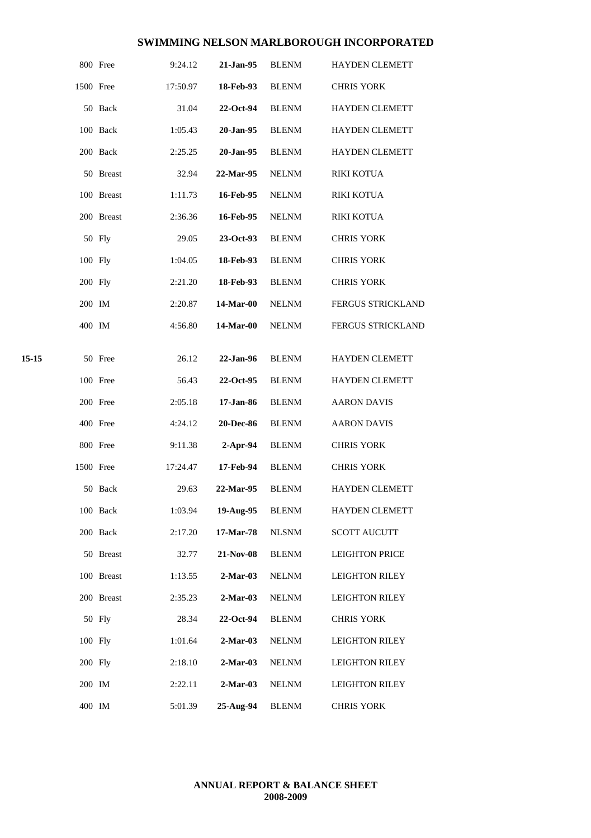|       |           | 800 Free   | 9:24.12  | 21-Jan-95  | <b>BLENM</b> | <b>HAYDEN CLEMETT</b> |
|-------|-----------|------------|----------|------------|--------------|-----------------------|
|       | 1500 Free |            | 17:50.97 | 18-Feb-93  | <b>BLENM</b> | <b>CHRIS YORK</b>     |
|       |           | 50 Back    | 31.04    | 22-Oct-94  | <b>BLENM</b> | <b>HAYDEN CLEMETT</b> |
|       |           | 100 Back   | 1:05.43  | 20-Jan-95  | <b>BLENM</b> | <b>HAYDEN CLEMETT</b> |
|       |           | 200 Back   | 2:25.25  | 20-Jan-95  | <b>BLENM</b> | <b>HAYDEN CLEMETT</b> |
|       |           | 50 Breast  | 32.94    | 22-Mar-95  | <b>NELNM</b> | <b>RIKI KOTUA</b>     |
|       |           | 100 Breast | 1:11.73  | 16-Feb-95  | <b>NELNM</b> | <b>RIKI KOTUA</b>     |
|       |           | 200 Breast | 2:36.36  | 16-Feb-95  | <b>NELNM</b> | <b>RIKI KOTUA</b>     |
|       |           | 50 Fly     | 29.05    | 23-Oct-93  | <b>BLENM</b> | <b>CHRIS YORK</b>     |
|       | 100 Fly   |            | 1:04.05  | 18-Feb-93  | <b>BLENM</b> | <b>CHRIS YORK</b>     |
|       | 200 Fly   |            | 2:21.20  | 18-Feb-93  | <b>BLENM</b> | <b>CHRIS YORK</b>     |
|       | 200 IM    |            | 2:20.87  | 14-Mar-00  | <b>NELNM</b> | FERGUS STRICKLAND     |
|       | 400 IM    |            | 4:56.80  | 14-Mar-00  | <b>NELNM</b> | FERGUS STRICKLAND     |
| 15-15 |           | 50 Free    | 26.12    | 22-Jan-96  | <b>BLENM</b> | <b>HAYDEN CLEMETT</b> |
|       |           | 100 Free   | 56.43    | 22-Oct-95  | <b>BLENM</b> | <b>HAYDEN CLEMETT</b> |
|       |           | 200 Free   | 2:05.18  | 17-Jan-86  | <b>BLENM</b> | <b>AARON DAVIS</b>    |
|       |           | 400 Free   | 4:24.12  | 20-Dec-86  | <b>BLENM</b> | <b>AARON DAVIS</b>    |
|       |           | 800 Free   | 9:11.38  | $2-Apr-94$ | <b>BLENM</b> | <b>CHRIS YORK</b>     |
|       | 1500 Free |            | 17:24.47 | 17-Feb-94  | <b>BLENM</b> | <b>CHRIS YORK</b>     |
|       |           | 50 Back    | 29.63    | 22-Mar-95  | <b>BLENM</b> | <b>HAYDEN CLEMETT</b> |
|       |           | 100 Back   | 1:03.94  | 19-Aug-95  | <b>BLENM</b> | <b>HAYDEN CLEMETT</b> |
|       |           | 200 Back   | 2:17.20  | 17-Mar-78  | <b>NLSNM</b> | <b>SCOTT AUCUTT</b>   |
|       |           | 50 Breast  | 32.77    | 21-Nov-08  | <b>BLENM</b> | <b>LEIGHTON PRICE</b> |
|       |           | 100 Breast | 1:13.55  | $2-Mar-03$ | <b>NELNM</b> | <b>LEIGHTON RILEY</b> |
|       |           | 200 Breast | 2:35.23  | $2-Mar-03$ | <b>NELNM</b> | <b>LEIGHTON RILEY</b> |
|       |           | 50 Fly     | 28.34    | 22-Oct-94  | <b>BLENM</b> | <b>CHRIS YORK</b>     |
|       | 100 Fly   |            | 1:01.64  | $2-Mar-03$ | <b>NELNM</b> | <b>LEIGHTON RILEY</b> |
|       | 200 Fly   |            | 2:18.10  | $2-Mar-03$ | <b>NELNM</b> | <b>LEIGHTON RILEY</b> |
|       | 200 IM    |            | 2:22.11  | $2-Mar-03$ | <b>NELNM</b> | <b>LEIGHTON RILEY</b> |
|       | 400 IM    |            | 5:01.39  | 25-Aug-94  | <b>BLENM</b> | <b>CHRIS YORK</b>     |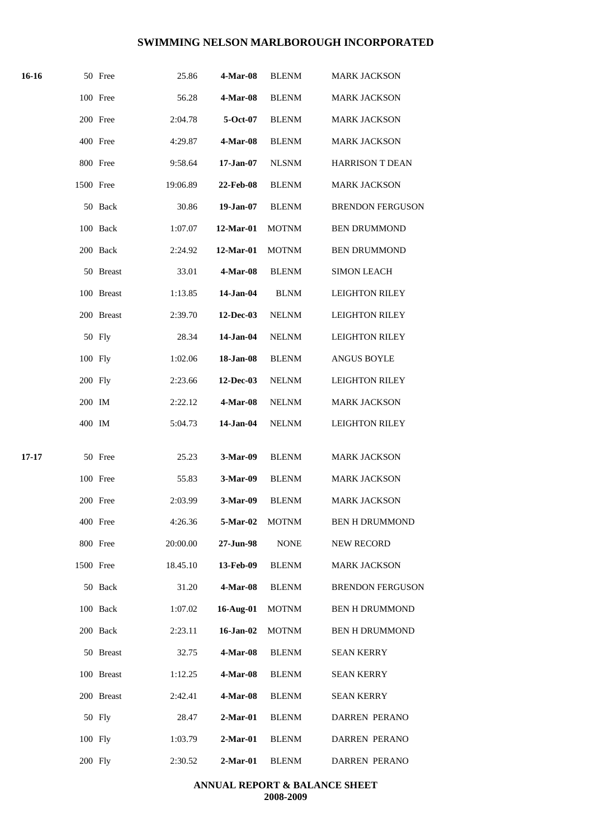| 16-16 |           | 50 Free    | 25.86    | 4-Mar-08         | <b>BLENM</b> | <b>MARK JACKSON</b>     |
|-------|-----------|------------|----------|------------------|--------------|-------------------------|
|       |           | 100 Free   | 56.28    | 4-Mar-08         | <b>BLENM</b> | <b>MARK JACKSON</b>     |
|       |           | 200 Free   | 2:04.78  | 5-Oct-07         | <b>BLENM</b> | <b>MARK JACKSON</b>     |
|       |           | 400 Free   | 4:29.87  | 4-Mar-08         | <b>BLENM</b> | <b>MARK JACKSON</b>     |
|       |           | 800 Free   | 9:58.64  | $17 - Jan-07$    | <b>NLSNM</b> | <b>HARRISON T DEAN</b>  |
|       | 1500 Free |            | 19:06.89 | 22-Feb-08        | <b>BLENM</b> | <b>MARK JACKSON</b>     |
|       |           | 50 Back    | 30.86    | 19-Jan-07        | <b>BLENM</b> | <b>BRENDON FERGUSON</b> |
|       |           | 100 Back   | 1:07.07  | 12-Mar-01        | <b>MOTNM</b> | <b>BEN DRUMMOND</b>     |
|       |           | 200 Back   | 2:24.92  | 12-Mar-01        | <b>MOTNM</b> | <b>BEN DRUMMOND</b>     |
|       |           | 50 Breast  | 33.01    | 4-Mar-08         | <b>BLENM</b> | <b>SIMON LEACH</b>      |
|       |           | 100 Breast | 1:13.85  | 14-Jan-04        | <b>BLNM</b>  | <b>LEIGHTON RILEY</b>   |
|       |           | 200 Breast | 2:39.70  | <b>12-Dec-03</b> | <b>NELNM</b> | <b>LEIGHTON RILEY</b>   |
|       |           | 50 Fly     | 28.34    | 14-Jan-04        | <b>NELNM</b> | <b>LEIGHTON RILEY</b>   |
|       | 100 Fly   |            | 1:02.06  | 18-Jan-08        | <b>BLENM</b> | <b>ANGUS BOYLE</b>      |
|       | 200 Fly   |            | 2:23.66  | 12-Dec-03        | <b>NELNM</b> | <b>LEIGHTON RILEY</b>   |
|       | 200 IM    |            | 2:22.12  | <b>4-Mar-08</b>  | <b>NELNM</b> | <b>MARK JACKSON</b>     |
|       | 400 IM    |            | 5:04.73  | 14-Jan-04        | <b>NELNM</b> | <b>LEIGHTON RILEY</b>   |
| 17-17 |           | 50 Free    | 25.23    | 3-Mar-09         | <b>BLENM</b> | <b>MARK JACKSON</b>     |
|       |           | 100 Free   | 55.83    | 3-Mar-09         | <b>BLENM</b> | <b>MARK JACKSON</b>     |
|       |           | 200 Free   | 2:03.99  | 3-Mar-09         | <b>BLENM</b> | <b>MARK JACKSON</b>     |
|       |           | 400 Free   | 4:26.36  | 5-Mar-02         | <b>MOTNM</b> | <b>BEN H DRUMMOND</b>   |
|       |           | 800 Free   | 20:00.00 | 27-Jun-98        | <b>NONE</b>  | NEW RECORD              |
|       | 1500 Free |            | 18.45.10 | 13-Feb-09        | <b>BLENM</b> | <b>MARK JACKSON</b>     |
|       |           | 50 Back    | 31.20    | 4-Mar-08         | <b>BLENM</b> | <b>BRENDON FERGUSON</b> |
|       |           | 100 Back   | 1:07.02  | 16-Aug-01        | <b>MOTNM</b> | <b>BEN H DRUMMOND</b>   |
|       |           | 200 Back   | 2:23.11  | 16-Jan-02        | <b>MOTNM</b> | <b>BEN H DRUMMOND</b>   |
|       |           | 50 Breast  | 32.75    | 4-Mar-08         | <b>BLENM</b> | <b>SEAN KERRY</b>       |
|       |           | 100 Breast | 1:12.25  | 4-Mar-08         | <b>BLENM</b> | <b>SEAN KERRY</b>       |
|       |           | 200 Breast | 2:42.41  | 4-Mar-08         | <b>BLENM</b> | <b>SEAN KERRY</b>       |
|       |           | 50 Fly     | 28.47    | $2-Mar-01$       | <b>BLENM</b> | DARREN PERANO           |
|       | 100 Fly   |            | 1:03.79  | $2-Mar-01$       | <b>BLENM</b> | DARREN PERANO           |
|       | 200 Fly   |            | 2:30.52  | $2-Mar-01$       | <b>BLENM</b> | <b>DARREN PERANO</b>    |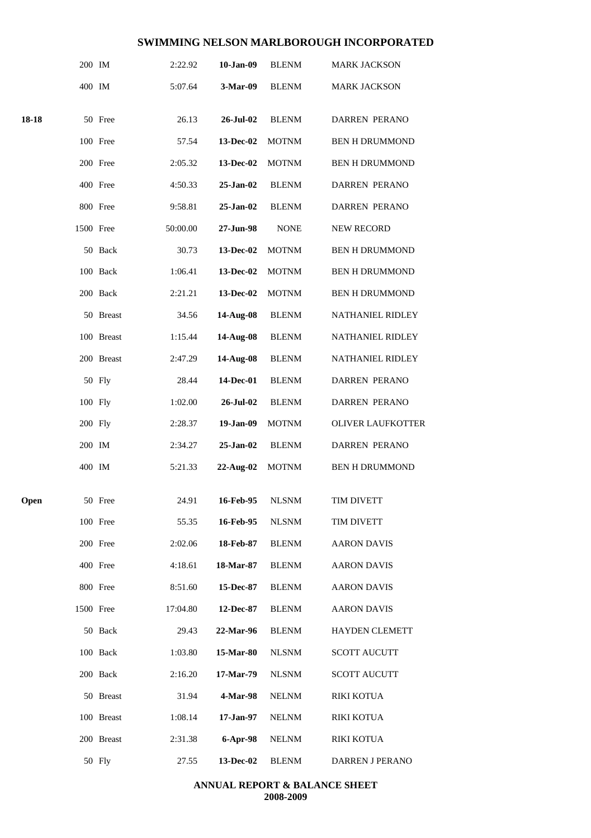|       | 200 IM    |            | 2:22.92  | 10-Jan-09   | <b>BLENM</b> | <b>MARK JACKSON</b>      |
|-------|-----------|------------|----------|-------------|--------------|--------------------------|
|       | 400 IM    |            | 5:07.64  | 3-Mar-09    | <b>BLENM</b> | <b>MARK JACKSON</b>      |
| 18-18 |           | 50 Free    | 26.13    | 26-Jul-02   | <b>BLENM</b> | <b>DARREN PERANO</b>     |
|       |           | 100 Free   | 57.54    | 13-Dec-02   | <b>MOTNM</b> | <b>BEN H DRUMMOND</b>    |
|       |           | 200 Free   | 2:05.32  | 13-Dec-02   | <b>MOTNM</b> | <b>BEN H DRUMMOND</b>    |
|       |           | 400 Free   | 4:50.33  | $25-Jan-02$ | <b>BLENM</b> | <b>DARREN PERANO</b>     |
|       |           | 800 Free   | 9:58.81  | 25-Jan-02   | <b>BLENM</b> | <b>DARREN PERANO</b>     |
|       | 1500 Free |            | 50:00.00 | 27-Jun-98   | <b>NONE</b>  | <b>NEW RECORD</b>        |
|       |           | 50 Back    | 30.73    | 13-Dec-02   | <b>MOTNM</b> | <b>BEN H DRUMMOND</b>    |
|       |           | 100 Back   | 1:06.41  | 13-Dec-02   | <b>MOTNM</b> | <b>BEN H DRUMMOND</b>    |
|       |           | 200 Back   | 2:21.21  | 13-Dec-02   | <b>MOTNM</b> | <b>BEN H DRUMMOND</b>    |
|       |           | 50 Breast  | 34.56    | 14-Aug-08   | <b>BLENM</b> | NATHANIEL RIDLEY         |
|       |           | 100 Breast | 1:15.44  | 14-Aug-08   | <b>BLENM</b> | NATHANIEL RIDLEY         |
|       |           | 200 Breast | 2:47.29  | 14-Aug-08   | <b>BLENM</b> | NATHANIEL RIDLEY         |
|       |           | 50 Fly     | 28.44    | 14-Dec-01   | <b>BLENM</b> | DARREN PERANO            |
|       |           | 100 Fly    | 1:02.00  | 26-Jul-02   | <b>BLENM</b> | DARREN PERANO            |
|       |           | 200 Fly    | 2:28.37  | 19-Jan-09   | <b>MOTNM</b> | <b>OLIVER LAUFKOTTER</b> |
|       | 200 IM    |            | 2:34.27  | 25-Jan-02   | <b>BLENM</b> | <b>DARREN PERANO</b>     |
|       | 400 IM    |            | 5:21.33  | 22-Aug-02   | <b>MOTNM</b> | <b>BEN H DRUMMOND</b>    |
| Open  |           | 50 Free    | 24.91    | 16-Feb-95   | <b>NLSNM</b> | TIM DIVETT               |
|       |           | 100 Free   | 55.35    | 16-Feb-95   | <b>NLSNM</b> | TIM DIVETT               |
|       |           | 200 Free   | 2:02.06  | 18-Feb-87   | <b>BLENM</b> | <b>AARON DAVIS</b>       |
|       |           | 400 Free   | 4:18.61  | 18-Mar-87   | <b>BLENM</b> | <b>AARON DAVIS</b>       |
|       |           | 800 Free   | 8:51.60  | 15-Dec-87   | <b>BLENM</b> | <b>AARON DAVIS</b>       |
|       | 1500 Free |            | 17:04.80 | 12-Dec-87   | <b>BLENM</b> | <b>AARON DAVIS</b>       |
|       |           | 50 Back    | 29.43    | 22-Mar-96   | <b>BLENM</b> | <b>HAYDEN CLEMETT</b>    |
|       |           | 100 Back   | 1:03.80  | 15-Mar-80   | <b>NLSNM</b> | <b>SCOTT AUCUTT</b>      |
|       |           | 200 Back   | 2:16.20  | 17-Mar-79   | <b>NLSNM</b> | <b>SCOTT AUCUTT</b>      |
|       |           | 50 Breast  | 31.94    | 4-Mar-98    | <b>NELNM</b> | <b>RIKI KOTUA</b>        |
|       |           | 100 Breast | 1:08.14  | 17-Jan-97   | <b>NELNM</b> | <b>RIKI KOTUA</b>        |
|       |           | 200 Breast | 2:31.38  | 6-Apr-98    | <b>NELNM</b> | RIKI KOTUA               |
|       |           | 50 Fly     | 27.55    | 13-Dec-02   | <b>BLENM</b> | DARREN J PERANO          |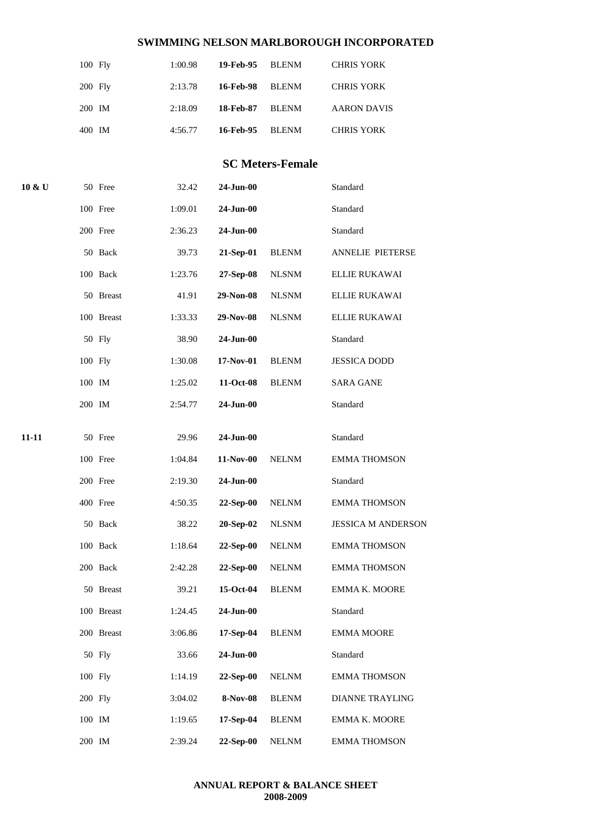|           | $100$ Fly | 1:00.98 | 19-Feb-95 BLENM |              | <b>CHRIS YORK</b>  |
|-----------|-----------|---------|-----------------|--------------|--------------------|
| $200$ Fly |           | 2:13.78 | 16-Feb-98       | BLENM        | <b>CHRIS YORK</b>  |
| 200 IM    |           | 2:18.09 | 18-Feb-87       | BLENM        | <b>AARON DAVIS</b> |
| 400 IM    |           | 4:56.77 | 16-Feb-95       | <b>BLENM</b> | <b>CHRIS YORK</b>  |

# **SC Meters-Female**

| 10 & U |         | 50 Free    | 32.42   | $24$ -Jun-00 |              | Standard                  |
|--------|---------|------------|---------|--------------|--------------|---------------------------|
|        |         | 100 Free   | 1:09.01 | 24-Jun-00    |              | Standard                  |
|        |         | 200 Free   | 2:36.23 | 24-Jun-00    |              | Standard                  |
|        |         | 50 Back    | 39.73   | 21-Sep-01    | <b>BLENM</b> | <b>ANNELIE PIETERSE</b>   |
|        |         | 100 Back   | 1:23.76 | 27-Sep-08    | <b>NLSNM</b> | ELLIE RUKAWAI             |
|        |         | 50 Breast  | 41.91   | 29-Non-08    | <b>NLSNM</b> | ELLIE RUKAWAI             |
|        |         | 100 Breast | 1:33.33 | 29-Nov-08    | <b>NLSNM</b> | ELLIE RUKAWAI             |
|        |         | 50 Fly     | 38.90   | 24-Jun-00    |              | Standard                  |
|        | 100 Fly |            | 1:30.08 | 17-Nov-01    | <b>BLENM</b> | <b>JESSICA DODD</b>       |
|        | 100 IM  |            | 1:25.02 | 11-Oct-08    | <b>BLENM</b> | <b>SARA GANE</b>          |
|        | 200 IM  |            | 2:54.77 | 24-Jun-00    |              | Standard                  |
| 11-11  |         |            |         | 24-Jun-00    |              | Standard                  |
|        |         | 50 Free    | 29.96   |              |              |                           |
|        |         | 100 Free   | 1:04.84 | 11-Nov-00    | <b>NELNM</b> | <b>EMMA THOMSON</b>       |
|        |         | 200 Free   | 2:19.30 | 24-Jun-00    |              | Standard                  |
|        |         | 400 Free   | 4:50.35 | 22-Sep-00    | <b>NELNM</b> | <b>EMMA THOMSON</b>       |
|        |         | 50 Back    | 38.22   | 20-Sep-02    | <b>NLSNM</b> | <b>JESSICA M ANDERSON</b> |
|        |         | 100 Back   | 1:18.64 | 22-Sep-00    | <b>NELNM</b> | <b>EMMA THOMSON</b>       |
|        |         | 200 Back   | 2:42.28 | $22-Sep-00$  | <b>NELNM</b> | <b>EMMA THOMSON</b>       |
|        |         | 50 Breast  | 39.21   | 15-Oct-04    | <b>BLENM</b> | EMMA K. MOORE             |
|        |         | 100 Breast | 1:24.45 | 24-Jun-00    |              | Standard                  |
|        |         | 200 Breast | 3:06.86 | 17-Sep-04    | <b>BLENM</b> | <b>EMMA MOORE</b>         |
|        |         | 50 Fly     | 33.66   | 24-Jun-00    |              | Standard                  |
|        | 100 Fly |            | 1:14.19 | 22-Sep-00    | <b>NELNM</b> | <b>EMMA THOMSON</b>       |
|        | 200 Fly |            | 3:04.02 | 8-Nov-08     | <b>BLENM</b> | <b>DIANNE TRAYLING</b>    |
|        | 100 IM  |            | 1:19.65 | 17-Sep-04    | <b>BLENM</b> | EMMA K. MOORE             |
|        | 200 IM  |            | 2:39.24 | 22-Sep-00    | <b>NELNM</b> | <b>EMMA THOMSON</b>       |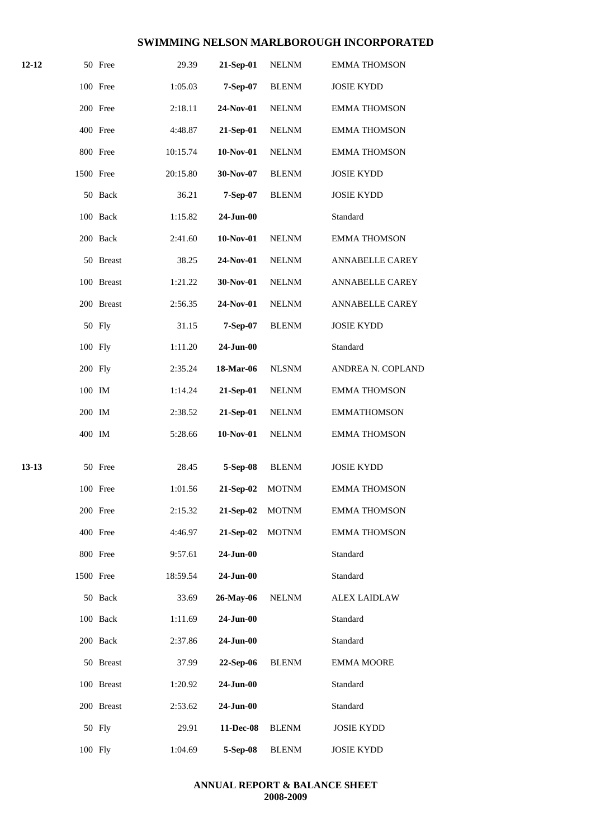| 12-12 |           | 50 Free    | 29.39    | 21-Sep-01    | <b>NELNM</b> | <b>EMMA THOMSON</b>    |
|-------|-----------|------------|----------|--------------|--------------|------------------------|
|       |           | 100 Free   | 1:05.03  | 7-Sep-07     | <b>BLENM</b> | <b>JOSIE KYDD</b>      |
|       |           | 200 Free   | 2:18.11  | 24-Nov-01    | <b>NELNM</b> | <b>EMMA THOMSON</b>    |
|       |           | 400 Free   | 4:48.87  | 21-Sep-01    | <b>NELNM</b> | <b>EMMA THOMSON</b>    |
|       |           | 800 Free   | 10:15.74 | 10-Nov-01    | <b>NELNM</b> | <b>EMMA THOMSON</b>    |
|       | 1500 Free |            | 20:15.80 | 30-Nov-07    | <b>BLENM</b> | <b>JOSIE KYDD</b>      |
|       |           | 50 Back    | 36.21    | 7-Sep-07     | <b>BLENM</b> | <b>JOSIE KYDD</b>      |
|       |           | 100 Back   | 1:15.82  | $24$ -Jun-00 |              | Standard               |
|       |           | 200 Back   | 2:41.60  | 10-Nov-01    | <b>NELNM</b> | <b>EMMA THOMSON</b>    |
|       |           | 50 Breast  | 38.25    | 24-Nov-01    | <b>NELNM</b> | <b>ANNABELLE CAREY</b> |
|       |           | 100 Breast | 1:21.22  | 30-Nov-01    | <b>NELNM</b> | <b>ANNABELLE CAREY</b> |
|       |           | 200 Breast | 2:56.35  | 24-Nov-01    | <b>NELNM</b> | ANNABELLE CAREY        |
|       |           | 50 Fly     | 31.15    | 7-Sep-07     | <b>BLENM</b> | <b>JOSIE KYDD</b>      |
|       | 100 Fly   |            | 1:11.20  | $24$ -Jun-00 |              | Standard               |
|       | 200 Fly   |            | 2:35.24  | 18-Mar-06    | <b>NLSNM</b> | ANDREA N. COPLAND      |
|       | 100 IM    |            | 1:14.24  | 21-Sep-01    | <b>NELNM</b> | <b>EMMA THOMSON</b>    |
|       | 200 IM    |            | 2:38.52  | 21-Sep-01    | <b>NELNM</b> | <b>EMMATHOMSON</b>     |
|       | 400 IM    |            | 5:28.66  | 10-Nov-01    | <b>NELNM</b> | <b>EMMA THOMSON</b>    |
| 13-13 |           | 50 Free    | 28.45    | 5-Sep-08     | <b>BLENM</b> | <b>JOSIE KYDD</b>      |
|       |           | 100 Free   | 1:01.56  | 21-Sep-02    | <b>MOTNM</b> | <b>EMMA THOMSON</b>    |
|       |           | 200 Free   | 2:15.32  | 21-Sep-02    | <b>MOTNM</b> | <b>EMMA THOMSON</b>    |
|       |           | 400 Free   | 4:46.97  | 21-Sep-02    | <b>MOTNM</b> | <b>EMMA THOMSON</b>    |
|       |           | 800 Free   | 9:57.61  | 24-Jun-00    |              | Standard               |
|       | 1500 Free |            | 18:59.54 | 24-Jun-00    |              | Standard               |
|       |           | 50 Back    | 33.69    | 26-May-06    | <b>NELNM</b> | <b>ALEX LAIDLAW</b>    |
|       |           | 100 Back   | 1:11.69  | 24-Jun-00    |              | Standard               |
|       |           | 200 Back   | 2:37.86  | 24-Jun-00    |              | Standard               |
|       |           | 50 Breast  | 37.99    | 22-Sep-06    | <b>BLENM</b> | <b>EMMA MOORE</b>      |
|       |           | 100 Breast | 1:20.92  | 24-Jun-00    |              | Standard               |
|       |           | 200 Breast | 2:53.62  | $24$ -Jun-00 |              | Standard               |
|       |           | 50 Fly     | 29.91    | 11-Dec-08    | <b>BLENM</b> | <b>JOSIE KYDD</b>      |
|       | 100 Fly   |            | 1:04.69  | 5-Sep-08     | <b>BLENM</b> | <b>JOSIE KYDD</b>      |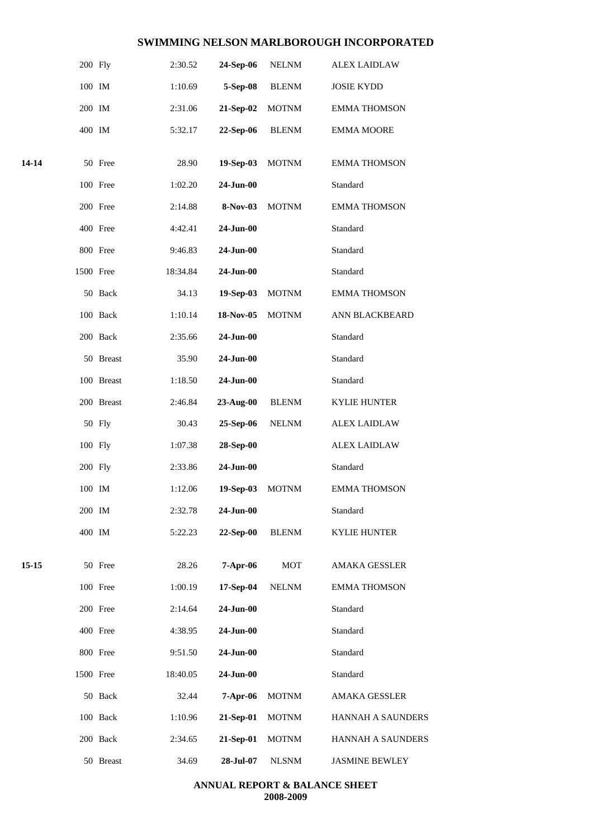|       | 200 Fly   |            | 2:30.52  | 24-Sep-06       | <b>NELNM</b> | <b>ALEX LAIDLAW</b>   |  |
|-------|-----------|------------|----------|-----------------|--------------|-----------------------|--|
|       | 100 IM    |            | 1:10.69  | 5-Sep-08        | <b>BLENM</b> | <b>JOSIE KYDD</b>     |  |
|       | 200 IM    |            | 2:31.06  | 21-Sep-02       | <b>MOTNM</b> | <b>EMMA THOMSON</b>   |  |
|       | 400 IM    |            | 5:32.17  | 22-Sep-06       | <b>BLENM</b> | <b>EMMA MOORE</b>     |  |
| 14-14 |           | 50 Free    | 28.90    | 19-Sep-03       | <b>MOTNM</b> | <b>EMMA THOMSON</b>   |  |
|       |           | 100 Free   | 1:02.20  | 24-Jun-00       |              | Standard              |  |
|       |           | 200 Free   | 2:14.88  | 8-Nov-03        | <b>MOTNM</b> | <b>EMMA THOMSON</b>   |  |
|       |           | 400 Free   | 4:42.41  | 24-Jun-00       |              | Standard              |  |
|       |           | 800 Free   | 9:46.83  | 24-Jun-00       |              | Standard              |  |
|       | 1500 Free |            | 18:34.84 | 24-Jun-00       |              | Standard              |  |
|       |           | 50 Back    | 34.13    | 19-Sep-03       | <b>MOTNM</b> | <b>EMMA THOMSON</b>   |  |
|       |           | 100 Back   | 1:10.14  | 18-Nov-05       | <b>MOTNM</b> | ANN BLACKBEARD        |  |
|       |           | 200 Back   | 2:35.66  | 24-Jun-00       |              | Standard              |  |
|       |           | 50 Breast  | 35.90    | 24-Jun-00       |              | Standard              |  |
|       |           | 100 Breast | 1:18.50  | 24-Jun-00       |              | Standard              |  |
|       |           | 200 Breast | 2:46.84  | 23-Aug-00       | <b>BLENM</b> | <b>KYLIE HUNTER</b>   |  |
|       |           | 50 Fly     | 30.43    | 25-Sep-06       | <b>NELNM</b> | <b>ALEX LAIDLAW</b>   |  |
|       | 100 Fly   |            | 1:07.38  | 28-Sep-00       |              | <b>ALEX LAIDLAW</b>   |  |
|       | 200 Fly   |            | 2:33.86  | 24-Jun-00       |              | Standard              |  |
|       | 100 IM    |            | 1:12.06  | 19-Sep-03       | <b>MOTNM</b> | <b>EMMA THOMSON</b>   |  |
|       | 200 IM    |            | 2:32.78  | $24$ -Jun- $00$ |              | Standard              |  |
|       | 400 IM    |            | 5:22.23  | 22-Sep-00       | <b>BLENM</b> | <b>KYLIE HUNTER</b>   |  |
| 15-15 |           | 50 Free    | 28.26    | 7-Apr-06        | <b>MOT</b>   | <b>AMAKA GESSLER</b>  |  |
|       |           | 100 Free   | 1:00.19  | 17-Sep-04       | <b>NELNM</b> | <b>EMMA THOMSON</b>   |  |
|       |           | 200 Free   | 2:14.64  | $24$ -Jun- $00$ |              | Standard              |  |
|       |           | 400 Free   | 4:38.95  | 24-Jun-00       |              | Standard              |  |
|       |           | 800 Free   | 9:51.50  | 24-Jun-00       |              | Standard              |  |
|       | 1500 Free |            | 18:40.05 | 24-Jun-00       |              | Standard              |  |
|       |           | 50 Back    | 32.44    | 7-Apr-06        | <b>MOTNM</b> | <b>AMAKA GESSLER</b>  |  |
|       |           | 100 Back   | 1:10.96  | 21-Sep-01       | <b>MOTNM</b> | HANNAH A SAUNDERS     |  |
|       |           | 200 Back   | 2:34.65  | 21-Sep-01       | <b>MOTNM</b> | HANNAH A SAUNDERS     |  |
|       |           | 50 Breast  | 34.69    | 28-Jul-07       | <b>NLSNM</b> | <b>JASMINE BEWLEY</b> |  |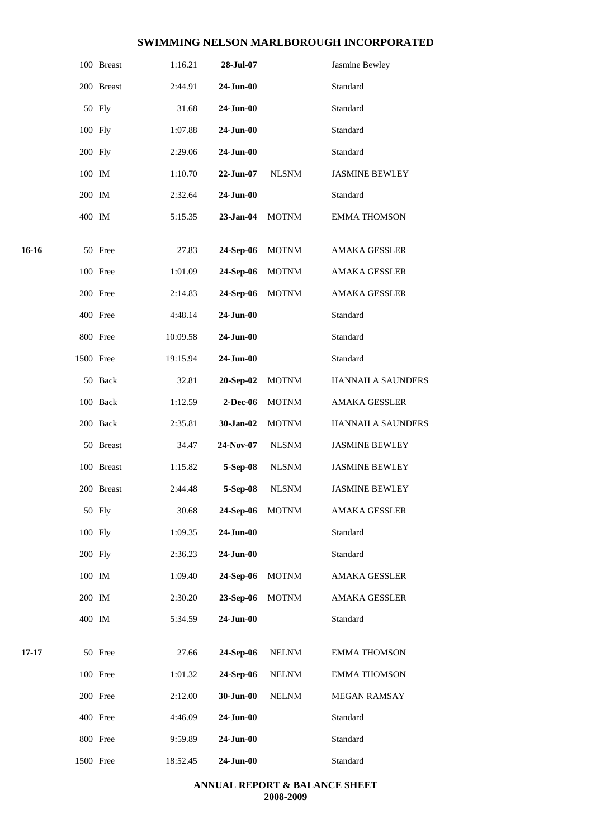|       |           | 100 Breast | 1:16.21  | 28-Jul-07     |              | Jasmine Bewley           |
|-------|-----------|------------|----------|---------------|--------------|--------------------------|
|       |           | 200 Breast | 2:44.91  | 24-Jun-00     |              | Standard                 |
|       |           | 50 Fly     | 31.68    | 24-Jun-00     |              | Standard                 |
|       | 100 Fly   |            | 1:07.88  | 24-Jun-00     |              | Standard                 |
|       | 200 Fly   |            | 2:29.06  | 24-Jun-00     |              | Standard                 |
|       | 100 IM    |            | 1:10.70  | 22-Jun-07     | <b>NLSNM</b> | <b>JASMINE BEWLEY</b>    |
|       | 200 IM    |            | 2:32.64  | 24-Jun-00     |              | Standard                 |
|       | 400 IM    |            | 5:15.35  | 23-Jan-04     | <b>MOTNM</b> | <b>EMMA THOMSON</b>      |
| 16-16 |           | 50 Free    | 27.83    | 24-Sep-06     | <b>MOTNM</b> | AMAKA GESSLER            |
|       |           | 100 Free   | 1:01.09  | 24-Sep-06     | <b>MOTNM</b> | <b>AMAKA GESSLER</b>     |
|       |           | 200 Free   | 2:14.83  | 24-Sep-06     | <b>MOTNM</b> | AMAKA GESSLER            |
|       |           | 400 Free   | 4:48.14  | 24-Jun-00     |              | Standard                 |
|       |           | 800 Free   | 10:09.58 | $24 - Jun-00$ |              | Standard                 |
|       | 1500 Free |            | 19:15.94 | 24-Jun-00     |              | Standard                 |
|       |           | 50 Back    | 32.81    | 20-Sep-02     | <b>MOTNM</b> | HANNAH A SAUNDERS        |
|       |           | 100 Back   | 1:12.59  | 2-Dec-06      | <b>MOTNM</b> | AMAKA GESSLER            |
|       |           | 200 Back   | 2:35.81  | 30-Jan-02     | <b>MOTNM</b> | <b>HANNAH A SAUNDERS</b> |
|       |           | 50 Breast  | 34.47    | 24-Nov-07     | <b>NLSNM</b> | <b>JASMINE BEWLEY</b>    |
|       |           | 100 Breast | 1:15.82  | 5-Sep-08      | <b>NLSNM</b> | <b>JASMINE BEWLEY</b>    |
|       |           | 200 Breast | 2:44.48  | 5-Sep-08      | <b>NLSNM</b> | <b>JASMINE BEWLEY</b>    |
|       |           | 50 Fly     | 30.68    | 24-Sep-06     | <b>MOTNM</b> | AMAKA GESSLER            |
|       | 100 Fly   |            | 1:09.35  | 24-Jun-00     |              | Standard                 |
|       | 200 Fly   |            | 2:36.23  | $24-Jun-00$   |              | Standard                 |
|       | 100 IM    |            | 1:09.40  | 24-Sep-06     | <b>MOTNM</b> | AMAKA GESSLER            |
|       | 200 IM    |            | 2:30.20  | 23-Sep-06     | <b>MOTNM</b> | AMAKA GESSLER            |
|       | 400 IM    |            | 5:34.59  | 24-Jun-00     |              | Standard                 |
| 17-17 |           | 50 Free    | 27.66    | 24-Sep-06     | <b>NELNM</b> | <b>EMMA THOMSON</b>      |
|       |           | 100 Free   | 1:01.32  | 24-Sep-06     | <b>NELNM</b> | <b>EMMA THOMSON</b>      |
|       |           | 200 Free   | 2:12.00  | 30-Jun-00     | <b>NELNM</b> | MEGAN RAMSAY             |
|       |           | 400 Free   | 4:46.09  | 24-Jun-00     |              | Standard                 |
|       |           | 800 Free   | 9:59.89  | 24-Jun-00     |              | Standard                 |
|       | 1500 Free |            | 18:52.45 | 24-Jun-00     |              | Standard                 |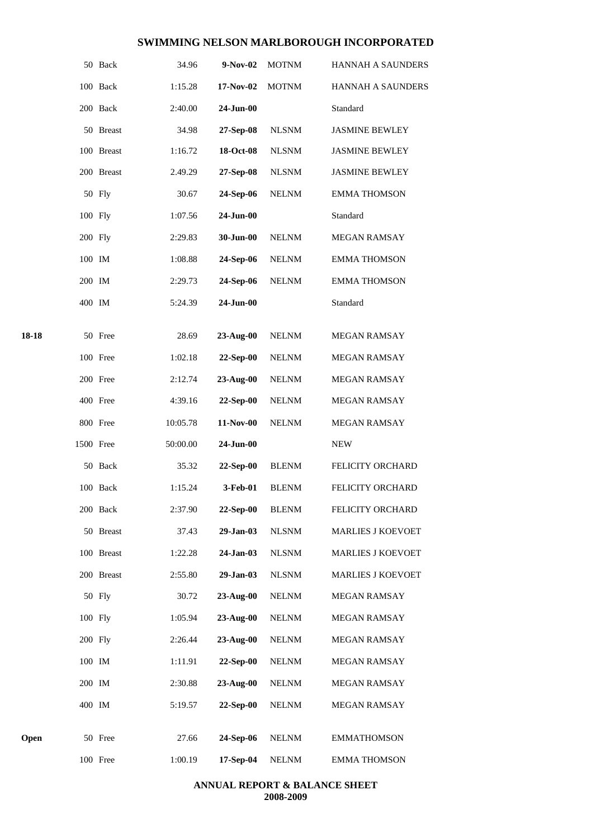|       |           | 50 Back    | 34.96    | $9-Nov-02$     | <b>MOTNM</b> | <b>HANNAH A SAUNDERS</b> |
|-------|-----------|------------|----------|----------------|--------------|--------------------------|
|       |           | 100 Back   | 1:15.28  | 17-Nov-02      | <b>MOTNM</b> | <b>HANNAH A SAUNDERS</b> |
|       |           | 200 Back   | 2:40.00  | 24-Jun-00      |              | Standard                 |
|       |           | 50 Breast  | 34.98    | 27-Sep-08      | <b>NLSNM</b> | <b>JASMINE BEWLEY</b>    |
|       |           | 100 Breast | 1:16.72  | 18-Oct-08      | <b>NLSNM</b> | <b>JASMINE BEWLEY</b>    |
|       |           | 200 Breast | 2.49.29  | 27-Sep-08      | <b>NLSNM</b> | <b>JASMINE BEWLEY</b>    |
|       |           | 50 Fly     | 30.67    | 24-Sep-06      | <b>NELNM</b> | <b>EMMA THOMSON</b>      |
|       | 100 Fly   |            | 1:07.56  | $24$ -Jun-00   |              | Standard                 |
|       | 200 Fly   |            | 2:29.83  | 30-Jun-00      | <b>NELNM</b> | <b>MEGAN RAMSAY</b>      |
|       | 100 IM    |            | 1:08.88  | 24-Sep-06      | <b>NELNM</b> | <b>EMMA THOMSON</b>      |
|       | 200 IM    |            | 2:29.73  | 24-Sep-06      | <b>NELNM</b> | <b>EMMA THOMSON</b>      |
|       | 400 IM    |            | 5:24.39  | 24-Jun-00      |              | Standard                 |
| 18-18 |           | 50 Free    | 28.69    | 23-Aug-00      | <b>NELNM</b> | <b>MEGAN RAMSAY</b>      |
|       |           | 100 Free   | 1:02.18  | 22-Sep-00      | <b>NELNM</b> | <b>MEGAN RAMSAY</b>      |
|       |           | 200 Free   | 2:12.74  | 23-Aug-00      | <b>NELNM</b> | MEGAN RAMSAY             |
|       |           | 400 Free   | 4:39.16  | 22-Sep-00      | <b>NELNM</b> | <b>MEGAN RAMSAY</b>      |
|       |           | 800 Free   | 10:05.78 | 11-Nov-00      | <b>NELNM</b> | <b>MEGAN RAMSAY</b>      |
|       | 1500 Free |            | 50:00.00 | 24-Jun-00      |              | <b>NEW</b>               |
|       |           | 50 Back    | 35.32    | $22-Sep-00$    | <b>BLENM</b> | FELICITY ORCHARD         |
|       |           | 100 Back   | 1:15.24  | $3$ -Feb- $01$ | <b>BLENM</b> | <b>FELICITY ORCHARD</b>  |
|       |           | 200 Back   | 2:37.90  | 22-Sep-00      | <b>BLENM</b> | FELICITY ORCHARD         |
|       |           | 50 Breast  | 37.43    | 29-Jan-03      | <b>NLSNM</b> | <b>MARLIES J KOEVOET</b> |
|       |           | 100 Breast | 1:22.28  | 24-Jan-03      | <b>NLSNM</b> | <b>MARLIES J KOEVOET</b> |
|       |           | 200 Breast | 2:55.80  | 29-Jan-03      | <b>NLSNM</b> | <b>MARLIES J KOEVOET</b> |
|       |           | 50 Fly     | 30.72    | 23-Aug-00      | <b>NELNM</b> | MEGAN RAMSAY             |
|       | 100 Fly   |            | 1:05.94  | 23-Aug-00      | <b>NELNM</b> | MEGAN RAMSAY             |
|       | 200 Fly   |            | 2:26.44  | 23-Aug-00      | <b>NELNM</b> | MEGAN RAMSAY             |
|       | 100 IM    |            | 1:11.91  | 22-Sep-00      | <b>NELNM</b> | MEGAN RAMSAY             |
|       | 200 IM    |            | 2:30.88  | 23-Aug-00      | <b>NELNM</b> | MEGAN RAMSAY             |
|       | 400 IM    |            | 5:19.57  | 22-Sep-00      | <b>NELNM</b> | <b>MEGAN RAMSAY</b>      |
| Open  |           | 50 Free    | 27.66    | 24-Sep-06      | <b>NELNM</b> | <b>EMMATHOMSON</b>       |
|       |           | 100 Free   | 1:00.19  | 17-Sep-04      | <b>NELNM</b> | <b>EMMA THOMSON</b>      |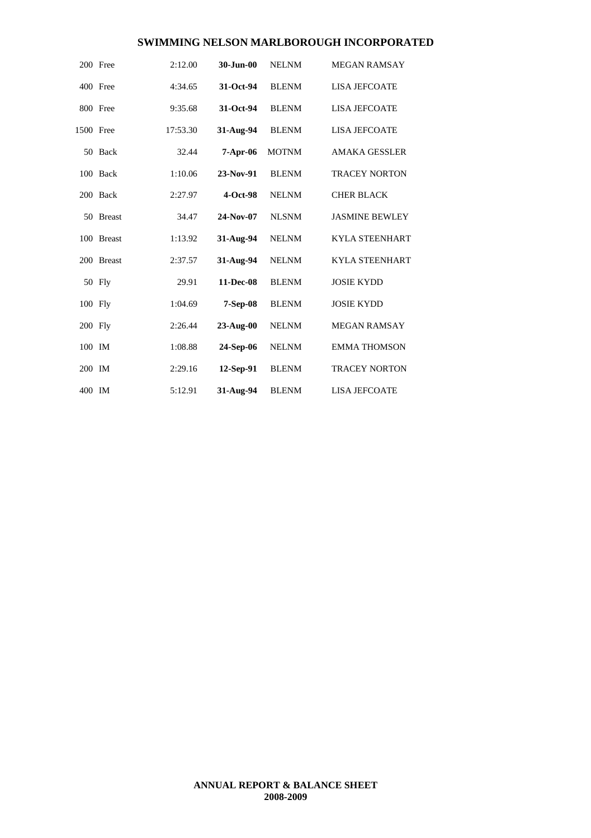|           | 200 Free      | 2:12.00  | 30-Jun-00    | <b>NELNM</b> | <b>MEGAN RAMSAY</b>   |
|-----------|---------------|----------|--------------|--------------|-----------------------|
|           | 400 Free      | 4:34.65  | 31-Oct-94    | <b>BLENM</b> | <b>LISA JEFCOATE</b>  |
|           | 800 Free      | 9:35.68  | 31-Oct-94    | <b>BLENM</b> | <b>LISA JEFCOATE</b>  |
| 1500 Free |               | 17:53.30 | 31-Aug-94    | <b>BLENM</b> | <b>LISA JEFCOATE</b>  |
|           | 50 Back       | 32.44    | $7-Apr-06$   | <b>MOTNM</b> | <b>AMAKA GESSLER</b>  |
|           | 100 Back      | 1:10.06  | 23-Nov-91    | <b>BLENM</b> | <b>TRACEY NORTON</b>  |
|           | 200 Back      | 2:27.97  | $4-Oct-98$   | <b>NELNM</b> | <b>CHER BLACK</b>     |
|           | 50 Breast     | 34.47    | 24-Nov-07    | <b>NLSNM</b> | <b>JASMINE BEWLEY</b> |
|           | 100 Breast    | 1:13.92  | 31-Aug-94    | <b>NELNM</b> | <b>KYLA STEENHART</b> |
| 200       | <b>Breast</b> | 2:37.57  | 31-Aug-94    | <b>NELNM</b> | <b>KYLA STEENHART</b> |
|           | 50 Fly        | 29.91    | 11-Dec-08    | <b>BLENM</b> | <b>JOSIE KYDD</b>     |
| 100 Fly   |               | 1:04.69  | 7-Sep-08     | <b>BLENM</b> | <b>JOSIE KYDD</b>     |
| 200 Fly   |               | 2:26.44  | $23-Au$ g-00 | <b>NELNM</b> | <b>MEGAN RAMSAY</b>   |
| 100 IM    |               | 1:08.88  | 24-Sep-06    | <b>NELNM</b> | <b>EMMA THOMSON</b>   |
| 200 IM    |               | 2:29.16  | 12-Sep-91    | <b>BLENM</b> | <b>TRACEY NORTON</b>  |
| 400 IM    |               | 5:12.91  | 31-Aug-94    | <b>BLENM</b> | <b>LISA JEFCOATE</b>  |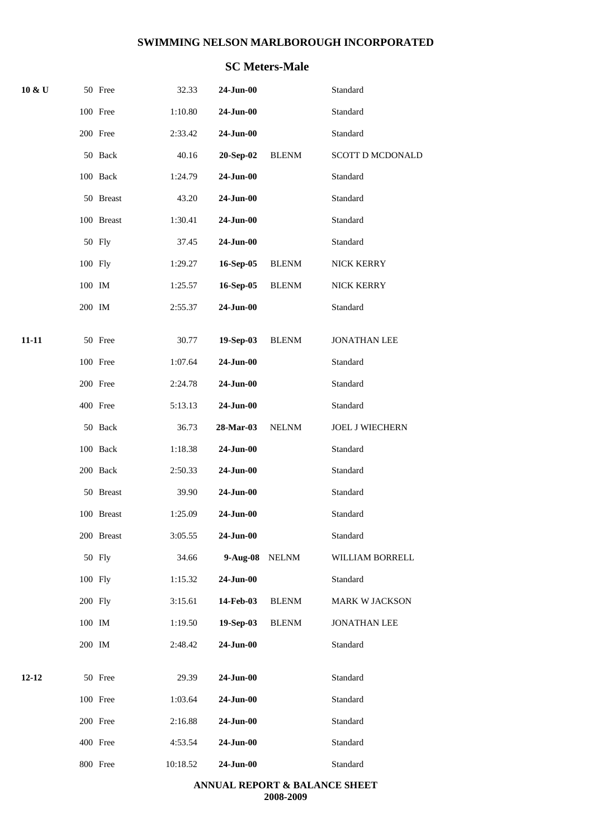# **SC Meters-Male**

| $10 \& U$ |         | 50 Free    | 32.33    | 24-Jun-00       |              | Standard                |
|-----------|---------|------------|----------|-----------------|--------------|-------------------------|
|           |         | 100 Free   | 1:10.80  | 24-Jun-00       |              | Standard                |
|           |         | 200 Free   | 2:33.42  | 24-Jun-00       |              | Standard                |
|           |         | 50 Back    | 40.16    | 20-Sep-02       | <b>BLENM</b> | <b>SCOTT D MCDONALD</b> |
|           |         | 100 Back   | 1:24.79  | 24-Jun-00       |              | Standard                |
|           |         | 50 Breast  | 43.20    | 24-Jun-00       |              | Standard                |
|           |         | 100 Breast | 1:30.41  | 24-Jun-00       |              | Standard                |
|           |         | 50 Fly     | 37.45    | 24-Jun-00       |              | Standard                |
|           | 100 Fly |            | 1:29.27  | 16-Sep-05       | <b>BLENM</b> | NICK KERRY              |
|           | 100 IM  |            | 1:25.57  | 16-Sep-05       | <b>BLENM</b> | NICK KERRY              |
|           | 200 IM  |            | 2:55.37  | 24-Jun-00       |              | Standard                |
| $11 - 11$ |         | 50 Free    | 30.77    | 19-Sep-03       | <b>BLENM</b> | <b>JONATHAN LEE</b>     |
|           |         | 100 Free   | 1:07.64  | 24-Jun-00       |              | Standard                |
|           |         | 200 Free   | 2:24.78  | 24-Jun-00       |              | Standard                |
|           |         | 400 Free   | 5:13.13  | $24$ -Jun-00    |              | Standard                |
|           |         | 50 Back    | 36.73    | 28-Mar-03       | <b>NELNM</b> | JOEL J WIECHERN         |
|           |         | 100 Back   | 1:18.38  | 24-Jun-00       |              | Standard                |
|           |         | 200 Back   | 2:50.33  | 24-Jun-00       |              | Standard                |
|           |         | 50 Breast  | 39.90    | 24-Jun-00       |              | Standard                |
|           |         | 100 Breast | 1:25.09  | 24-Jun-00       |              | Standard                |
|           |         | 200 Breast | 3:05.55  | 24-Jun-00       |              | Standard                |
|           |         | 50 Fly     | 34.66    | 9-Aug-08        | <b>NELNM</b> | WILLIAM BORRELL         |
|           | 100 Fly |            | 1:15.32  | 24-Jun-00       |              | Standard                |
|           | 200 Fly |            | 3:15.61  | 14-Feb-03       | <b>BLENM</b> | MARK W JACKSON          |
|           | 100 IM  |            | 1:19.50  | 19-Sep-03       | <b>BLENM</b> | <b>JONATHAN LEE</b>     |
|           | 200 IM  |            | 2:48.42  | 24-Jun-00       |              | Standard                |
| $12 - 12$ |         | 50 Free    | 29.39    | 24-Jun-00       |              | Standard                |
|           |         | 100 Free   | 1:03.64  | 24-Jun-00       |              | Standard                |
|           |         | 200 Free   | 2:16.88  | $24$ -Jun- $00$ |              | Standard                |
|           |         | 400 Free   | 4:53.54  | 24-Jun-00       |              | Standard                |
|           |         | 800 Free   | 10:18.52 | 24-Jun-00       |              | Standard                |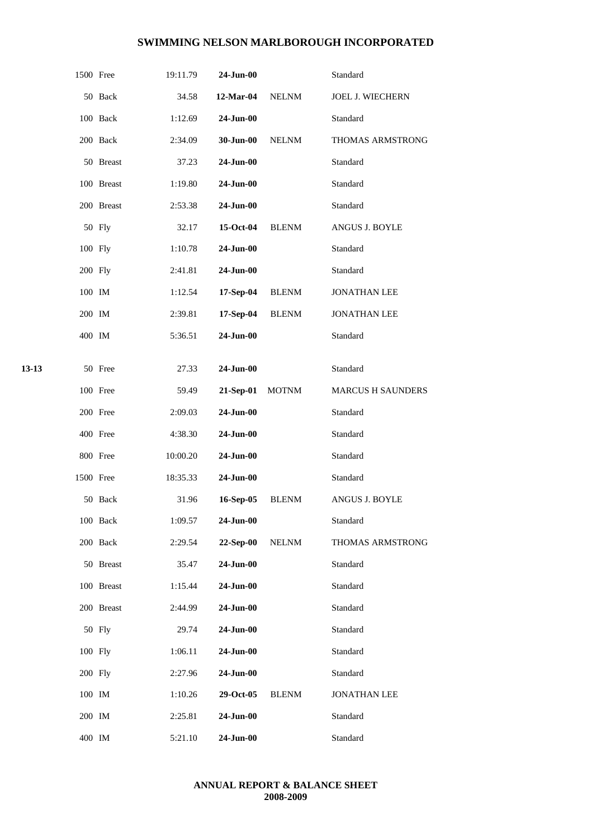|       | 1500 Free |            | 19:11.79 | 24-Jun-00    |              | Standard                 |
|-------|-----------|------------|----------|--------------|--------------|--------------------------|
|       |           | 50 Back    | 34.58    | 12-Mar-04    | $\it NELNM$  | <b>JOEL J. WIECHERN</b>  |
|       |           | 100 Back   | 1:12.69  | 24-Jun-00    |              | Standard                 |
|       |           | 200 Back   | 2:34.09  | 30-Jun-00    | NELNM        | THOMAS ARMSTRONG         |
|       |           | 50 Breast  | 37.23    | 24-Jun-00    |              | Standard                 |
|       |           | 100 Breast | 1:19.80  | 24-Jun-00    |              | Standard                 |
|       |           | 200 Breast | 2:53.38  | 24-Jun-00    |              | Standard                 |
|       |           | 50 Fly     | 32.17    | $15-Oct-04$  | <b>BLENM</b> | ANGUS J. BOYLE           |
|       | 100 Fly   |            | 1:10.78  | 24-Jun-00    |              | Standard                 |
|       | 200 Fly   |            | 2:41.81  | 24-Jun-00    |              | Standard                 |
|       | 100 IM    |            | 1:12.54  | 17-Sep-04    | <b>BLENM</b> | <b>JONATHAN LEE</b>      |
|       | 200 IM    |            | 2:39.81  | 17-Sep-04    | <b>BLENM</b> | <b>JONATHAN LEE</b>      |
|       | 400 IM    |            | 5:36.51  | 24-Jun-00    |              | Standard                 |
|       |           |            |          |              |              |                          |
| 13-13 |           | 50 Free    | 27.33    | 24-Jun-00    |              | Standard                 |
|       |           | 100 Free   | 59.49    | 21-Sep-01    | <b>MOTNM</b> | <b>MARCUS H SAUNDERS</b> |
|       |           | 200 Free   | 2:09.03  | 24-Jun-00    |              | Standard                 |
|       |           | 400 Free   | 4:38.30  | 24-Jun-00    |              | Standard                 |
|       |           | 800 Free   | 10:00.20 | $24$ -Jun-00 |              | Standard                 |
|       | 1500 Free |            | 18:35.33 | 24-Jun-00    |              | Standard                 |
|       |           | 50 Back    | 31.96    | 16-Sep-05    | <b>BLENM</b> | ANGUS J. BOYLE           |
|       |           | 100 Back   | 1:09.57  | 24-Jun-00    |              | Standard                 |
|       |           | 200 Back   | 2:29.54  | 22-Sep-00    | <b>NELNM</b> | THOMAS ARMSTRONG         |
|       |           | 50 Breast  | 35.47    | $24$ -Jun-00 |              | Standard                 |
|       |           | 100 Breast | 1:15.44  | 24-Jun-00    |              | Standard                 |
|       |           | 200 Breast | 2:44.99  | 24-Jun-00    |              | Standard                 |
|       |           | 50 Fly     | 29.74    | 24-Jun-00    |              | Standard                 |
|       | 100 Fly   |            | 1:06.11  | 24-Jun-00    |              | Standard                 |
|       | 200 Fly   |            | 2:27.96  | 24-Jun-00    |              | Standard                 |
|       | 100 IM    |            | 1:10.26  | 29-Oct-05    | <b>BLENM</b> | <b>JONATHAN LEE</b>      |
|       | 200 IM    |            | 2:25.81  | 24-Jun-00    |              | Standard                 |
|       | 400 IM    |            | 5:21.10  | 24-Jun-00    |              | Standard                 |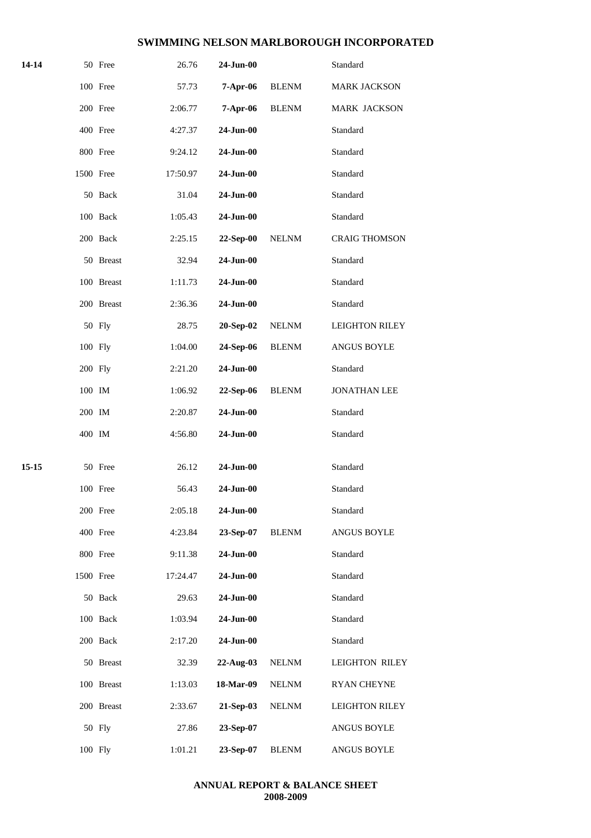| 14-14 |         | 50 Free    | 26.76    | 24-Jun-00       |              | Standard              |
|-------|---------|------------|----------|-----------------|--------------|-----------------------|
|       |         | 100 Free   | 57.73    | $7-Apr-06$      | <b>BLENM</b> | <b>MARK JACKSON</b>   |
|       |         | 200 Free   | 2:06.77  | 7-Apr-06        | <b>BLENM</b> | MARK JACKSON          |
|       |         | 400 Free   | 4:27.37  | $24-Jun-00$     |              | Standard              |
|       |         | 800 Free   | 9:24.12  | 24-Jun-00       |              | Standard              |
|       |         | 1500 Free  | 17:50.97 | 24-Jun-00       |              | Standard              |
|       |         | 50 Back    | 31.04    | 24-Jun-00       |              | Standard              |
|       |         | 100 Back   | 1:05.43  | 24-Jun-00       |              | Standard              |
|       |         | 200 Back   | 2:25.15  | 22-Sep-00       | <b>NELNM</b> | <b>CRAIG THOMSON</b>  |
|       |         | 50 Breast  | 32.94    | 24-Jun-00       |              | Standard              |
|       |         | 100 Breast | 1:11.73  | 24-Jun-00       |              | Standard              |
|       |         | 200 Breast | 2:36.36  | 24-Jun-00       |              | Standard              |
|       |         | 50 Fly     | 28.75    | 20-Sep-02       | <b>NELNM</b> | <b>LEIGHTON RILEY</b> |
|       | 100 Fly |            | 1:04.00  | 24-Sep-06       | <b>BLENM</b> | ANGUS BOYLE           |
|       | 200 Fly |            | 2:21.20  | 24-Jun-00       |              | Standard              |
|       | 100 IM  |            | 1:06.92  | 22-Sep-06       | <b>BLENM</b> | <b>JONATHAN LEE</b>   |
|       | 200 IM  |            | 2:20.87  | $24$ -Jun- $00$ |              | Standard              |
|       | 400 IM  |            | 4:56.80  | 24-Jun-00       |              | Standard              |
| 15-15 |         | 50 Free    | 26.12    | 24-Jun-00       |              | Standard              |
|       |         | 100 Free   | 56.43    | 24-Jun-00       |              | Standard              |
|       |         | 200 Free   | 2:05.18  | 24-Jun-00       |              | Standard              |
|       |         | 400 Free   | 4:23.84  | 23-Sep-07       | <b>BLENM</b> | ANGUS BOYLE           |
|       |         | 800 Free   | 9:11.38  | 24-Jun-00       |              | Standard              |
|       |         | 1500 Free  | 17:24.47 | 24-Jun-00       |              | Standard              |
|       |         | 50 Back    | 29.63    | 24-Jun-00       |              | Standard              |
|       |         | 100 Back   | 1:03.94  | 24-Jun-00       |              | Standard              |
|       |         | 200 Back   | 2:17.20  | 24-Jun-00       |              | Standard              |
|       |         | 50 Breast  | 32.39    | 22-Aug-03       | <b>NELNM</b> | <b>LEIGHTON RILEY</b> |
|       |         | 100 Breast | 1:13.03  | 18-Mar-09       | <b>NELNM</b> | <b>RYAN CHEYNE</b>    |
|       |         |            |          |                 |              |                       |
|       |         | 200 Breast | 2:33.67  | 21-Sep-03       | <b>NELNM</b> | <b>LEIGHTON RILEY</b> |
|       |         | 50 Fly     | 27.86    | 23-Sep-07       |              | ANGUS BOYLE           |
|       | 100 Fly |            | 1:01.21  | 23-Sep-07       | <b>BLENM</b> | ANGUS BOYLE           |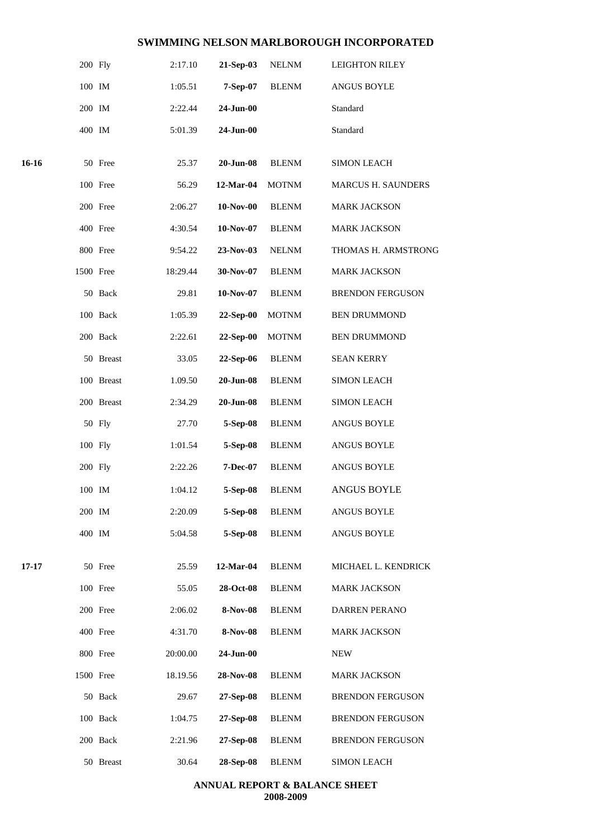|       | 200 Fly   |            | 2:17.10  | 21-Sep-03       | <b>NELNM</b> | <b>LEIGHTON RILEY</b>     |
|-------|-----------|------------|----------|-----------------|--------------|---------------------------|
|       | 100 IM    |            | 1:05.51  | 7-Sep-07        | <b>BLENM</b> | <b>ANGUS BOYLE</b>        |
|       | 200 IM    |            | 2:22.44  | 24-Jun-00       |              | Standard                  |
|       | 400 IM    |            | 5:01.39  | 24-Jun-00       |              | Standard                  |
| 16-16 |           | 50 Free    | 25.37    | $20$ -Jun- $08$ | <b>BLENM</b> | <b>SIMON LEACH</b>        |
|       |           | 100 Free   | 56.29    | 12-Mar-04       | <b>MOTNM</b> | <b>MARCUS H. SAUNDERS</b> |
|       |           |            |          |                 |              |                           |
|       |           | 200 Free   | 2:06.27  | 10-Nov-00       | <b>BLENM</b> | <b>MARK JACKSON</b>       |
|       |           | 400 Free   | 4:30.54  | 10-Nov-07       | <b>BLENM</b> | <b>MARK JACKSON</b>       |
|       |           | 800 Free   | 9:54.22  | 23-Nov-03       | <b>NELNM</b> | THOMAS H. ARMSTRONG       |
|       | 1500 Free |            | 18:29.44 | 30-Nov-07       | <b>BLENM</b> | <b>MARK JACKSON</b>       |
|       |           | 50 Back    | 29.81    | 10-Nov-07       | <b>BLENM</b> | <b>BRENDON FERGUSON</b>   |
|       |           | 100 Back   | 1:05.39  | 22-Sep-00       | <b>MOTNM</b> | <b>BEN DRUMMOND</b>       |
|       |           | 200 Back   | 2:22.61  | 22-Sep-00       | <b>MOTNM</b> | <b>BEN DRUMMOND</b>       |
|       |           | 50 Breast  | 33.05    | 22-Sep-06       | <b>BLENM</b> | <b>SEAN KERRY</b>         |
|       |           | 100 Breast | 1.09.50  | $20$ -Jun- $08$ | <b>BLENM</b> | <b>SIMON LEACH</b>        |
|       |           | 200 Breast | 2:34.29  | $20$ -Jun- $08$ | <b>BLENM</b> | <b>SIMON LEACH</b>        |
|       |           | 50 Fly     | 27.70    | 5-Sep-08        | <b>BLENM</b> | <b>ANGUS BOYLE</b>        |
|       | 100 Fly   |            | 1:01.54  | 5-Sep-08        | <b>BLENM</b> | ANGUS BOYLE               |
|       | 200 Fly   |            | 2:22.26  | 7-Dec-07        | <b>BLENM</b> | <b>ANGUS BOYLE</b>        |
|       | 100 IM    |            | 1:04.12  | 5-Sep-08        | <b>BLENM</b> | <b>ANGUS BOYLE</b>        |
|       | 200 IM    |            | 2:20.09  | 5-Sep-08        | <b>BLENM</b> | <b>ANGUS BOYLE</b>        |
|       | 400 IM    |            | 5:04.58  | 5-Sep-08        | <b>BLENM</b> | <b>ANGUS BOYLE</b>        |
| 17-17 |           | 50 Free    | 25.59    | 12-Mar-04       | <b>BLENM</b> | MICHAEL L. KENDRICK       |
|       |           | 100 Free   | 55.05    | 28-Oct-08       | <b>BLENM</b> | <b>MARK JACKSON</b>       |
|       |           | 200 Free   | 2:06.02  | 8-Nov-08        | <b>BLENM</b> | <b>DARREN PERANO</b>      |
|       |           | 400 Free   | 4:31.70  | 8-Nov-08        | <b>BLENM</b> | <b>MARK JACKSON</b>       |
|       |           | 800 Free   | 20:00.00 | 24-Jun-00       |              | <b>NEW</b>                |
|       | 1500 Free |            | 18.19.56 | 28-Nov-08       | <b>BLENM</b> | <b>MARK JACKSON</b>       |
|       |           | 50 Back    | 29.67    | 27-Sep-08       | <b>BLENM</b> | <b>BRENDON FERGUSON</b>   |
|       |           | 100 Back   | 1:04.75  | 27-Sep-08       | <b>BLENM</b> | <b>BRENDON FERGUSON</b>   |
|       |           | 200 Back   | 2:21.96  | 27-Sep-08       | <b>BLENM</b> | <b>BRENDON FERGUSON</b>   |
|       |           | 50 Breast  | 30.64    | 28-Sep-08       | <b>BLENM</b> | <b>SIMON LEACH</b>        |
|       |           |            |          |                 |              |                           |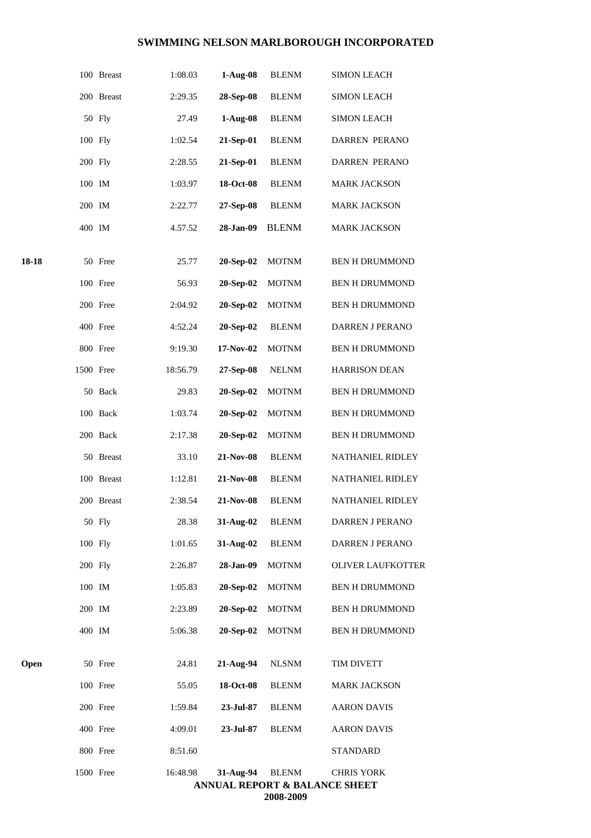|       |           | 100 Breast | 1:08.03  | $1-Aug-08$ | <b>BLENM</b> | <b>SIMON LEACH</b>                                            |
|-------|-----------|------------|----------|------------|--------------|---------------------------------------------------------------|
|       |           | 200 Breast | 2:29.35  | 28-Sep-08  | <b>BLENM</b> | <b>SIMON LEACH</b>                                            |
|       |           | 50 Fly     | 27.49    | $1-Aug-08$ | <b>BLENM</b> | <b>SIMON LEACH</b>                                            |
|       | 100 Fly   |            | 1:02.54  | 21-Sep-01  | <b>BLENM</b> | DARREN PERANO                                                 |
|       | 200 Fly   |            | 2:28.55  | 21-Sep-01  | <b>BLENM</b> | DARREN PERANO                                                 |
|       | 100 IM    |            | 1:03.97  | 18-Oct-08  | <b>BLENM</b> | <b>MARK JACKSON</b>                                           |
|       | 200 IM    |            | 2:22.77  | 27-Sep-08  | <b>BLENM</b> | <b>MARK JACKSON</b>                                           |
|       | 400 IM    |            | 4.57.52  | 28-Jan-09  | <b>BLENM</b> | <b>MARK JACKSON</b>                                           |
| 18-18 |           | 50 Free    | 25.77    | 20-Sep-02  | <b>MOTNM</b> | <b>BEN H DRUMMOND</b>                                         |
|       |           | 100 Free   | 56.93    | 20-Sep-02  | <b>MOTNM</b> | <b>BEN H DRUMMOND</b>                                         |
|       |           | 200 Free   | 2:04.92  | 20-Sep-02  | <b>MOTNM</b> | <b>BEN H DRUMMOND</b>                                         |
|       |           | 400 Free   | 4:52.24  | 20-Sep-02  | <b>BLENM</b> | DARREN J PERANO                                               |
|       |           | 800 Free   | 9:19.30  | 17-Nov-02  | <b>MOTNM</b> | <b>BEN H DRUMMOND</b>                                         |
|       | 1500 Free |            | 18:56.79 | 27-Sep-08  | <b>NELNM</b> | <b>HARRISON DEAN</b>                                          |
|       |           | 50 Back    | 29.83    | 20-Sep-02  | <b>MOTNM</b> | <b>BEN H DRUMMOND</b>                                         |
|       |           | 100 Back   | 1:03.74  | 20-Sep-02  | <b>MOTNM</b> | <b>BEN H DRUMMOND</b>                                         |
|       |           | 200 Back   | 2:17.38  | 20-Sep-02  | <b>MOTNM</b> | <b>BEN H DRUMMOND</b>                                         |
|       |           | 50 Breast  | 33.10    | 21-Nov-08  | <b>BLENM</b> | NATHANIEL RIDLEY                                              |
|       |           | 100 Breast | 1:12.81  | 21-Nov-08  | <b>BLENM</b> | NATHANIEL RIDLEY                                              |
|       |           | 200 Breast | 2:38.54  | 21-Nov-08  | <b>BLENM</b> | <b>NATHANIEL RIDLEY</b>                                       |
|       |           | 50 Fly     | 28.38    | 31-Aug-02  | <b>BLENM</b> | DARREN J PERANO                                               |
|       | 100 Fly   |            | 1:01.65  | 31-Aug-02  | <b>BLENM</b> | <b>DARREN J PERANO</b>                                        |
|       | 200 Fly   |            | 2:26.87  | 28-Jan-09  | <b>MOTNM</b> | <b>OLIVER LAUFKOTTER</b>                                      |
|       | 100 IM    |            | 1:05.83  | 20-Sep-02  | <b>MOTNM</b> | <b>BEN H DRUMMOND</b>                                         |
|       | 200 IM    |            | 2:23.89  | 20-Sep-02  | <b>MOTNM</b> | <b>BEN H DRUMMOND</b>                                         |
|       | 400 IM    |            | 5:06.38  | 20-Sep-02  | <b>MOTNM</b> | <b>BEN H DRUMMOND</b>                                         |
| Open  |           | 50 Free    | 24.81    | 21-Aug-94  | <b>NLSNM</b> | TIM DIVETT                                                    |
|       |           | 100 Free   | 55.05    | 18-Oct-08  | <b>BLENM</b> | <b>MARK JACKSON</b>                                           |
|       |           | 200 Free   | 1:59.84  | 23-Jul-87  | <b>BLENM</b> | <b>AARON DAVIS</b>                                            |
|       |           | 400 Free   | 4:09.01  | 23-Jul-87  | <b>BLENM</b> | <b>AARON DAVIS</b>                                            |
|       |           | 800 Free   | 8:51.60  |            |              | <b>STANDARD</b>                                               |
|       | 1500 Free |            | 16:48.98 | 31-Aug-94  | <b>BLENM</b> | <b>CHRIS YORK</b><br><b>ANNUAL REPORT &amp; BALANCE SHEET</b> |

**2008-2009**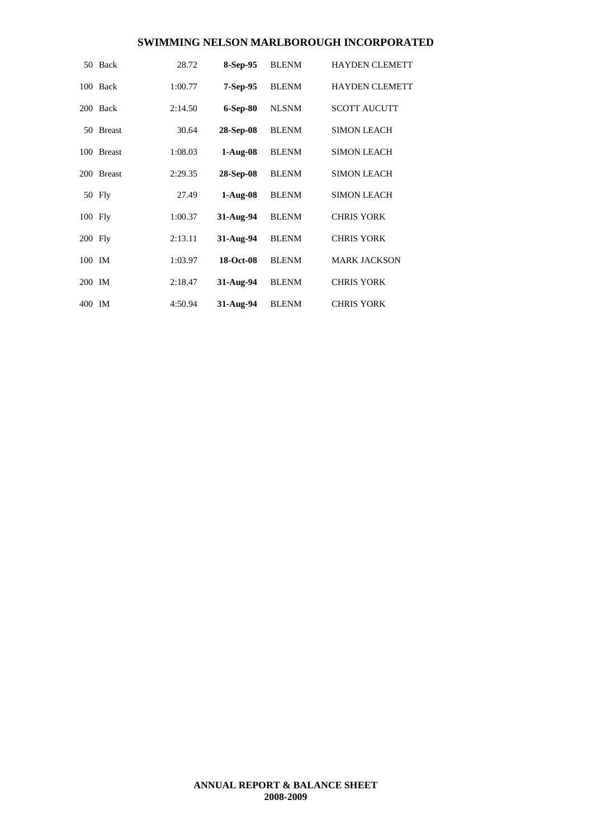|           | 50 Back       | 28.72   | 8-Sep-95   | <b>BLENM</b> | <b>HAYDEN CLEMETT</b> |
|-----------|---------------|---------|------------|--------------|-----------------------|
|           | 100 Back      | 1:00.77 | $7-Sep-95$ | <b>BLENM</b> | <b>HAYDEN CLEMETT</b> |
|           | 200 Back      | 2:14.50 | $6-Sep-80$ | <b>NLSNM</b> | <b>SCOTT AUCUTT</b>   |
| 50        | <b>Breast</b> | 30.64   | 28-Sep-08  | <b>BLENM</b> | <b>SIMON LEACH</b>    |
|           | 100 Breast    | 1:08.03 | $1-Aug-08$ | <b>BLENM</b> | <b>SIMON LEACH</b>    |
|           | 200 Breast    | 2:29.35 | 28-Sep-08  | <b>BLENM</b> | <b>SIMON LEACH</b>    |
|           | 50 Fly        | 27.49   | $1-Aug-08$ | <b>BLENM</b> | <b>SIMON LEACH</b>    |
| 100 Fly   |               | 1:00.37 | 31-Aug-94  | <b>BLENM</b> | <b>CHRIS YORK</b>     |
| $200$ Fly |               | 2:13.11 | 31-Aug-94  | <b>BLENM</b> | <b>CHRIS YORK</b>     |
| 100 IM    |               | 1:03.97 | 18-Oct-08  | <b>BLENM</b> | <b>MARK JACKSON</b>   |
| 200 IM    |               | 2:18.47 | 31-Aug-94  | <b>BLENM</b> | <b>CHRIS YORK</b>     |
| 400 IM    |               | 4:50.94 | 31-Aug-94  | <b>BLENM</b> | <b>CHRIS YORK</b>     |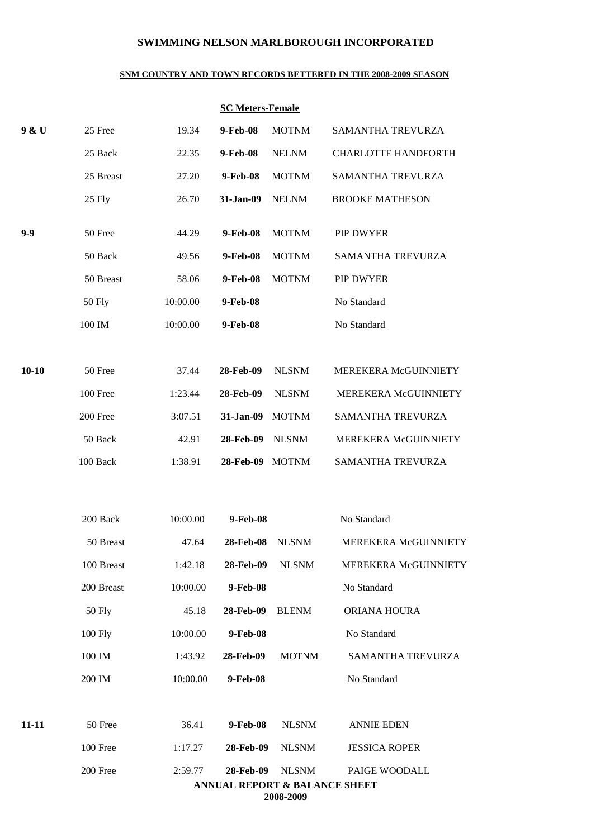#### **SNM COUNTRY AND TOWN RECORDS BETTERED IN THE 2008-2009 SEASON**

#### **SC Meters-Female**

| 25 Free    | 19.34                 | 9-Feb-08          | <b>MOTNM</b>          |                                                                                                             |
|------------|-----------------------|-------------------|-----------------------|-------------------------------------------------------------------------------------------------------------|
|            |                       |                   |                       | SAMANTHA TREVURZA                                                                                           |
| 25 Back    | 22.35                 | 9-Feb-08          | <b>NELNM</b>          | <b>CHARLOTTE HANDFORTH</b>                                                                                  |
| 25 Breast  | 27.20                 | 9-Feb-08          | <b>MOTNM</b>          | SAMANTHA TREVURZA                                                                                           |
| 25 Fly     | 26.70                 | 31-Jan-09         | <b>NELNM</b>          | <b>BROOKE MATHESON</b>                                                                                      |
| 50 Free    | 44.29                 | 9-Feb-08          | <b>MOTNM</b>          | PIP DWYER                                                                                                   |
| 50 Back    | 49.56                 | 9-Feb-08          | <b>MOTNM</b>          | <b>SAMANTHA TREVURZA</b>                                                                                    |
| 50 Breast  | 58.06                 | 9-Feb-08          | <b>MOTNM</b>          | PIP DWYER                                                                                                   |
| 50 Fly     | 10:00.00              | 9-Feb-08          |                       | No Standard                                                                                                 |
| 100 IM     | 10:00.00              | 9-Feb-08          |                       | No Standard                                                                                                 |
| 50 Free    | 37.44                 | 28-Feb-09         | <b>NLSNM</b>          | MEREKERA McGUINNIETY                                                                                        |
| 100 Free   | 1:23.44               | 28-Feb-09         | <b>NLSNM</b>          | MEREKERA McGUINNIETY                                                                                        |
| 200 Free   | 3:07.51               | 31-Jan-09         | <b>MOTNM</b>          | SAMANTHA TREVURZA                                                                                           |
| 50 Back    | 42.91                 | 28-Feb-09         | <b>NLSNM</b>          | MEREKERA McGUINNIETY                                                                                        |
| 100 Back   | 1:38.91               | 28-Feb-09         |                       | SAMANTHA TREVURZA                                                                                           |
|            |                       |                   |                       | No Standard                                                                                                 |
|            |                       |                   |                       | MEREKERA McGUINNIETY                                                                                        |
| 100 Breast | 1:42.18               | 28-Feb-09         | <b>NLSNM</b>          | <b>MEREKERA McGUINNIETY</b>                                                                                 |
| 200 Breast | 10:00.00              | 9-Feb-08          |                       | No Standard                                                                                                 |
| 50 Fly     | 45.18                 | 28-Feb-09         | <b>BLENM</b>          | ORIANA HOURA                                                                                                |
| 100 Fly    | 10:00.00              | 9-Feb-08          |                       | No Standard                                                                                                 |
| 100 IM     | 1:43.92               | 28-Feb-09         | <b>MOTNM</b>          | <b>SAMANTHA TREVURZA</b>                                                                                    |
| 200 IM     | 10:00.00              | 9-Feb-08          |                       | No Standard                                                                                                 |
| 50 Free    | 36.41                 | 9-Feb-08          | <b>NLSNM</b>          | <b>ANNIE EDEN</b>                                                                                           |
| 100 Free   | 1:17.27               |                   | <b>NLSNM</b>          | <b>JESSICA ROPER</b>                                                                                        |
| 200 Free   | 2:59.77               |                   | <b>NLSNM</b>          | PAIGE WOODALL                                                                                               |
|            | 200 Back<br>50 Breast | 10:00.00<br>47.64 | 9-Feb-08<br>28-Feb-08 | <b>MOTNM</b><br><b>NLSNM</b><br>28-Feb-09<br><b>28-Feb-09</b><br>ANNUAL REPORT & BALANCE SHEET<br>2008-2009 |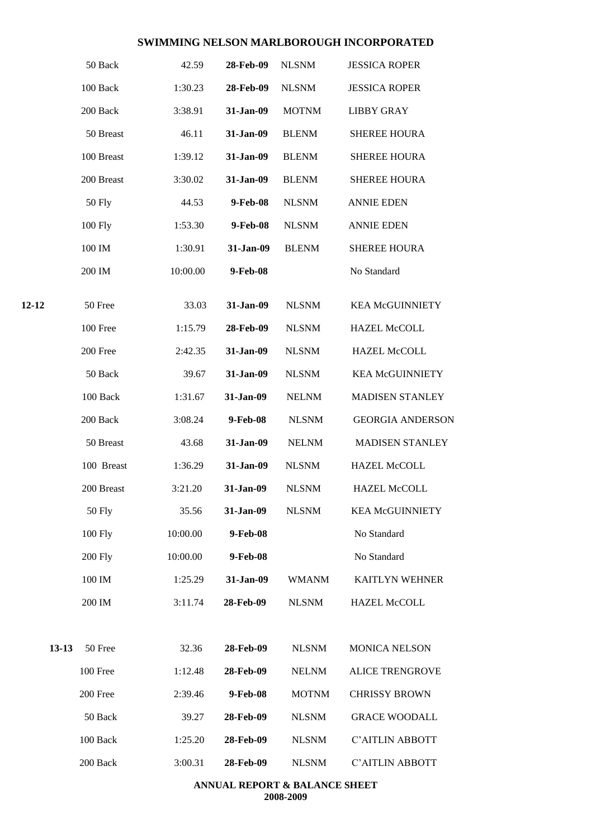|         | 50 Back        | 42.59    | 28-Feb-09 | <b>NLSNM</b> | <b>JESSICA ROPER</b>    |
|---------|----------------|----------|-----------|--------------|-------------------------|
|         | 100 Back       | 1:30.23  | 28-Feb-09 | <b>NLSNM</b> | <b>JESSICA ROPER</b>    |
|         | 200 Back       | 3:38.91  | 31-Jan-09 | <b>MOTNM</b> | <b>LIBBY GRAY</b>       |
|         | 50 Breast      | 46.11    | 31-Jan-09 | <b>BLENM</b> | <b>SHEREE HOURA</b>     |
|         | 100 Breast     | 1:39.12  | 31-Jan-09 | <b>BLENM</b> | <b>SHEREE HOURA</b>     |
|         | 200 Breast     | 3:30.02  | 31-Jan-09 | <b>BLENM</b> | <b>SHEREE HOURA</b>     |
|         | <b>50 Fly</b>  | 44.53    | 9-Feb-08  | <b>NLSNM</b> | <b>ANNIE EDEN</b>       |
|         | 100 Fly        | 1:53.30  | 9-Feb-08  | <b>NLSNM</b> | <b>ANNIE EDEN</b>       |
|         | 100 IM         | 1:30.91  | 31-Jan-09 | <b>BLENM</b> | <b>SHEREE HOURA</b>     |
|         | 200 IM         | 10:00.00 | 9-Feb-08  |              | No Standard             |
| 12-12   | 50 Free        | 33.03    | 31-Jan-09 | <b>NLSNM</b> | <b>KEA McGUINNIETY</b>  |
|         | 100 Free       | 1:15.79  | 28-Feb-09 | <b>NLSNM</b> | <b>HAZEL McCOLL</b>     |
|         | 200 Free       | 2:42.35  | 31-Jan-09 | <b>NLSNM</b> | <b>HAZEL McCOLL</b>     |
|         | 50 Back        | 39.67    | 31-Jan-09 | <b>NLSNM</b> | <b>KEA McGUINNIETY</b>  |
|         | 100 Back       | 1:31.67  | 31-Jan-09 | <b>NELNM</b> | <b>MADISEN STANLEY</b>  |
|         | 200 Back       | 3:08.24  | 9-Feb-08  | <b>NLSNM</b> | <b>GEORGIA ANDERSON</b> |
|         | 50 Breast      | 43.68    | 31-Jan-09 | <b>NELNM</b> | <b>MADISEN STANLEY</b>  |
|         | 100 Breast     | 1:36.29  | 31-Jan-09 | <b>NLSNM</b> | <b>HAZEL McCOLL</b>     |
|         | 200 Breast     | 3:21.20  | 31-Jan-09 | <b>NLSNM</b> | <b>HAZEL McCOLL</b>     |
|         | <b>50 Fly</b>  | 35.56    | 31-Jan-09 | <b>NLSNM</b> | <b>KEA McGUINNIETY</b>  |
|         | 100 Fly        | 10:00.00 | 9-Feb-08  |              | No Standard             |
|         | <b>200 Fly</b> | 10:00.00 | 9-Feb-08  |              | No Standard             |
|         | 100 IM         | 1:25.29  | 31-Jan-09 | <b>WMANM</b> | KAITLYN WEHNER          |
|         | 200 IM         | 3:11.74  | 28-Feb-09 | <b>NLSNM</b> | HAZEL McCOLL            |
| $13-13$ | 50 Free        | 32.36    | 28-Feb-09 | <b>NLSNM</b> | <b>MONICA NELSON</b>    |
|         | 100 Free       | 1:12.48  | 28-Feb-09 | <b>NELNM</b> | <b>ALICE TRENGROVE</b>  |
|         | 200 Free       | 2:39.46  | 9-Feb-08  | <b>MOTNM</b> | <b>CHRISSY BROWN</b>    |
|         | 50 Back        | 39.27    | 28-Feb-09 | <b>NLSNM</b> | <b>GRACE WOODALL</b>    |
|         | 100 Back       | 1:25.20  | 28-Feb-09 | <b>NLSNM</b> | C'AITLIN ABBOTT         |
|         | 200 Back       | 3:00.31  | 28-Feb-09 | <b>NLSNM</b> | C'AITLIN ABBOTT         |
|         |                |          |           |              |                         |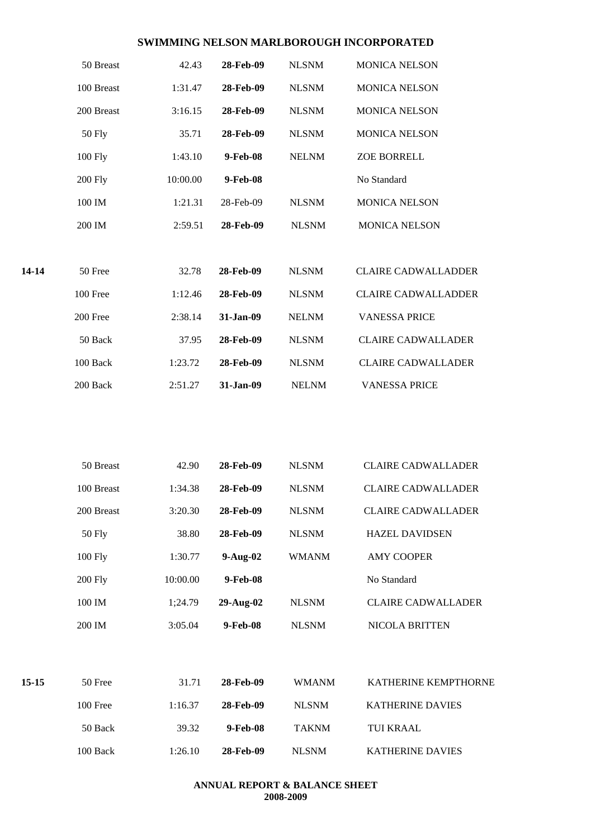|         | 50 Breast      | 42.43    | 28-Feb-09  | <b>NLSNM</b> | <b>MONICA NELSON</b>       |
|---------|----------------|----------|------------|--------------|----------------------------|
|         | 100 Breast     | 1:31.47  | 28-Feb-09  | <b>NLSNM</b> | <b>MONICA NELSON</b>       |
|         | 200 Breast     | 3:16.15  | 28-Feb-09  | <b>NLSNM</b> | <b>MONICA NELSON</b>       |
|         | <b>50 Fly</b>  | 35.71    | 28-Feb-09  | <b>NLSNM</b> | <b>MONICA NELSON</b>       |
|         | 100 Fly        | 1:43.10  | 9-Feb-08   | <b>NELNM</b> | ZOE BORRELL                |
|         | <b>200 Fly</b> | 10:00.00 | 9-Feb-08   |              | No Standard                |
|         | 100 IM         | 1:21.31  | 28-Feb-09  | <b>NLSNM</b> | <b>MONICA NELSON</b>       |
|         | 200 IM         | 2:59.51  | 28-Feb-09  | <b>NLSNM</b> | <b>MONICA NELSON</b>       |
| 14-14   | 50 Free        | 32.78    | 28-Feb-09  | <b>NLSNM</b> | <b>CLAIRE CADWALLADDER</b> |
|         | 100 Free       | 1:12.46  | 28-Feb-09  | <b>NLSNM</b> | <b>CLAIRE CADWALLADDER</b> |
|         | 200 Free       | 2:38.14  | 31-Jan-09  | <b>NELNM</b> | <b>VANESSA PRICE</b>       |
|         | 50 Back        | 37.95    | 28-Feb-09  | <b>NLSNM</b> | <b>CLAIRE CADWALLADER</b>  |
|         | 100 Back       | 1:23.72  | 28-Feb-09  | <b>NLSNM</b> | <b>CLAIRE CADWALLADER</b>  |
|         | 200 Back       | 2:51.27  | 31-Jan-09  | <b>NELNM</b> | <b>VANESSA PRICE</b>       |
|         |                |          |            |              |                            |
|         | 50 Breast      | 42.90    | 28-Feb-09  | <b>NLSNM</b> | <b>CLAIRE CADWALLADER</b>  |
|         | 100 Breast     | 1:34.38  | 28-Feb-09  | <b>NLSNM</b> | <b>CLAIRE CADWALLADER</b>  |
|         | 200 Breast     | 3:20.30  | 28-Feb-09  | <b>NLSNM</b> | <b>CLAIRE CADWALLADER</b>  |
|         | <b>50 Fly</b>  | 38.80    | 28-Feb-09  | <b>NLSNM</b> | <b>HAZEL DAVIDSEN</b>      |
|         | 100 Fly        | 1:30.77  | $9-Aug-02$ | <b>WMANM</b> | <b>AMY COOPER</b>          |
|         | <b>200 Fly</b> | 10:00.00 | 9-Feb-08   |              | No Standard                |
|         | 100 IM         | 1;24.79  | 29-Aug-02  | <b>NLSNM</b> | <b>CLAIRE CADWALLADER</b>  |
|         | 200 IM         | 3:05.04  | 9-Feb-08   | <b>NLSNM</b> | NICOLA BRITTEN             |
| $15-15$ | 50 Free        | 31.71    | 28-Feb-09  | <b>WMANM</b> | KATHERINE KEMPTHORNE       |
|         | 100 Free       | 1:16.37  | 28-Feb-09  | <b>NLSNM</b> | KATHERINE DAVIES           |
|         | 50 Back        | 39.32    | 9-Feb-08   | <b>TAKNM</b> | TUI KRAAL                  |
|         | 100 Back       | 1:26.10  | 28-Feb-09  | <b>NLSNM</b> | KATHERINE DAVIES           |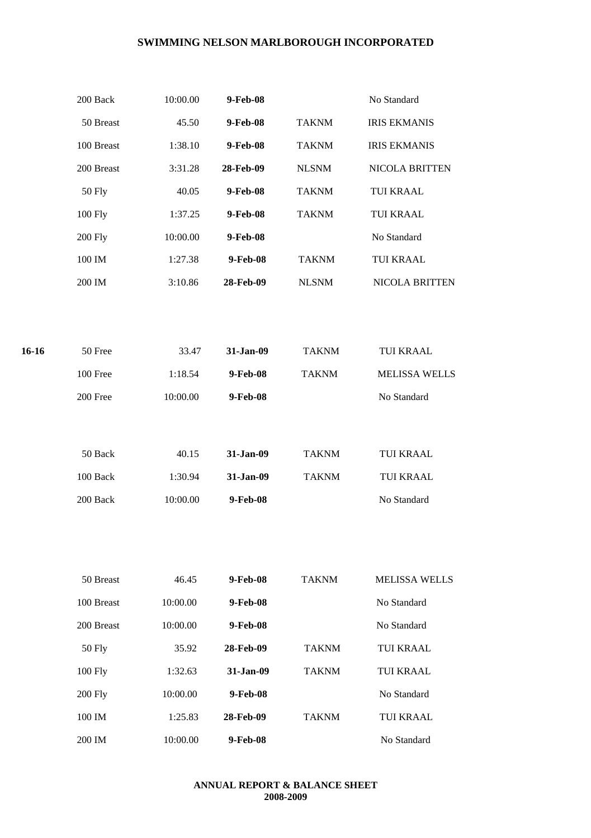|       | 200 Back       | 10:00.00 | 9-Feb-08  |              | No Standard          |
|-------|----------------|----------|-----------|--------------|----------------------|
|       | 50 Breast      | 45.50    | 9-Feb-08  | <b>TAKNM</b> | <b>IRIS EKMANIS</b>  |
|       | 100 Breast     | 1:38.10  | 9-Feb-08  | <b>TAKNM</b> | <b>IRIS EKMANIS</b>  |
|       | 200 Breast     | 3:31.28  | 28-Feb-09 | <b>NLSNM</b> | NICOLA BRITTEN       |
|       | <b>50 Fly</b>  | 40.05    | 9-Feb-08  | <b>TAKNM</b> | TUI KRAAL            |
|       | 100 Fly        | 1:37.25  | 9-Feb-08  | <b>TAKNM</b> | TUI KRAAL            |
|       | <b>200 Fly</b> | 10:00.00 | 9-Feb-08  |              | No Standard          |
|       | 100 IM         | 1:27.38  | 9-Feb-08  | <b>TAKNM</b> | TUI KRAAL            |
|       | 200 IM         | 3:10.86  | 28-Feb-09 | <b>NLSNM</b> | NICOLA BRITTEN       |
|       |                |          |           |              |                      |
| 16-16 | 50 Free        | 33.47    | 31-Jan-09 | <b>TAKNM</b> | TUI KRAAL            |
|       | 100 Free       | 1:18.54  | 9-Feb-08  | <b>TAKNM</b> | <b>MELISSA WELLS</b> |
|       | 200 Free       | 10:00.00 | 9-Feb-08  |              | No Standard          |
|       | 50 Back        | 40.15    | 31-Jan-09 | <b>TAKNM</b> | TUI KRAAL            |
|       | 100 Back       | 1:30.94  | 31-Jan-09 | <b>TAKNM</b> | TUI KRAAL            |
|       | 200 Back       | 10:00.00 | 9-Feb-08  |              | No Standard          |
|       |                |          |           |              |                      |
|       | 50 Breast      | 46.45    | 9-Feb-08  | <b>TAKNM</b> | <b>MELISSA WELLS</b> |
|       | 100 Breast     | 10:00.00 | 9-Feb-08  |              | No Standard          |
|       | 200 Breast     | 10:00.00 | 9-Feb-08  |              | No Standard          |
|       | <b>50 Fly</b>  | 35.92    | 28-Feb-09 | <b>TAKNM</b> | <b>TUI KRAAL</b>     |
|       | 100 Fly        | 1:32.63  | 31-Jan-09 | <b>TAKNM</b> | <b>TUI KRAAL</b>     |
|       | <b>200 Fly</b> | 10:00.00 | 9-Feb-08  |              | No Standard          |
|       | 100 IM         | 1:25.83  | 28-Feb-09 | <b>TAKNM</b> | <b>TUI KRAAL</b>     |
|       | 200 IM         | 10:00.00 | 9-Feb-08  |              | No Standard          |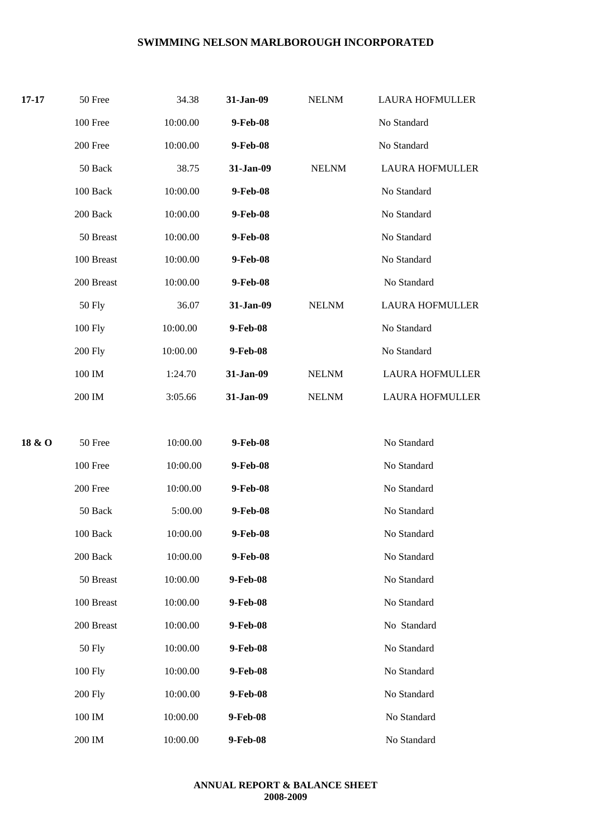| $17 - 17$ | 50 Free            | 34.38    | 31-Jan-09 | <b>NELNM</b> | <b>LAURA HOFMULLER</b> |
|-----------|--------------------|----------|-----------|--------------|------------------------|
|           | 100 Free           | 10:00.00 | 9-Feb-08  |              | No Standard            |
|           | 200 Free           | 10:00.00 | 9-Feb-08  |              | No Standard            |
|           | 50 Back            | 38.75    | 31-Jan-09 | <b>NELNM</b> | <b>LAURA HOFMULLER</b> |
|           | 100 Back           | 10:00.00 | 9-Feb-08  |              | No Standard            |
|           | 200 Back           | 10:00.00 | 9-Feb-08  |              | No Standard            |
|           | 50 Breast          | 10:00.00 | 9-Feb-08  |              | No Standard            |
|           | 100 Breast         | 10:00.00 | 9-Feb-08  |              | No Standard            |
|           | 200 Breast         | 10:00.00 | 9-Feb-08  |              | No Standard            |
|           | 50 Fly             | 36.07    | 31-Jan-09 | <b>NELNM</b> | <b>LAURA HOFMULLER</b> |
|           | 100 Fly            | 10:00.00 | 9-Feb-08  |              | No Standard            |
|           | <b>200 Fly</b>     | 10:00.00 | 9-Feb-08  |              | No Standard            |
|           | 100 IM             | 1:24.70  | 31-Jan-09 | <b>NELNM</b> | <b>LAURA HOFMULLER</b> |
|           | 200 IM             | 3:05.66  | 31-Jan-09 | <b>NELNM</b> | <b>LAURA HOFMULLER</b> |
|           |                    |          |           |              |                        |
| 18 & O    | 50 Free            | 10:00.00 | 9-Feb-08  |              | No Standard            |
|           | 100 Free           | 10:00.00 | 9-Feb-08  |              | No Standard            |
|           | 200 Free           | 10:00.00 | 9-Feb-08  |              | No Standard            |
|           | 50 Back            | 5:00.00  | 9-Feb-08  |              | No Standard            |
|           | 100 Back           | 10:00.00 | 9-Feb-08  |              | No Standard            |
|           | 200 Back           | 10:00.00 | 9-Feb-08  |              | No Standard            |
|           | 50 Breast          | 10:00.00 | 9-Feb-08  |              | No Standard            |
|           | 100 Breast         | 10:00.00 | 9-Feb-08  |              | No Standard            |
|           | 200 Breast         | 10:00.00 | 9-Feb-08  |              | No Standard            |
|           | <b>50 Fly</b>      | 10:00.00 | 9-Feb-08  |              | No Standard            |
|           | 100 Fly            | 10:00.00 | 9-Feb-08  |              | No Standard            |
|           | <b>200 Fly</b>     | 10:00.00 | 9-Feb-08  |              | No Standard            |
|           | 100 IM             | 10:00.00 | 9-Feb-08  |              | No Standard            |
|           | $200\ \mathrm{IM}$ | 10:00.00 | 9-Feb-08  |              | No Standard            |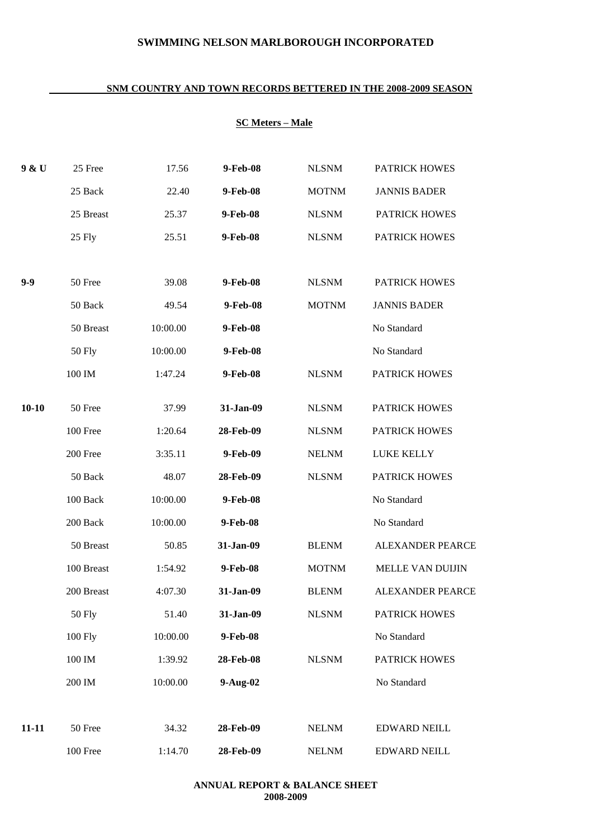#### **SNM COUNTRY AND TOWN RECORDS BETTERED IN THE 2008-2009 SEASON**

# **SC Meters – Male**

| 9 & U     | 25 Free            | 17.56    | 9-Feb-08   | <b>NLSNM</b> | <b>PATRICK HOWES</b>    |
|-----------|--------------------|----------|------------|--------------|-------------------------|
|           | 25 Back            | 22.40    | 9-Feb-08   | <b>MOTNM</b> | <b>JANNIS BADER</b>     |
|           | 25 Breast          | 25.37    | 9-Feb-08   | <b>NLSNM</b> | <b>PATRICK HOWES</b>    |
|           | 25 Fly             | 25.51    | 9-Feb-08   | <b>NLSNM</b> | <b>PATRICK HOWES</b>    |
|           |                    |          |            |              |                         |
| $9 - 9$   | 50 Free            | 39.08    | 9-Feb-08   | <b>NLSNM</b> | <b>PATRICK HOWES</b>    |
|           | 50 Back            | 49.54    | 9-Feb-08   | <b>MOTNM</b> | <b>JANNIS BADER</b>     |
|           | 50 Breast          | 10:00.00 | 9-Feb-08   |              | No Standard             |
|           | <b>50 Fly</b>      | 10:00.00 | 9-Feb-08   |              | No Standard             |
|           | $100\ \mathrm{IM}$ | 1:47.24  | 9-Feb-08   | <b>NLSNM</b> | <b>PATRICK HOWES</b>    |
| $10 - 10$ | 50 Free            | 37.99    | 31-Jan-09  | <b>NLSNM</b> | <b>PATRICK HOWES</b>    |
|           | 100 Free           | 1:20.64  | 28-Feb-09  | <b>NLSNM</b> | <b>PATRICK HOWES</b>    |
|           | 200 Free           | 3:35.11  | 9-Feb-09   | <b>NELNM</b> | LUKE KELLY              |
|           | 50 Back            | 48.07    | 28-Feb-09  | <b>NLSNM</b> | <b>PATRICK HOWES</b>    |
|           | 100 Back           | 10:00.00 | 9-Feb-08   |              | No Standard             |
|           | 200 Back           | 10:00.00 | 9-Feb-08   |              | No Standard             |
|           | 50 Breast          | 50.85    | 31-Jan-09  | <b>BLENM</b> | <b>ALEXANDER PEARCE</b> |
|           | 100 Breast         | 1:54.92  | 9-Feb-08   | <b>MOTNM</b> | MELLE VAN DUIJIN        |
|           | 200 Breast         | 4:07.30  | 31-Jan-09  | <b>BLENM</b> | <b>ALEXANDER PEARCE</b> |
|           | <b>50 Fly</b>      | 51.40    | 31-Jan-09  | <b>NLSNM</b> | <b>PATRICK HOWES</b>    |
|           | 100 Fly            | 10:00.00 | 9-Feb-08   |              | No Standard             |
|           | 100 IM             | 1:39.92  | 28-Feb-08  | <b>NLSNM</b> | <b>PATRICK HOWES</b>    |
|           | 200 IM             | 10:00.00 | $9-Aug-02$ |              | No Standard             |
|           |                    |          |            |              |                         |
| $11 - 11$ | 50 Free            | 34.32    | 28-Feb-09  | <b>NELNM</b> | <b>EDWARD NEILL</b>     |
|           | 100 Free           | 1:14.70  | 28-Feb-09  | <b>NELNM</b> | <b>EDWARD NEILL</b>     |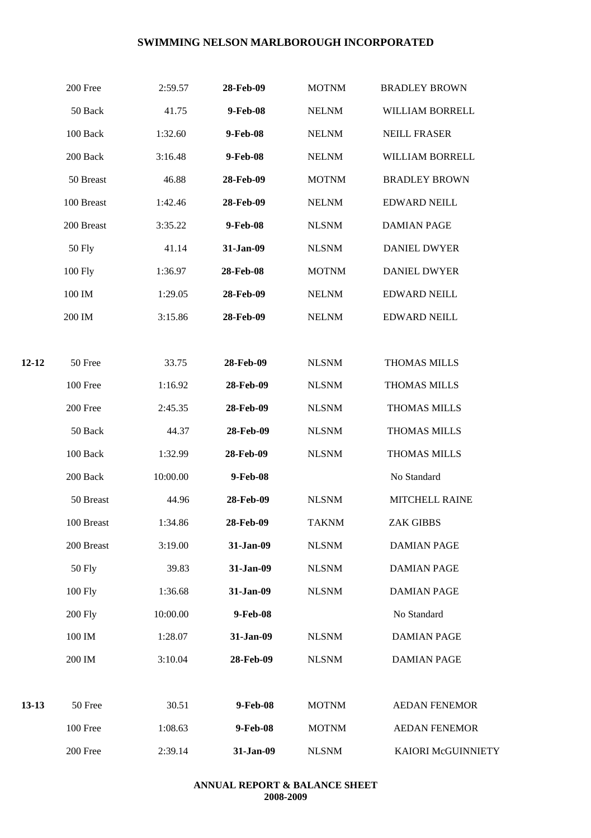|         | 200 Free       | 2:59.57  | 28-Feb-09 | <b>MOTNM</b> | <b>BRADLEY BROWN</b>  |
|---------|----------------|----------|-----------|--------------|-----------------------|
|         | 50 Back        | 41.75    | 9-Feb-08  | <b>NELNM</b> | WILLIAM BORRELL       |
|         | 100 Back       | 1:32.60  | 9-Feb-08  | <b>NELNM</b> | <b>NEILL FRASER</b>   |
|         | 200 Back       | 3:16.48  | 9-Feb-08  | <b>NELNM</b> | WILLIAM BORRELL       |
|         | 50 Breast      | 46.88    | 28-Feb-09 | <b>MOTNM</b> | <b>BRADLEY BROWN</b>  |
|         | 100 Breast     | 1:42.46  | 28-Feb-09 | <b>NELNM</b> | <b>EDWARD NEILL</b>   |
|         | 200 Breast     | 3:35.22  | 9-Feb-08  | <b>NLSNM</b> | <b>DAMIAN PAGE</b>    |
|         | 50 Fly         | 41.14    | 31-Jan-09 | <b>NLSNM</b> | <b>DANIEL DWYER</b>   |
|         | 100 Fly        | 1:36.97  | 28-Feb-08 | <b>MOTNM</b> | <b>DANIEL DWYER</b>   |
|         | 100 IM         | 1:29.05  | 28-Feb-09 | <b>NELNM</b> | <b>EDWARD NEILL</b>   |
|         | 200 IM         | 3:15.86  | 28-Feb-09 | <b>NELNM</b> | <b>EDWARD NEILL</b>   |
|         |                |          |           |              |                       |
| 12-12   | 50 Free        | 33.75    | 28-Feb-09 | <b>NLSNM</b> | THOMAS MILLS          |
|         | 100 Free       | 1:16.92  | 28-Feb-09 | <b>NLSNM</b> | THOMAS MILLS          |
|         | 200 Free       | 2:45.35  | 28-Feb-09 | <b>NLSNM</b> | <b>THOMAS MILLS</b>   |
|         | 50 Back        | 44.37    | 28-Feb-09 | <b>NLSNM</b> | <b>THOMAS MILLS</b>   |
|         | 100 Back       | 1:32.99  | 28-Feb-09 | <b>NLSNM</b> | <b>THOMAS MILLS</b>   |
|         | 200 Back       | 10:00.00 | 9-Feb-08  |              | No Standard           |
|         | 50 Breast      | 44.96    | 28-Feb-09 | <b>NLSNM</b> | <b>MITCHELL RAINE</b> |
|         | 100 Breast     | 1:34.86  | 28-Feb-09 | <b>TAKNM</b> | <b>ZAK GIBBS</b>      |
|         | 200 Breast     | 3:19.00  | 31-Jan-09 | <b>NLSNM</b> | <b>DAMIAN PAGE</b>    |
|         | <b>50 Fly</b>  | 39.83    | 31-Jan-09 | <b>NLSNM</b> | <b>DAMIAN PAGE</b>    |
|         | 100 Fly        | 1:36.68  | 31-Jan-09 | <b>NLSNM</b> | <b>DAMIAN PAGE</b>    |
|         | <b>200 Fly</b> | 10:00.00 | 9-Feb-08  |              | No Standard           |
|         | 100 IM         | 1:28.07  | 31-Jan-09 | <b>NLSNM</b> | <b>DAMIAN PAGE</b>    |
|         | 200 IM         | 3:10.04  | 28-Feb-09 | <b>NLSNM</b> | <b>DAMIAN PAGE</b>    |
|         |                |          |           |              |                       |
| $13-13$ | 50 Free        | 30.51    | 9-Feb-08  | <b>MOTNM</b> | <b>AEDAN FENEMOR</b>  |
|         | 100 Free       | 1:08.63  | 9-Feb-08  | <b>MOTNM</b> | <b>AEDAN FENEMOR</b>  |
|         | 200 Free       | 2:39.14  | 31-Jan-09 | <b>NLSNM</b> | KAIORI McGUINNIETY    |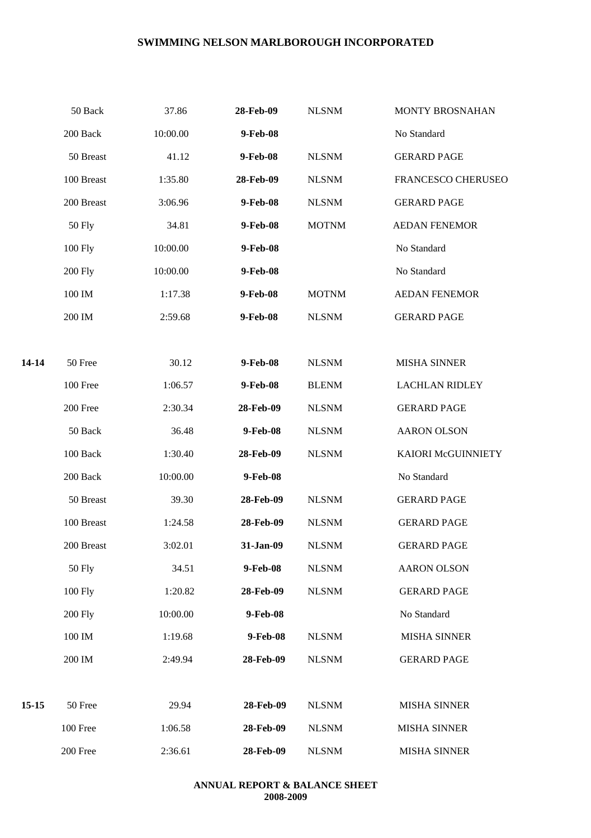| 200 Back<br>50 Breast<br>100 Breast<br>200 Breast<br><b>50 Fly</b> | 10:00.00<br>41.12<br>1:35.80<br>3:06.96 | 9-Feb-08<br>9-Feb-08<br>28-Feb-09 | <b>NLSNM</b><br><b>NLSNM</b> | No Standard<br><b>GERARD PAGE</b> |
|--------------------------------------------------------------------|-----------------------------------------|-----------------------------------|------------------------------|-----------------------------------|
|                                                                    |                                         |                                   |                              |                                   |
|                                                                    |                                         |                                   |                              |                                   |
|                                                                    |                                         |                                   |                              | FRANCESCO CHERUSEO                |
|                                                                    |                                         |                                   | <b>NLSNM</b>                 | <b>GERARD PAGE</b>                |
|                                                                    | 34.81                                   | 9-Feb-08                          | <b>MOTNM</b>                 | <b>AEDAN FENEMOR</b>              |
|                                                                    | 10:00.00                                | 9-Feb-08                          |                              | No Standard                       |
| <b>200 Fly</b>                                                     | 10:00.00                                | 9-Feb-08                          |                              | No Standard                       |
| 100 IM                                                             | 1:17.38                                 | 9-Feb-08                          | <b>MOTNM</b>                 | <b>AEDAN FENEMOR</b>              |
| 200 IM                                                             | 2:59.68                                 | 9-Feb-08                          | <b>NLSNM</b>                 | <b>GERARD PAGE</b>                |
|                                                                    |                                         |                                   |                              |                                   |
| 50 Free                                                            | 30.12                                   | 9-Feb-08                          | <b>NLSNM</b>                 | <b>MISHA SINNER</b>               |
| 100 Free                                                           | 1:06.57                                 | 9-Feb-08                          | <b>BLENM</b>                 | <b>LACHLAN RIDLEY</b>             |
| 200 Free                                                           | 2:30.34                                 | 28-Feb-09                         | <b>NLSNM</b>                 | <b>GERARD PAGE</b>                |
| 50 Back                                                            | 36.48                                   | 9-Feb-08                          | <b>NLSNM</b>                 | <b>AARON OLSON</b>                |
| 100 Back                                                           | 1:30.40                                 | 28-Feb-09                         | <b>NLSNM</b>                 | KAIORI McGUINNIETY                |
| 200 Back                                                           | 10:00.00                                | 9-Feb-08                          |                              | No Standard                       |
| 50 Breast                                                          | 39.30                                   | 28-Feb-09                         | <b>NLSNM</b>                 | <b>GERARD PAGE</b>                |
| 100 Breast                                                         | 1:24.58                                 | 28-Feb-09                         | <b>NLSNM</b>                 | <b>GERARD PAGE</b>                |
| 200 Breast                                                         | 3:02.01                                 | 31-Jan-09                         | <b>NLSNM</b>                 | <b>GERARD PAGE</b>                |
| <b>50 Fly</b>                                                      | 34.51                                   | 9-Feb-08                          | <b>NLSNM</b>                 | <b>AARON OLSON</b>                |
| 100 Fly                                                            | 1:20.82                                 | 28-Feb-09                         | <b>NLSNM</b>                 | <b>GERARD PAGE</b>                |
| <b>200 Fly</b>                                                     | 10:00.00                                | 9-Feb-08                          |                              | No Standard                       |
| $100\ \mathrm{IM}$                                                 | 1:19.68                                 | 9-Feb-08                          | <b>NLSNM</b>                 | <b>MISHA SINNER</b>               |
| 200 IM                                                             | 2:49.94                                 | 28-Feb-09                         | <b>NLSNM</b>                 | <b>GERARD PAGE</b>                |
|                                                                    |                                         |                                   |                              |                                   |
| 50 Free                                                            | 29.94                                   | 28-Feb-09                         | <b>NLSNM</b>                 | <b>MISHA SINNER</b>               |
| 100 Free                                                           | 1:06.58                                 | 28-Feb-09                         | <b>NLSNM</b>                 | <b>MISHA SINNER</b>               |
| 200 Free                                                           | 2:36.61                                 | 28-Feb-09                         | <b>NLSNM</b>                 | <b>MISHA SINNER</b>               |
|                                                                    | 100 Fly                                 |                                   | 9-Feb-08                     |                                   |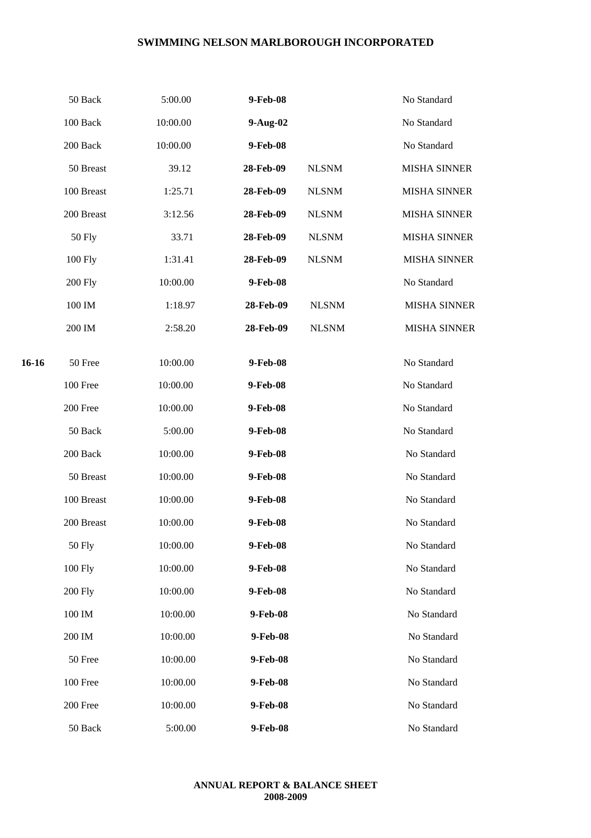|       | 50 Back        | 5:00.00  | 9-Feb-08  |              | No Standard         |
|-------|----------------|----------|-----------|--------------|---------------------|
|       | 100 Back       | 10:00.00 | 9-Aug-02  |              | No Standard         |
|       | 200 Back       | 10:00.00 | 9-Feb-08  |              | No Standard         |
|       | 50 Breast      | 39.12    | 28-Feb-09 | <b>NLSNM</b> | <b>MISHA SINNER</b> |
|       | 100 Breast     | 1:25.71  | 28-Feb-09 | <b>NLSNM</b> | <b>MISHA SINNER</b> |
|       | 200 Breast     | 3:12.56  | 28-Feb-09 | <b>NLSNM</b> | <b>MISHA SINNER</b> |
|       | <b>50 Fly</b>  | 33.71    | 28-Feb-09 | <b>NLSNM</b> | <b>MISHA SINNER</b> |
|       | 100 Fly        | 1:31.41  | 28-Feb-09 | <b>NLSNM</b> | <b>MISHA SINNER</b> |
|       | <b>200 Fly</b> | 10:00.00 | 9-Feb-08  |              | No Standard         |
|       | 100 IM         | 1:18.97  | 28-Feb-09 | <b>NLSNM</b> | <b>MISHA SINNER</b> |
|       | 200 IM         | 2:58.20  | 28-Feb-09 | <b>NLSNM</b> | <b>MISHA SINNER</b> |
|       |                |          |           |              |                     |
| 16-16 | 50 Free        | 10:00.00 | 9-Feb-08  |              | No Standard         |
|       | 100 Free       | 10:00.00 | 9-Feb-08  |              | No Standard         |
|       | 200 Free       | 10:00.00 | 9-Feb-08  |              | No Standard         |
|       | 50 Back        | 5:00.00  | 9-Feb-08  |              | No Standard         |
|       | 200 Back       | 10:00.00 | 9-Feb-08  |              | No Standard         |
|       | 50 Breast      | 10:00.00 | 9-Feb-08  |              | No Standard         |
|       | 100 Breast     | 10:00.00 | 9-Feb-08  |              | No Standard         |
|       | 200 Breast     | 10:00.00 | 9-Feb-08  |              | No Standard         |
|       | <b>50 Fly</b>  | 10:00.00 | 9-Feb-08  |              | No Standard         |
|       | 100 Fly        | 10:00.00 | 9-Feb-08  |              | No Standard         |
|       | <b>200 Fly</b> | 10:00.00 | 9-Feb-08  |              | No Standard         |
|       | 100 IM         | 10:00.00 | 9-Feb-08  |              | No Standard         |
|       | 200 IM         | 10:00.00 | 9-Feb-08  |              | No Standard         |
|       | 50 Free        | 10:00.00 | 9-Feb-08  |              | No Standard         |
|       | 100 Free       | 10:00.00 | 9-Feb-08  |              | No Standard         |
|       | 200 Free       | 10:00.00 | 9-Feb-08  |              | No Standard         |
|       | 50 Back        | 5:00.00  | 9-Feb-08  |              | No Standard         |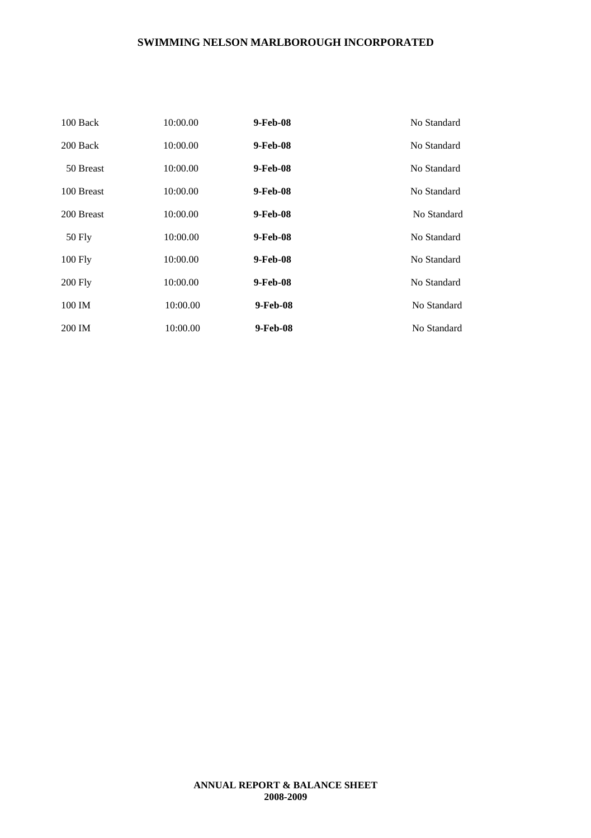| 100 Back   | 10:00.00 | 9-Feb-08 | No Standard |
|------------|----------|----------|-------------|
| 200 Back   | 10:00.00 | 9-Feb-08 | No Standard |
| 50 Breast  | 10:00.00 | 9-Feb-08 | No Standard |
| 100 Breast | 10:00.00 | 9-Feb-08 | No Standard |
| 200 Breast | 10:00.00 | 9-Feb-08 | No Standard |
| 50 Fly     | 10:00.00 | 9-Feb-08 | No Standard |
| $100$ Fly  | 10:00.00 | 9-Feb-08 | No Standard |
| $200$ Fly  | 10:00.00 | 9-Feb-08 | No Standard |
| 100 IM     | 10:00.00 | 9-Feb-08 | No Standard |
| 200 IM     | 10:00.00 | 9-Feb-08 | No Standard |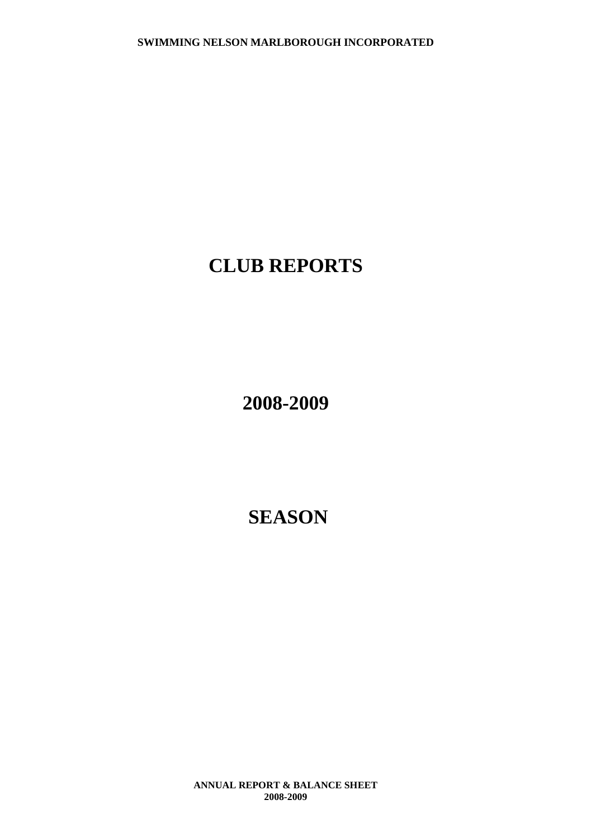# **CLUB REPORTS**

**2008-2009**

**SEASON**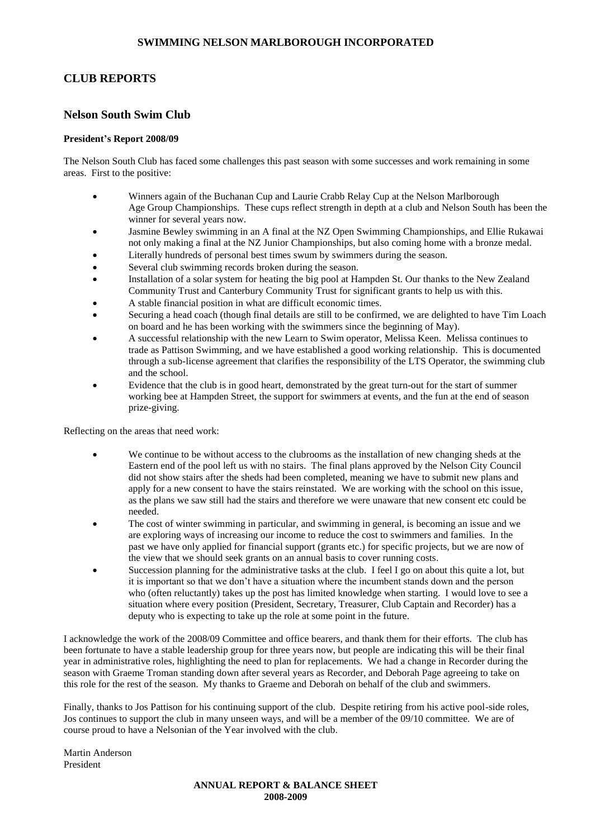# **CLUB REPORTS**

#### **Nelson South Swim Club**

#### **President's Report 2008/09**

The Nelson South Club has faced some challenges this past season with some successes and work remaining in some areas. First to the positive:

- Winners again of the Buchanan Cup and Laurie Crabb Relay Cup at the Nelson Marlborough Age Group Championships. These cups reflect strength in depth at a club and Nelson South has been the winner for several years now.
- Jasmine Bewley swimming in an A final at the NZ Open Swimming Championships, and Ellie Rukawai not only making a final at the NZ Junior Championships, but also coming home with a bronze medal.
- Literally hundreds of personal best times swum by swimmers during the season.
- Several club swimming records broken during the season.
- Installation of a solar system for heating the big pool at Hampden St. Our thanks to the New Zealand Community Trust and Canterbury Community Trust for significant grants to help us with this.
- A stable financial position in what are difficult economic times.
- Securing a head coach (though final details are still to be confirmed, we are delighted to have Tim Loach on board and he has been working with the swimmers since the beginning of May).
- A successful relationship with the new Learn to Swim operator, Melissa Keen. Melissa continues to trade as Pattison Swimming, and we have established a good working relationship. This is documented through a sub-license agreement that clarifies the responsibility of the LTS Operator, the swimming club and the school.
- Evidence that the club is in good heart, demonstrated by the great turn-out for the start of summer working bee at Hampden Street, the support for swimmers at events, and the fun at the end of season prize-giving.

Reflecting on the areas that need work:

- We continue to be without access to the clubrooms as the installation of new changing sheds at the Eastern end of the pool left us with no stairs. The final plans approved by the Nelson City Council did not show stairs after the sheds had been completed, meaning we have to submit new plans and apply for a new consent to have the stairs reinstated. We are working with the school on this issue, as the plans we saw still had the stairs and therefore we were unaware that new consent etc could be needed.
- The cost of winter swimming in particular, and swimming in general, is becoming an issue and we are exploring ways of increasing our income to reduce the cost to swimmers and families. In the past we have only applied for financial support (grants etc.) for specific projects, but we are now of the view that we should seek grants on an annual basis to cover running costs.
- Succession planning for the administrative tasks at the club. I feel I go on about this quite a lot, but it is important so that we don't have a situation where the incumbent stands down and the person who (often reluctantly) takes up the post has limited knowledge when starting. I would love to see a situation where every position (President, Secretary, Treasurer, Club Captain and Recorder) has a deputy who is expecting to take up the role at some point in the future.

I acknowledge the work of the 2008/09 Committee and office bearers, and thank them for their efforts. The club has been fortunate to have a stable leadership group for three years now, but people are indicating this will be their final year in administrative roles, highlighting the need to plan for replacements. We had a change in Recorder during the season with Graeme Troman standing down after several years as Recorder, and Deborah Page agreeing to take on this role for the rest of the season. My thanks to Graeme and Deborah on behalf of the club and swimmers.

Finally, thanks to Jos Pattison for his continuing support of the club. Despite retiring from his active pool-side roles, Jos continues to support the club in many unseen ways, and will be a member of the 09/10 committee. We are of course proud to have a Nelsonian of the Year involved with the club.

Martin Anderson President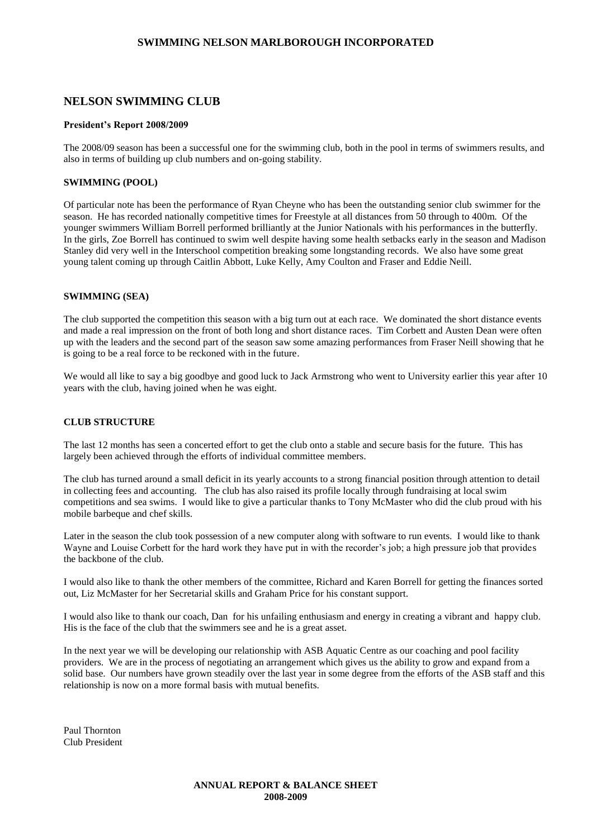#### **NELSON SWIMMING CLUB**

#### **President's Report 2008/2009**

The 2008/09 season has been a successful one for the swimming club, both in the pool in terms of swimmers results, and also in terms of building up club numbers and on-going stability.

#### **SWIMMING (POOL)**

Of particular note has been the performance of Ryan Cheyne who has been the outstanding senior club swimmer for the season. He has recorded nationally competitive times for Freestyle at all distances from 50 through to 400m. Of the younger swimmers William Borrell performed brilliantly at the Junior Nationals with his performances in the butterfly. In the girls, Zoe Borrell has continued to swim well despite having some health setbacks early in the season and Madison Stanley did very well in the Interschool competition breaking some longstanding records. We also have some great young talent coming up through Caitlin Abbott, Luke Kelly, Amy Coulton and Fraser and Eddie Neill.

#### **SWIMMING (SEA)**

The club supported the competition this season with a big turn out at each race. We dominated the short distance events and made a real impression on the front of both long and short distance races. Tim Corbett and Austen Dean were often up with the leaders and the second part of the season saw some amazing performances from Fraser Neill showing that he is going to be a real force to be reckoned with in the future.

We would all like to say a big goodbye and good luck to Jack Armstrong who went to University earlier this year after 10 years with the club, having joined when he was eight.

#### **CLUB STRUCTURE**

The last 12 months has seen a concerted effort to get the club onto a stable and secure basis for the future. This has largely been achieved through the efforts of individual committee members.

The club has turned around a small deficit in its yearly accounts to a strong financial position through attention to detail in collecting fees and accounting. The club has also raised its profile locally through fundraising at local swim competitions and sea swims. I would like to give a particular thanks to Tony McMaster who did the club proud with his mobile barbeque and chef skills.

Later in the season the club took possession of a new computer along with software to run events. I would like to thank Wayne and Louise Corbett for the hard work they have put in with the recorder's job; a high pressure job that provides the backbone of the club.

I would also like to thank the other members of the committee, Richard and Karen Borrell for getting the finances sorted out, Liz McMaster for her Secretarial skills and Graham Price for his constant support.

I would also like to thank our coach, Dan for his unfailing enthusiasm and energy in creating a vibrant and happy club. His is the face of the club that the swimmers see and he is a great asset.

In the next year we will be developing our relationship with ASB Aquatic Centre as our coaching and pool facility providers. We are in the process of negotiating an arrangement which gives us the ability to grow and expand from a solid base. Our numbers have grown steadily over the last year in some degree from the efforts of the ASB staff and this relationship is now on a more formal basis with mutual benefits.

Paul Thornton Club President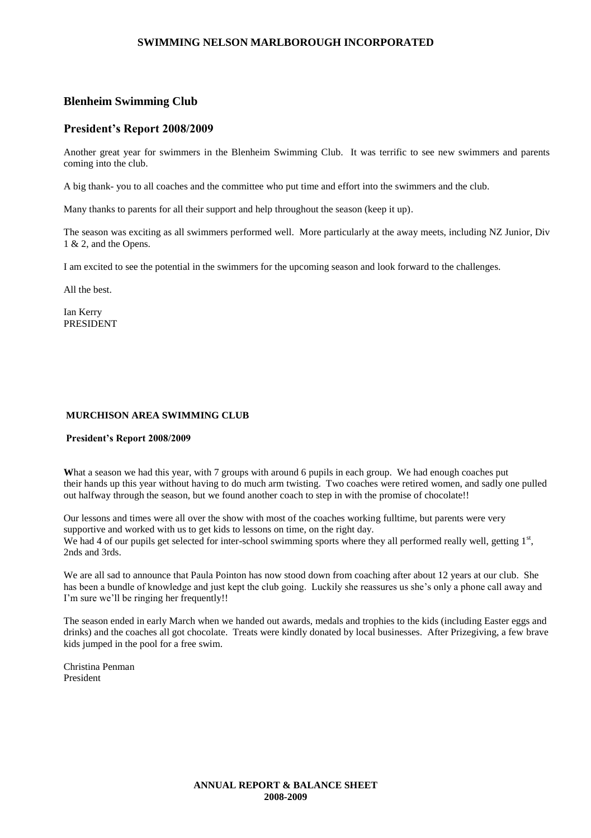#### **Blenheim Swimming Club**

#### **President's Report 2008/2009**

Another great year for swimmers in the Blenheim Swimming Club. It was terrific to see new swimmers and parents coming into the club.

A big thank- you to all coaches and the committee who put time and effort into the swimmers and the club.

Many thanks to parents for all their support and help throughout the season (keep it up).

The season was exciting as all swimmers performed well. More particularly at the away meets, including NZ Junior, Div 1 & 2, and the Opens.

I am excited to see the potential in the swimmers for the upcoming season and look forward to the challenges.

All the best.

Ian Kerry PRESIDENT

#### **MURCHISON AREA SWIMMING CLUB**

#### **President's Report 2008/2009**

What a season we had this year, with 7 groups with around 6 pupils in each group. We had enough coaches put their hands up this year without having to do much arm twisting. Two coaches were retired women, and sadly one pulled out halfway through the season, but we found another coach to step in with the promise of chocolate!!

Our lessons and times were all over the show with most of the coaches working fulltime, but parents were very supportive and worked with us to get kids to lessons on time, on the right day. We had 4 of our pupils get selected for inter-school swimming sports where they all performed really well, getting  $1<sup>st</sup>$ , 2nds and 3rds.

We are all sad to announce that Paula Pointon has now stood down from coaching after about 12 years at our club. She has been a bundle of knowledge and just kept the club going. Luckily she reassures us she's only a phone call away and I'm sure we'll be ringing her frequently!!

The season ended in early March when we handed out awards, medals and trophies to the kids (including Easter eggs and drinks) and the coaches all got chocolate. Treats were kindly donated by local businesses. After Prizegiving, a few brave kids jumped in the pool for a free swim.

Christina Penman President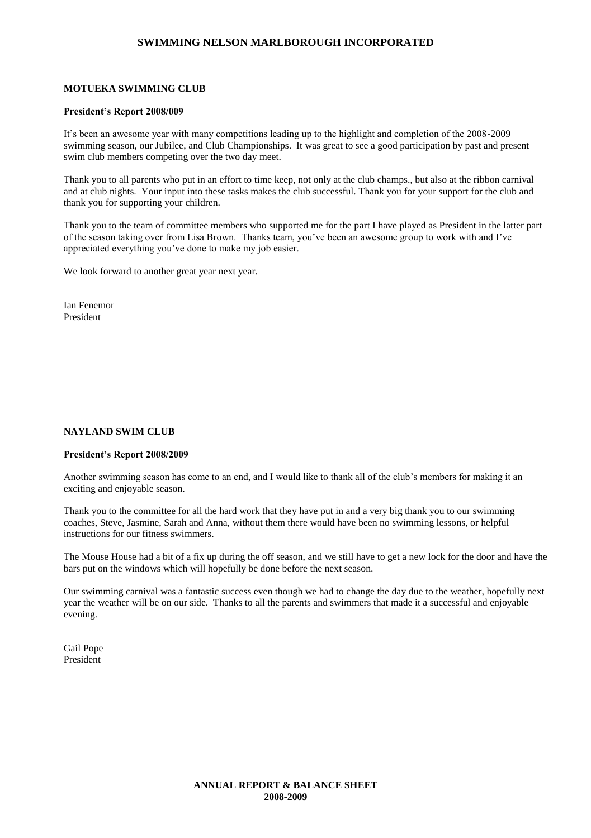#### **MOTUEKA SWIMMING CLUB**

#### **President's Report 2008/009**

It's been an awesome year with many competitions leading up to the highlight and completion of the 2008-2009 swimming season, our Jubilee, and Club Championships. It was great to see a good participation by past and present swim club members competing over the two day meet.

Thank you to all parents who put in an effort to time keep, not only at the club champs., but also at the ribbon carnival and at club nights. Your input into these tasks makes the club successful. Thank you for your support for the club and thank you for supporting your children.

Thank you to the team of committee members who supported me for the part I have played as President in the latter part of the season taking over from Lisa Brown. Thanks team, you've been an awesome group to work with and I've appreciated everything you've done to make my job easier.

We look forward to another great year next year.

Ian Fenemor President

#### **NAYLAND SWIM CLUB**

#### **President's Report 2008/2009**

Another swimming season has come to an end, and I would like to thank all of the club's members for making it an exciting and enjoyable season.

Thank you to the committee for all the hard work that they have put in and a very big thank you to our swimming coaches, Steve, Jasmine, Sarah and Anna, without them there would have been no swimming lessons, or helpful instructions for our fitness swimmers.

The Mouse House had a bit of a fix up during the off season, and we still have to get a new lock for the door and have the bars put on the windows which will hopefully be done before the next season.

Our swimming carnival was a fantastic success even though we had to change the day due to the weather, hopefully next year the weather will be on our side. Thanks to all the parents and swimmers that made it a successful and enjoyable evening.

Gail Pope President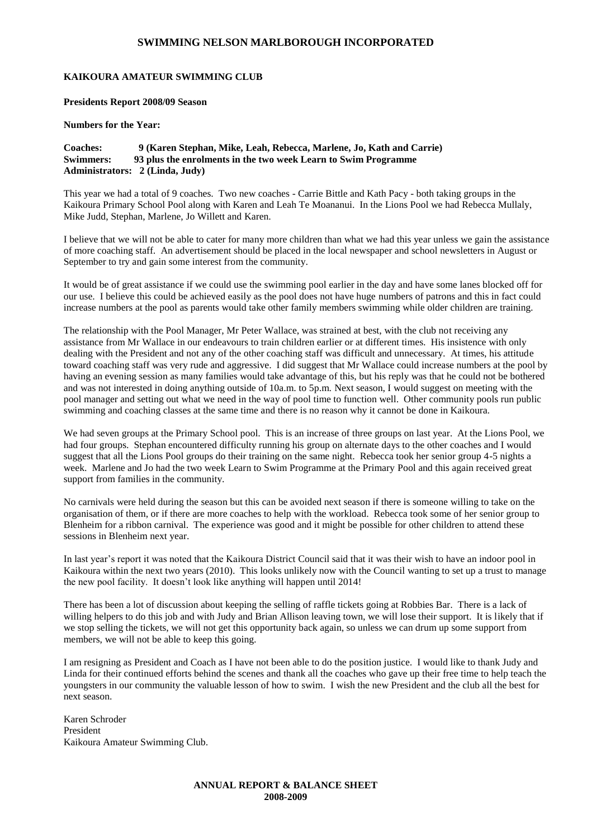#### **KAIKOURA AMATEUR SWIMMING CLUB**

**Presidents Report 2008/09 Season**

**Numbers for the Year:**

#### **Coaches: 9 (Karen Stephan, Mike, Leah, Rebecca, Marlene, Jo, Kath and Carrie) Swimmers: 93 plus the enrolments in the two week Learn to Swim Programme Administrators: 2 (Linda, Judy)**

This year we had a total of 9 coaches. Two new coaches - Carrie Bittle and Kath Pacy - both taking groups in the Kaikoura Primary School Pool along with Karen and Leah Te Moananui. In the Lions Pool we had Rebecca Mullaly, Mike Judd, Stephan, Marlene, Jo Willett and Karen.

I believe that we will not be able to cater for many more children than what we had this year unless we gain the assistance of more coaching staff. An advertisement should be placed in the local newspaper and school newsletters in August or September to try and gain some interest from the community.

It would be of great assistance if we could use the swimming pool earlier in the day and have some lanes blocked off for our use. I believe this could be achieved easily as the pool does not have huge numbers of patrons and this in fact could increase numbers at the pool as parents would take other family members swimming while older children are training.

The relationship with the Pool Manager, Mr Peter Wallace, was strained at best, with the club not receiving any assistance from Mr Wallace in our endeavours to train children earlier or at different times. His insistence with only dealing with the President and not any of the other coaching staff was difficult and unnecessary. At times, his attitude toward coaching staff was very rude and aggressive. I did suggest that Mr Wallace could increase numbers at the pool by having an evening session as many families would take advantage of this, but his reply was that he could not be bothered and was not interested in doing anything outside of 10a.m. to 5p.m. Next season, I would suggest on meeting with the pool manager and setting out what we need in the way of pool time to function well. Other community pools run public swimming and coaching classes at the same time and there is no reason why it cannot be done in Kaikoura.

We had seven groups at the Primary School pool. This is an increase of three groups on last year. At the Lions Pool, we had four groups. Stephan encountered difficulty running his group on alternate days to the other coaches and I would suggest that all the Lions Pool groups do their training on the same night. Rebecca took her senior group 4-5 nights a week. Marlene and Jo had the two week Learn to Swim Programme at the Primary Pool and this again received great support from families in the community.

No carnivals were held during the season but this can be avoided next season if there is someone willing to take on the organisation of them, or if there are more coaches to help with the workload. Rebecca took some of her senior group to Blenheim for a ribbon carnival. The experience was good and it might be possible for other children to attend these sessions in Blenheim next year.

In last year's report it was noted that the Kaikoura District Council said that it was their wish to have an indoor pool in Kaikoura within the next two years (2010). This looks unlikely now with the Council wanting to set up a trust to manage the new pool facility. It doesn't look like anything will happen until 2014!

There has been a lot of discussion about keeping the selling of raffle tickets going at Robbies Bar. There is a lack of willing helpers to do this job and with Judy and Brian Allison leaving town, we will lose their support. It is likely that if we stop selling the tickets, we will not get this opportunity back again, so unless we can drum up some support from members, we will not be able to keep this going.

I am resigning as President and Coach as I have not been able to do the position justice. I would like to thank Judy and Linda for their continued efforts behind the scenes and thank all the coaches who gave up their free time to help teach the youngsters in our community the valuable lesson of how to swim. I wish the new President and the club all the best for next season.

Karen Schroder President Kaikoura Amateur Swimming Club.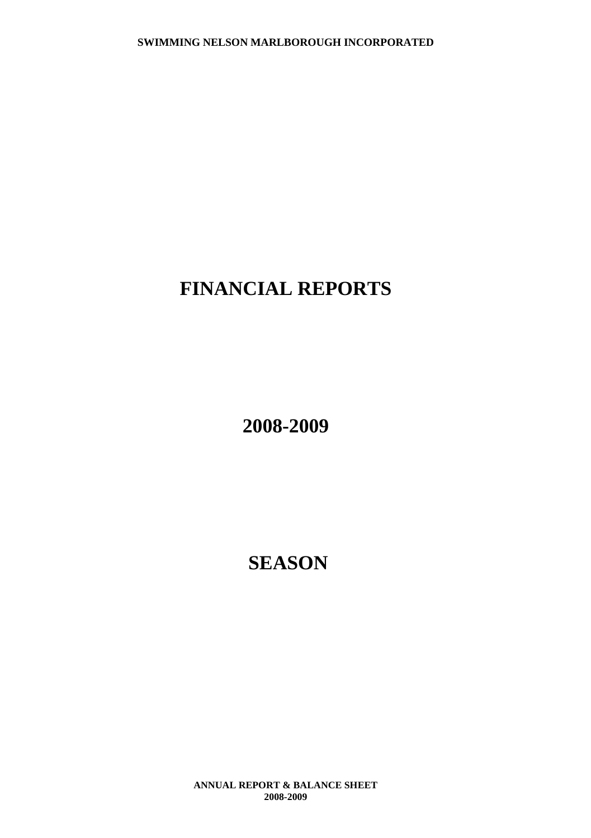# **FINANCIAL REPORTS**

**2008-2009**

**SEASON**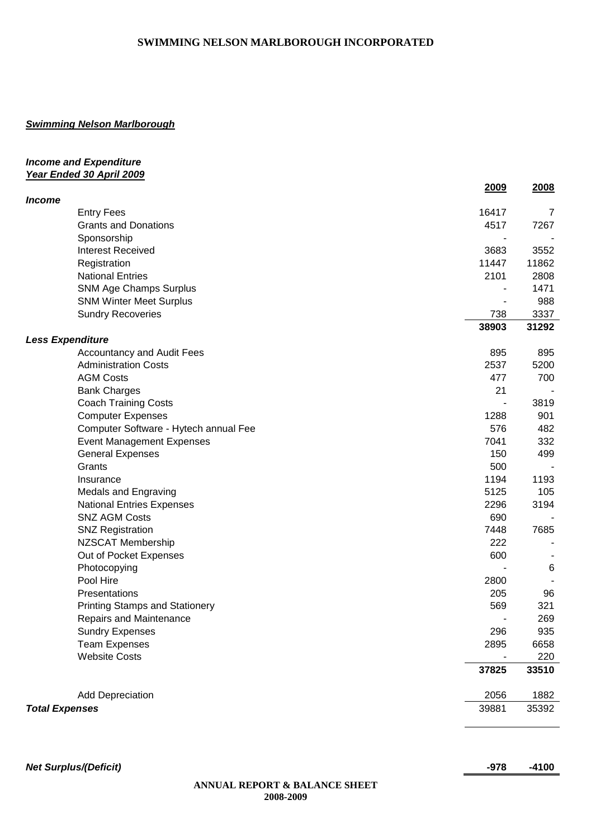### *Swimming Nelson Marlborough*

#### *Income and Expenditure Year Ended 30 April 2009*

|                       |                                       | <u>2009</u>    | <u>2008</u>    |
|-----------------------|---------------------------------------|----------------|----------------|
| Income                | <b>Entry Fees</b>                     | 16417          | $\overline{7}$ |
|                       | <b>Grants and Donations</b>           | 4517           | 7267           |
|                       | Sponsorship                           |                |                |
|                       | <b>Interest Received</b>              | 3683           | 3552           |
|                       | Registration                          | 11447          | 11862          |
|                       | <b>National Entries</b>               | 2101           | 2808           |
|                       | <b>SNM Age Champs Surplus</b>         |                | 1471           |
|                       | <b>SNM Winter Meet Surplus</b>        |                | 988            |
|                       | <b>Sundry Recoveries</b>              | 738            | 3337           |
|                       |                                       | 38903          | 31292          |
|                       | <b>Less Expenditure</b>               |                |                |
|                       | <b>Accountancy and Audit Fees</b>     | 895            | 895            |
|                       | <b>Administration Costs</b>           | 2537           | 5200           |
|                       | <b>AGM Costs</b>                      | 477            | 700            |
|                       | <b>Bank Charges</b>                   | 21             |                |
|                       | <b>Coach Training Costs</b>           | ٠              | 3819           |
|                       | <b>Computer Expenses</b>              | 1288           | 901            |
|                       | Computer Software - Hytech annual Fee | 576            | 482            |
|                       | <b>Event Management Expenses</b>      | 7041           | 332            |
|                       | <b>General Expenses</b>               | 150            | 499            |
|                       | Grants                                | 500            |                |
|                       | Insurance                             | 1194           | 1193           |
|                       | <b>Medals and Engraving</b>           | 5125           | 105            |
|                       | <b>National Entries Expenses</b>      | 2296           | 3194           |
|                       | <b>SNZ AGM Costs</b>                  | 690            |                |
|                       | <b>SNZ Registration</b>               | 7448           | 7685           |
|                       | NZSCAT Membership                     | 222            |                |
|                       | Out of Pocket Expenses                | 600            |                |
|                       | Photocopying                          |                | 6              |
|                       | Pool Hire                             | 2800           |                |
|                       | Presentations                         | 205            | 96             |
|                       | <b>Printing Stamps and Stationery</b> | 569            | 321            |
|                       | Repairs and Maintenance               | $\overline{a}$ | 269            |
|                       | <b>Sundry Expenses</b>                | 296            | 935            |
|                       | <b>Team Expenses</b>                  | 2895           | 6658           |
|                       | <b>Website Costs</b>                  |                | 220            |
|                       |                                       | 37825          | 33510          |
|                       | <b>Add Depreciation</b>               | 2056           | 1882           |
| <b>Total Expenses</b> |                                       | 39881          | 35392          |
|                       |                                       |                |                |

*Net Surplus/(Deficit)* **-978 -4100**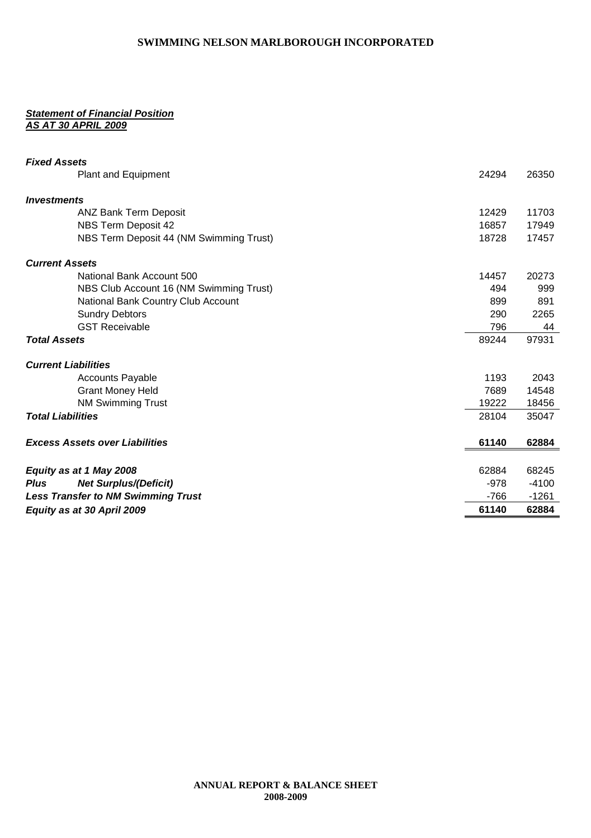#### *Statement of Financial Position AS AT 30 APRIL 2009*

| <b>Fixed Assets</b>                         |        |         |
|---------------------------------------------|--------|---------|
| Plant and Equipment                         | 24294  | 26350   |
|                                             |        |         |
| <i><b>Investments</b></i>                   |        |         |
| <b>ANZ Bank Term Deposit</b>                | 12429  | 11703   |
| NBS Term Deposit 42                         | 16857  | 17949   |
| NBS Term Deposit 44 (NM Swimming Trust)     | 18728  | 17457   |
| <b>Current Assets</b>                       |        |         |
| National Bank Account 500                   | 14457  | 20273   |
| NBS Club Account 16 (NM Swimming Trust)     | 494    | 999     |
| National Bank Country Club Account          | 899    | 891     |
| <b>Sundry Debtors</b>                       | 290    | 2265    |
| <b>GST Receivable</b>                       | 796    | 44      |
| <b>Total Assets</b>                         | 89244  | 97931   |
| <b>Current Liabilities</b>                  |        |         |
| <b>Accounts Payable</b>                     | 1193   | 2043    |
| <b>Grant Money Held</b>                     | 7689   | 14548   |
| <b>NM Swimming Trust</b>                    | 19222  | 18456   |
| <b>Total Liabilities</b>                    | 28104  | 35047   |
| <b>Excess Assets over Liabilities</b>       | 61140  | 62884   |
|                                             |        |         |
| Equity as at 1 May 2008                     | 62884  | 68245   |
| <b>Net Surplus/(Deficit)</b><br><b>Plus</b> | $-978$ | $-4100$ |
| <b>Less Transfer to NM Swimming Trust</b>   | -766   | $-1261$ |
| Equity as at 30 April 2009                  | 61140  | 62884   |